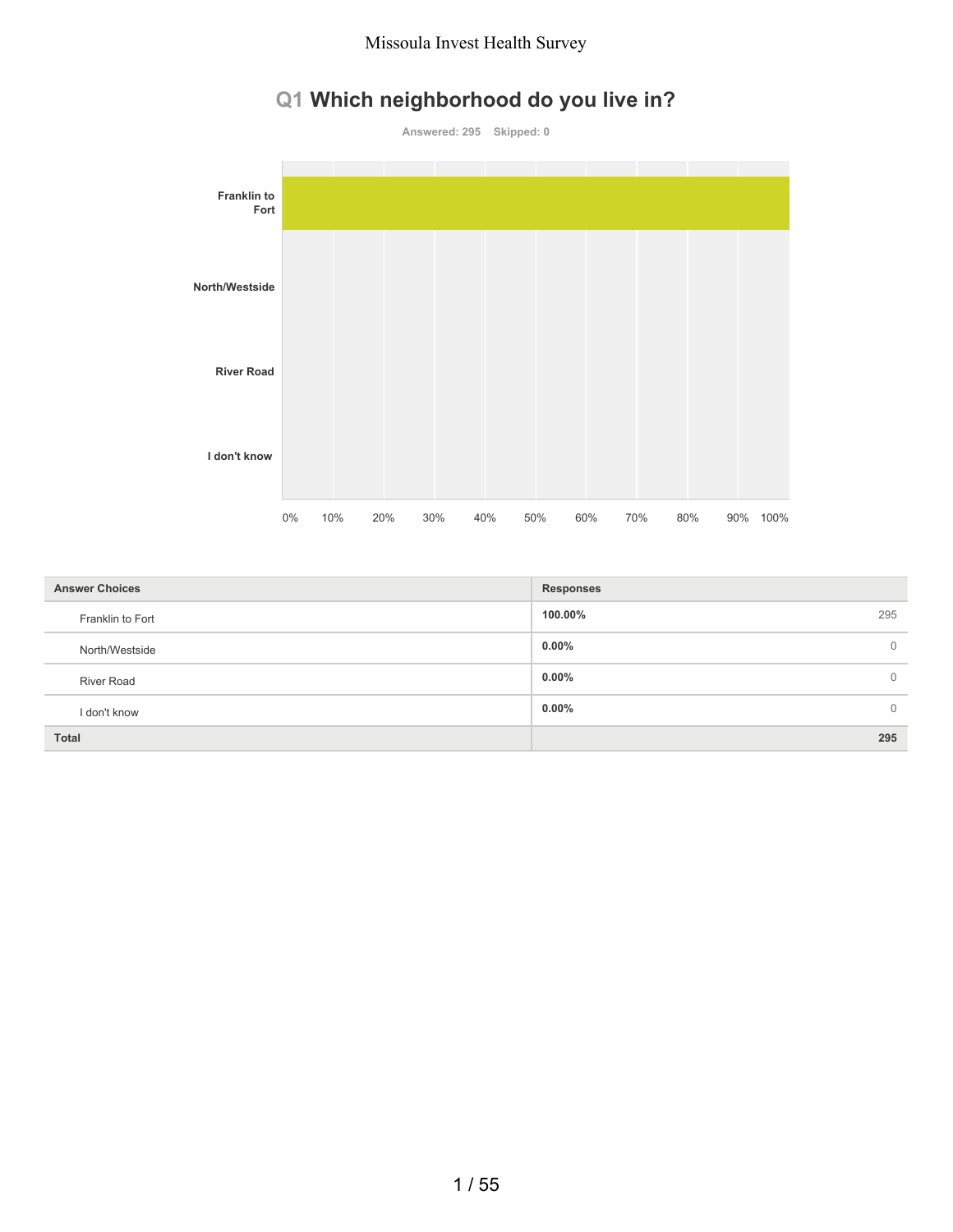# **Q1 Which neighborhood do you live in?**



| <b>Answer Choices</b> | <b>Responses</b>     |
|-----------------------|----------------------|
| Franklin to Fort      | 295<br>100.00%       |
| North/Westside        | $0.00\%$<br>$\Omega$ |
| <b>River Road</b>     | $0.00\%$<br>$\Omega$ |
| I don't know          | $0.00\%$<br>$\Omega$ |
| <b>Total</b>          | 295                  |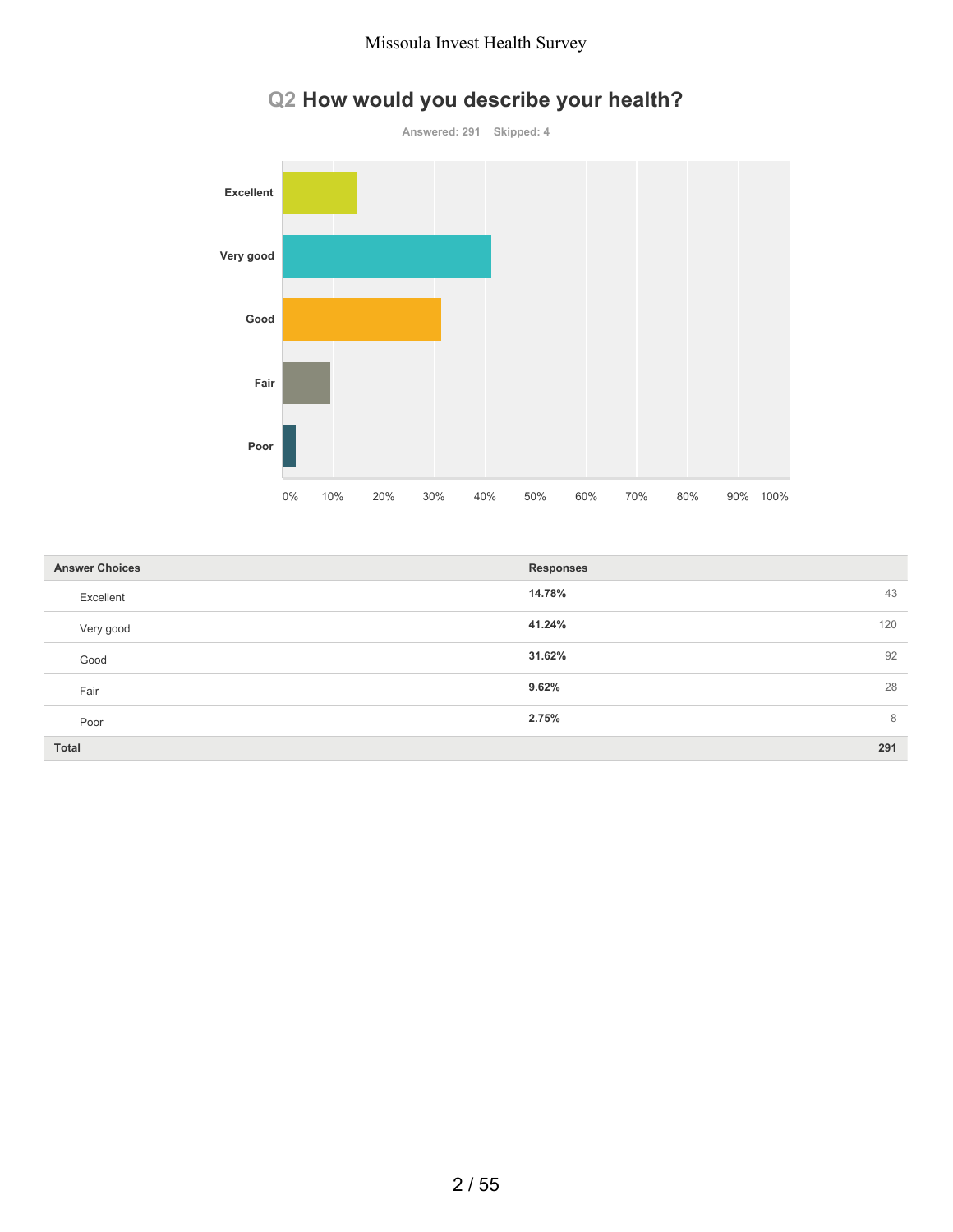

# **Q2 How would you describe your health?**

| <b>Answer Choices</b> | <b>Responses</b> |
|-----------------------|------------------|
| Excellent             | 14.78%<br>43     |
| Very good             | 41.24%<br>120    |
| Good                  | 92<br>31.62%     |
| Fair                  | 9.62%<br>28      |
| Poor                  | 8<br>2.75%       |
| <b>Total</b>          | 291              |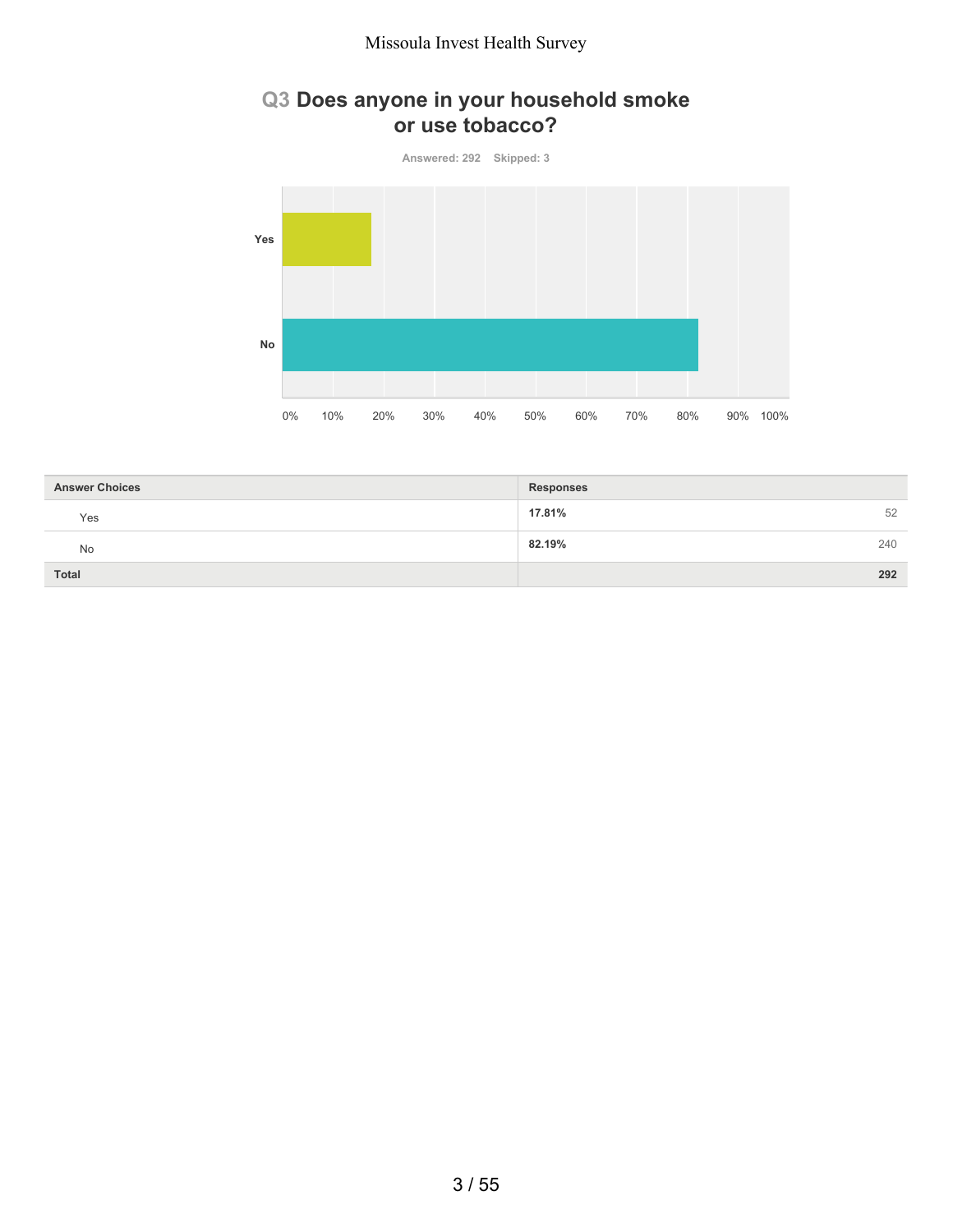## **Q3 Does anyone in your household smoke or use tobacco?**



| <b>Answer Choices</b> | <b>Responses</b> |
|-----------------------|------------------|
| Yes                   | 17.81%<br>52     |
| No                    | 240<br>82.19%    |
| Total                 | 292              |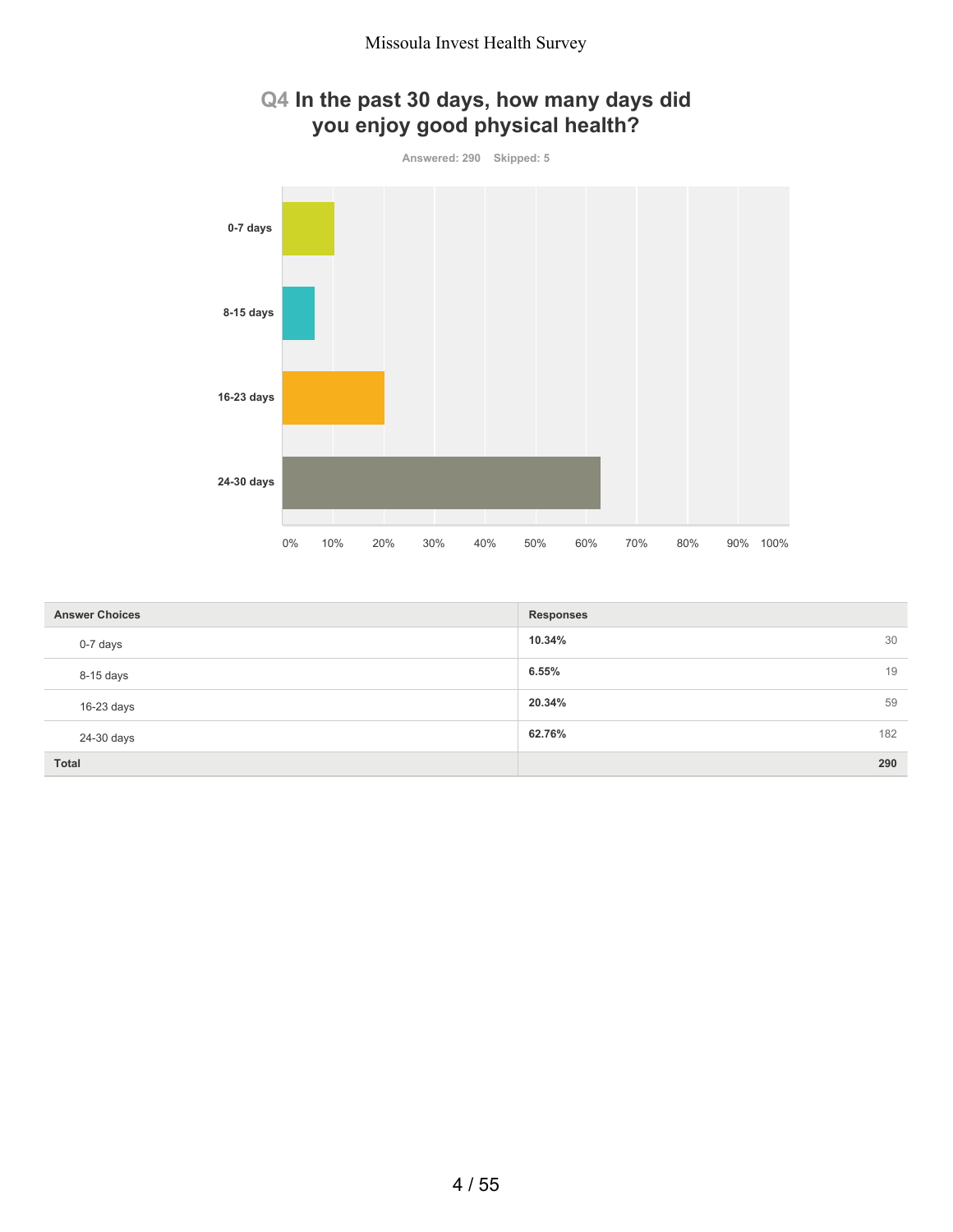

| <b>Answer Choices</b> | <b>Responses</b> |     |
|-----------------------|------------------|-----|
| 0-7 days              | 10.34%           | 30  |
| 8-15 days             | 6.55%            | 19  |
| $16-23$ days          | 20.34%           | 59  |
| 24-30 days            | 62.76%           | 182 |
| <b>Total</b>          |                  | 290 |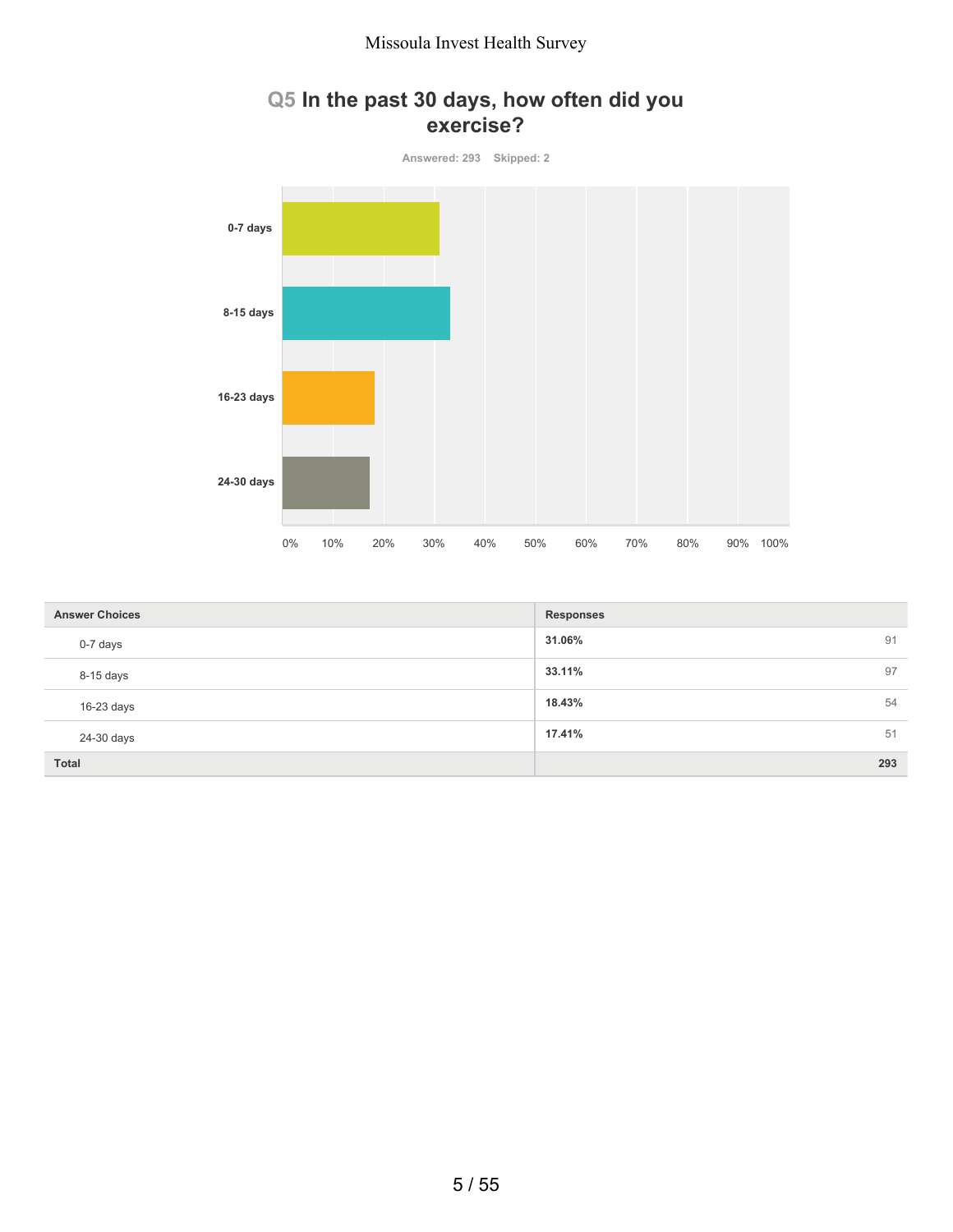#### **Q5 In the past 30 days, how often did you exercise?**



| <b>Answer Choices</b> | <b>Responses</b> |
|-----------------------|------------------|
| 0-7 days              | 31.06%<br>91     |
| 8-15 days             | 97<br>33.11%     |
| $16-23$ days          | 18.43%<br>54     |
| 24-30 days            | 17.41%<br>51     |
| Total                 | 293              |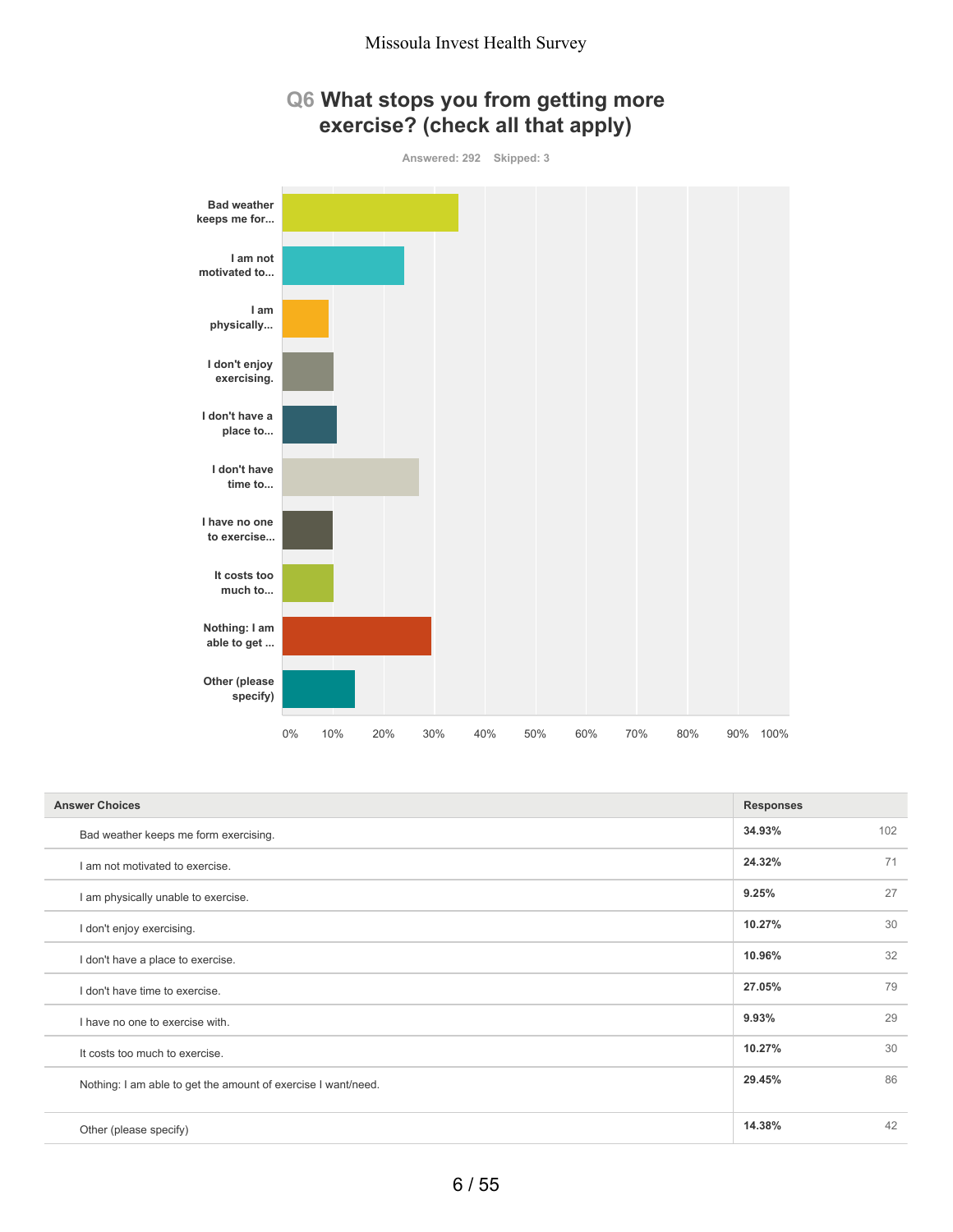



| <b>Answer Choices</b>                                         | <b>Responses</b> |     |
|---------------------------------------------------------------|------------------|-----|
| Bad weather keeps me form exercising.                         | 34.93%           | 102 |
| I am not motivated to exercise.                               | 24.32%           | 71  |
| I am physically unable to exercise.                           | 9.25%            | 27  |
| I don't enjoy exercising.                                     | 10.27%           | 30  |
| I don't have a place to exercise.                             | 10.96%           | 32  |
| I don't have time to exercise.                                | 27.05%           | 79  |
| I have no one to exercise with.                               | 9.93%            | 29  |
| It costs too much to exercise.                                | 10.27%           | 30  |
| Nothing: I am able to get the amount of exercise I want/need. | 29.45%           | 86  |
|                                                               |                  |     |
| Other (please specify)                                        | 14.38%           | 42  |
|                                                               |                  |     |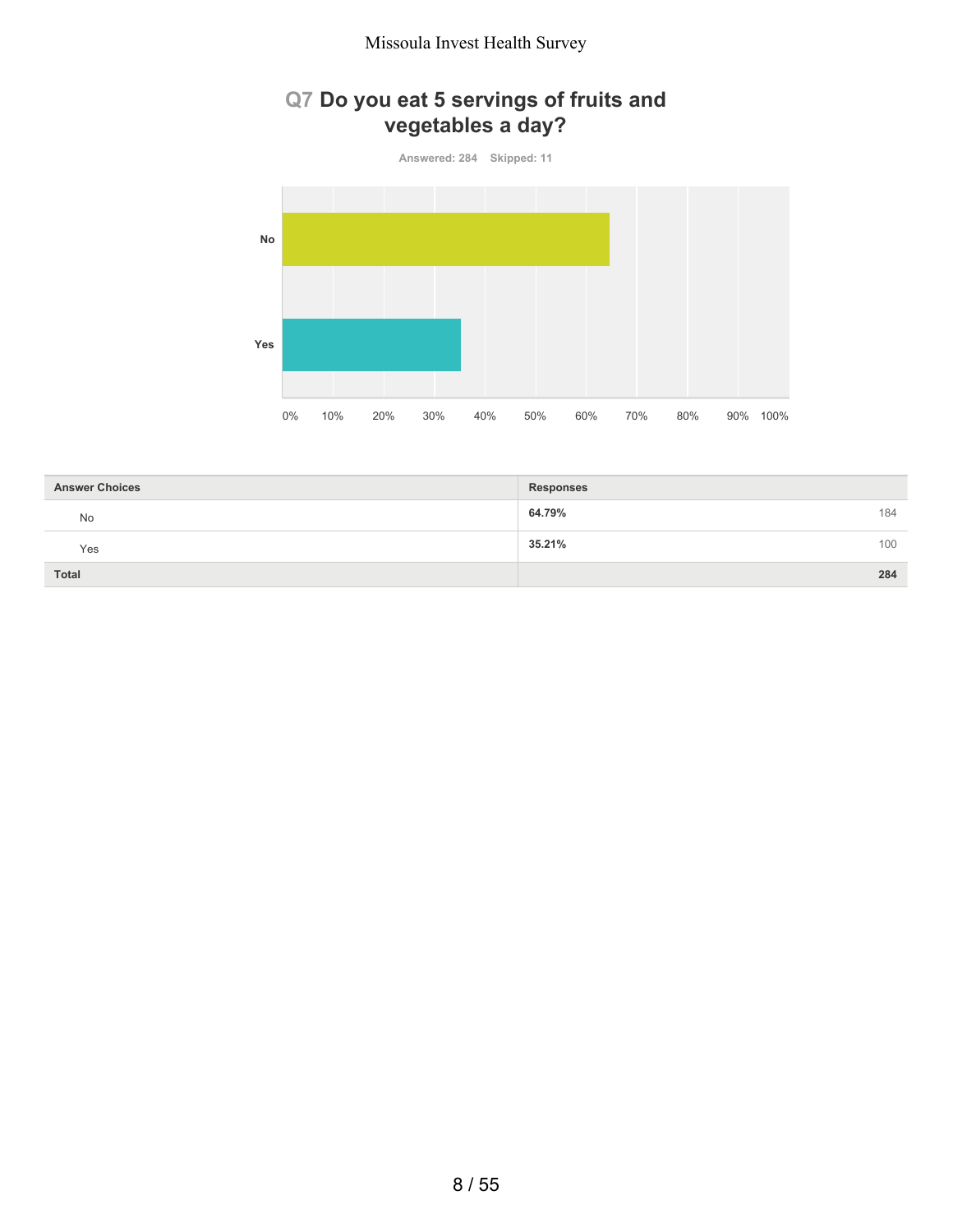# **Q7 Do you eat 5 servings of fruits and vegetables a day?**

**Answered: 284 Skipped: 11**



| <b>Answer Choices</b> | <b>Responses</b> |     |
|-----------------------|------------------|-----|
| No                    | 64.79%           | 184 |
| Yes                   | 35.21%           | 100 |
| <b>Total</b>          |                  | 284 |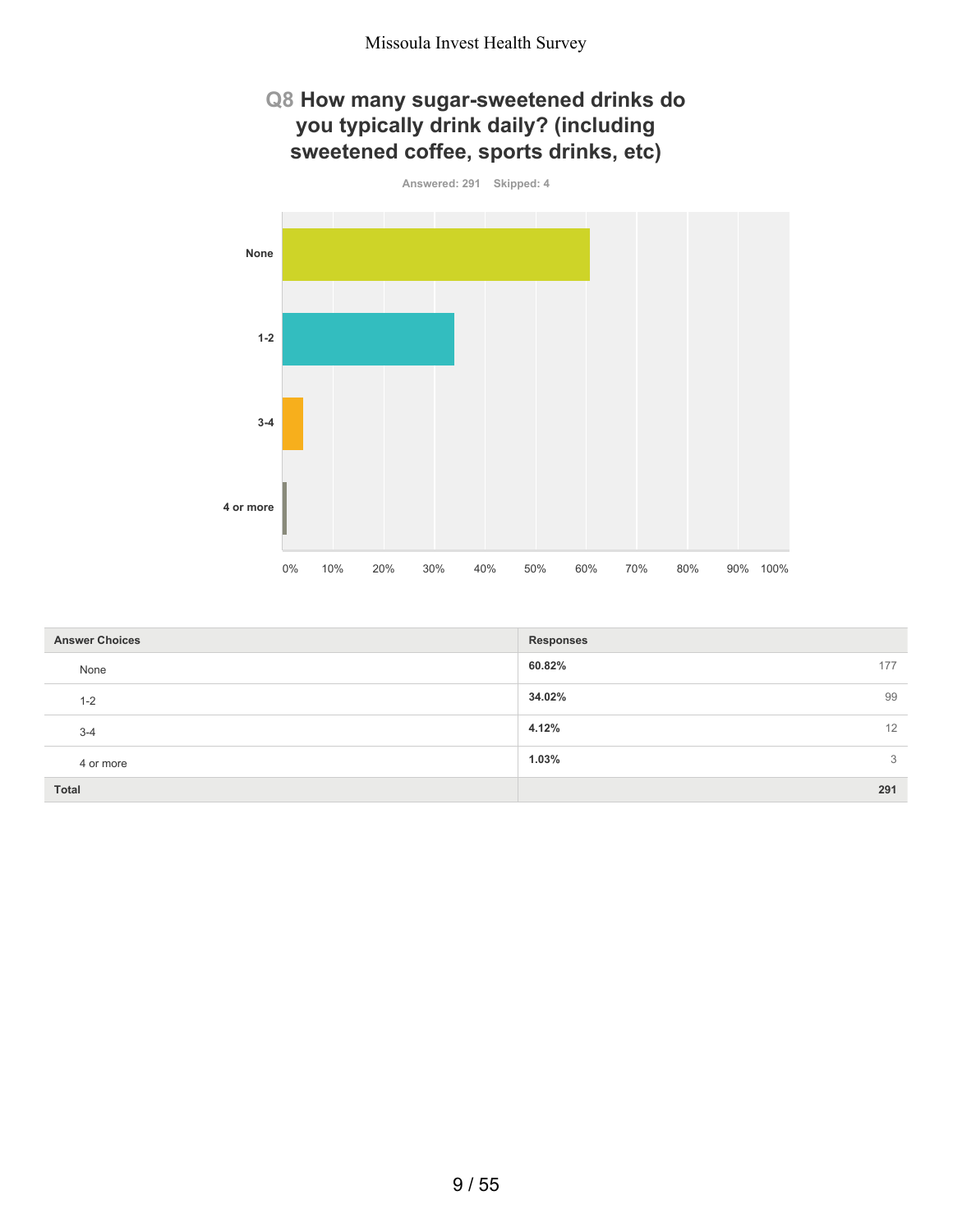## **Q8 How many sugar-sweetened drinks do you typically drink daily? (including sweetened coffee, sports drinks, etc)**



| <b>Answer Choices</b> | <b>Responses</b> |
|-----------------------|------------------|
| None                  | 60.82%<br>177    |
| $1 - 2$               | 99<br>34.02%     |
| $3 - 4$               | 4.12%<br>12      |
| 4 or more             | 1.03%<br>3       |
| <b>Total</b>          | 291              |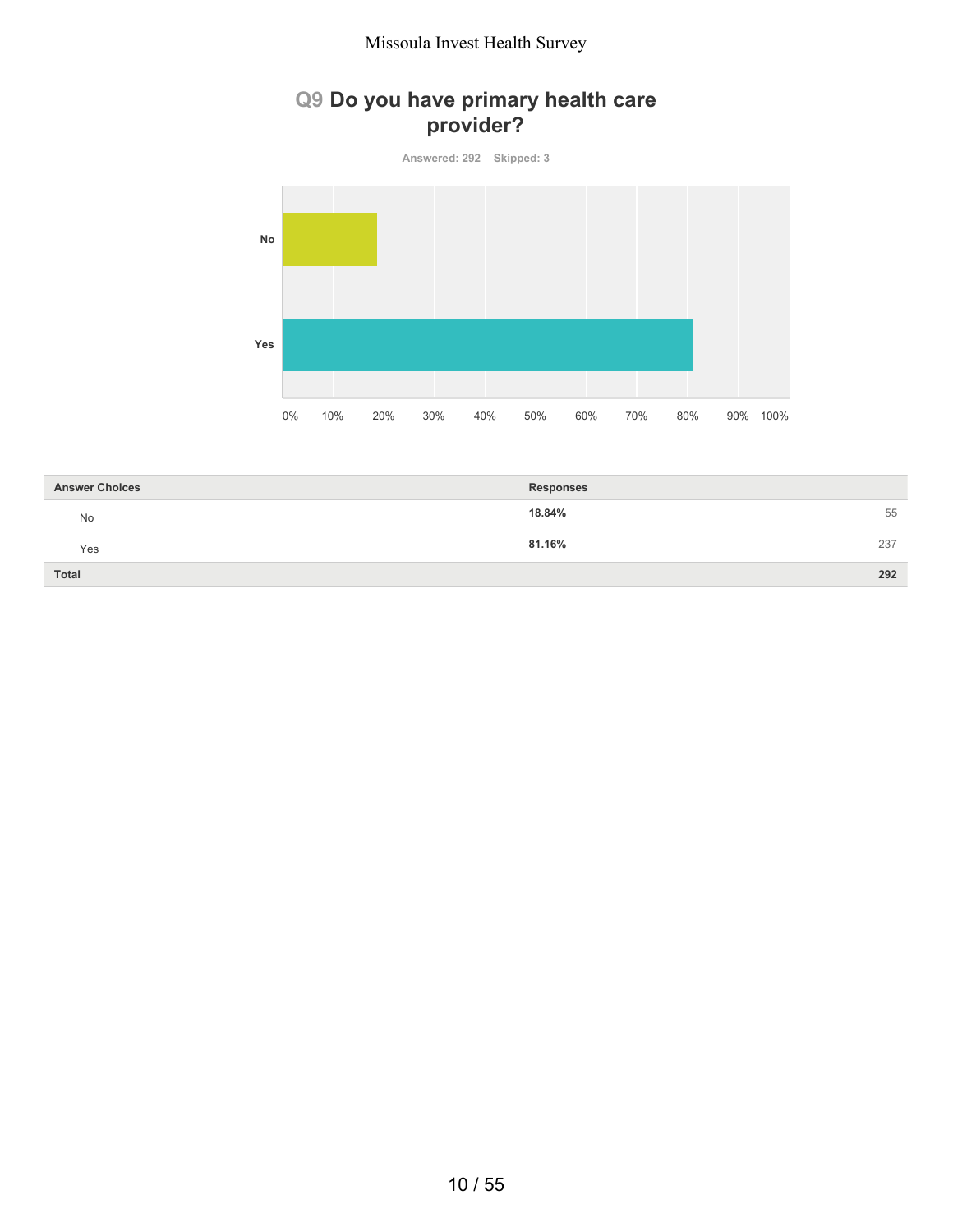## **Q9 Do you have primary health care provider?**

**Answered: 292 Skipped: 3**



| <b>Answer Choices</b> | <b>Responses</b> |     |
|-----------------------|------------------|-----|
| No                    | 18.84%           | 55  |
| Yes                   | 81.16%           | 237 |
| Total                 |                  | 292 |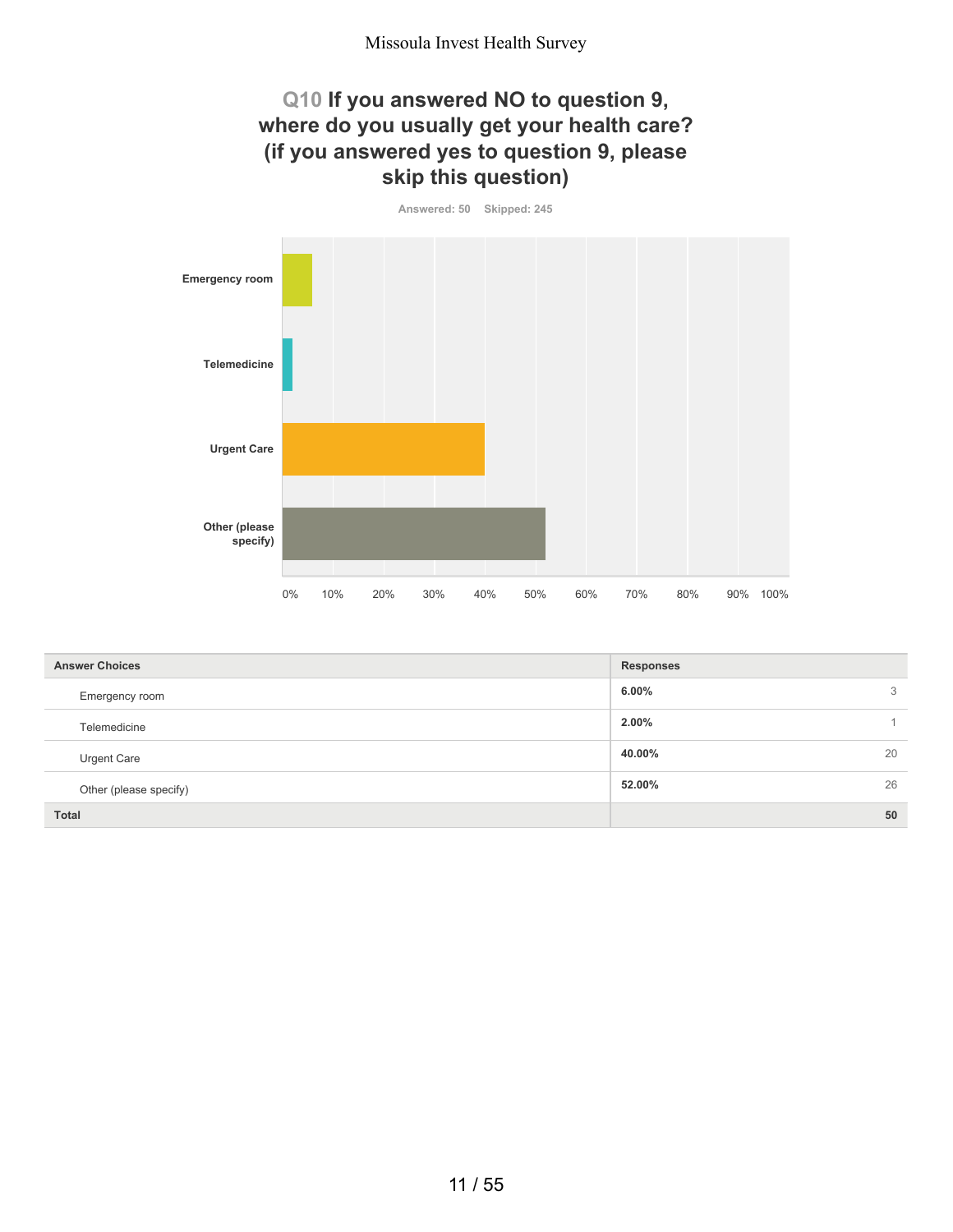## **Q10 If you answered NO to question 9, where do you usually get your health care? (if you answered yes to question 9, please skip this question)**

**Answered: 50 Skipped: 245**



| <b>Answer Choices</b>  | <b>Responses</b> |
|------------------------|------------------|
| Emergency room         | 6.00%<br>3       |
| Telemedicine           | 2.00%            |
| Urgent Care            | 20<br>40.00%     |
| Other (please specify) | 26<br>52.00%     |
| <b>Total</b>           | 50               |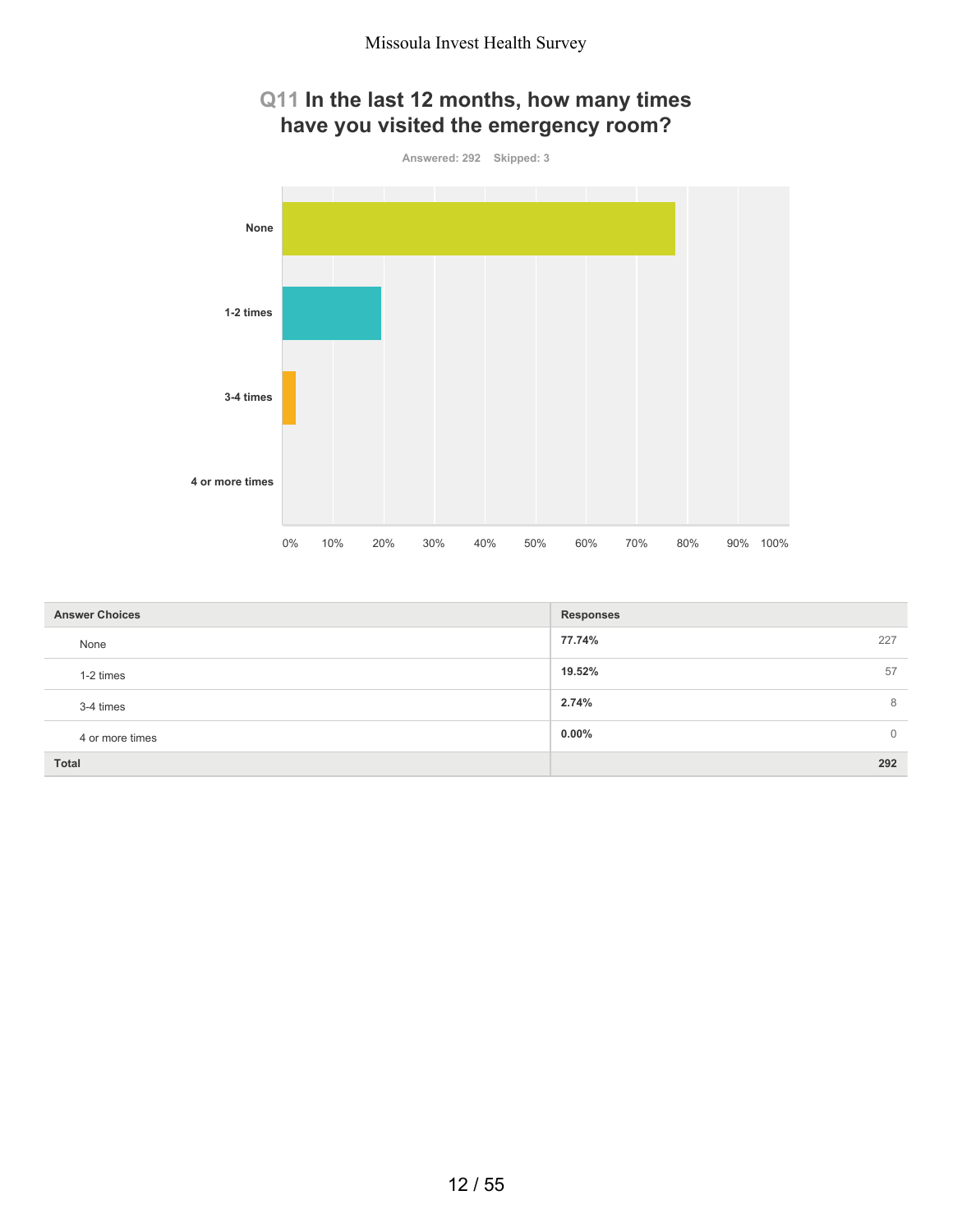## **Q11 In the last 12 months, how many times have you visited the emergency room?**



| <b>Answer Choices</b> | <b>Responses</b>           |
|-----------------------|----------------------------|
| None                  | 77.74%<br>227              |
| 1-2 times             | 57<br>19.52%               |
| 3-4 times             | 2.74%<br>8                 |
| 4 or more times       | $0.00\%$<br>$\overline{0}$ |
| Total                 | 292                        |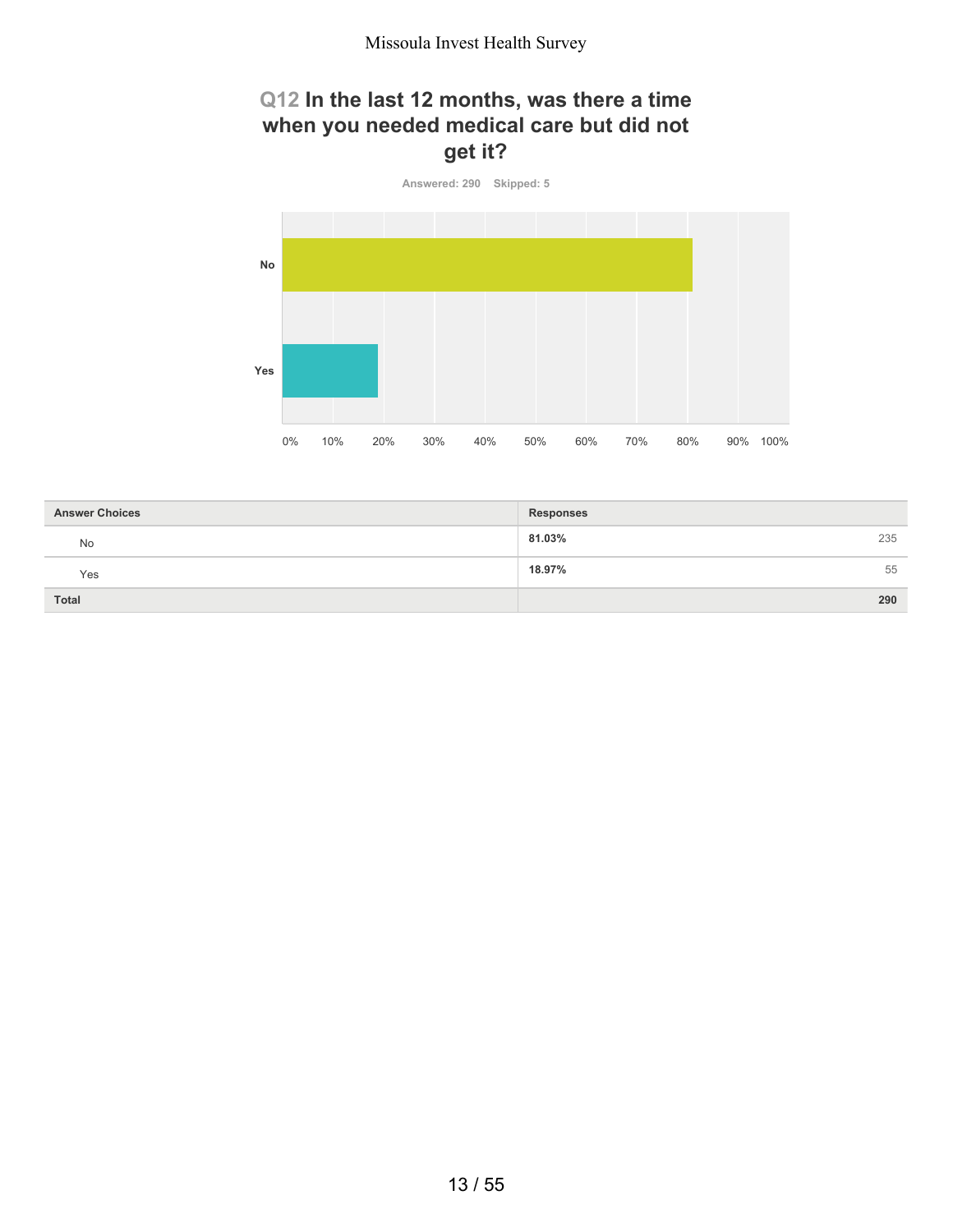## **Q12 In the last 12 months, was there a time when you needed medical care but did not get it?**



| <b>Answer Choices</b> | <b>Responses</b> |
|-----------------------|------------------|
| No                    | 81.03%<br>235    |
| Yes                   | 18.97%<br>55     |
| <b>Total</b>          | 290              |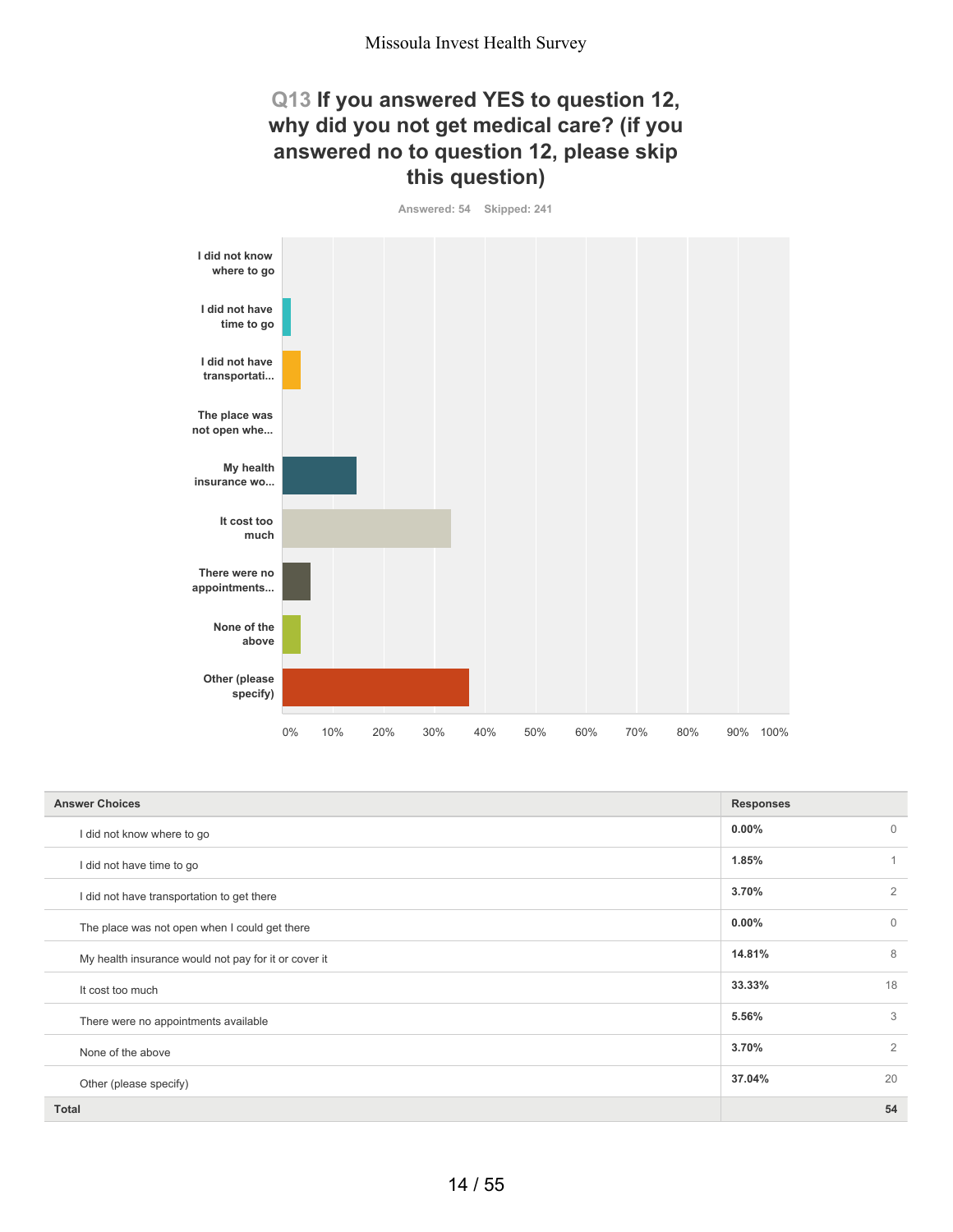## **Q13 If you answered YES to question 12, why did you not get medical care? (if you answered no to question 12, please skip this question)**

**Answered: 54 Skipped: 241**



| <b>Answer Choices</b>                                | <b>Responses</b> |                |
|------------------------------------------------------|------------------|----------------|
| I did not know where to go                           | $0.00\%$         | $\mathbf{0}$   |
| I did not have time to go                            | 1.85%            | $\mathbf{1}$   |
| I did not have transportation to get there           | 3.70%            | $\overline{2}$ |
| The place was not open when I could get there        | $0.00\%$         | $\Omega$       |
| My health insurance would not pay for it or cover it | 14.81%           | 8              |
| It cost too much                                     | 33.33%           | 18             |
| There were no appointments available                 | 5.56%            | 3              |
| None of the above                                    | 3.70%            | 2              |
| Other (please specify)                               | 37.04%           | 20             |
| <b>Total</b>                                         |                  | 54             |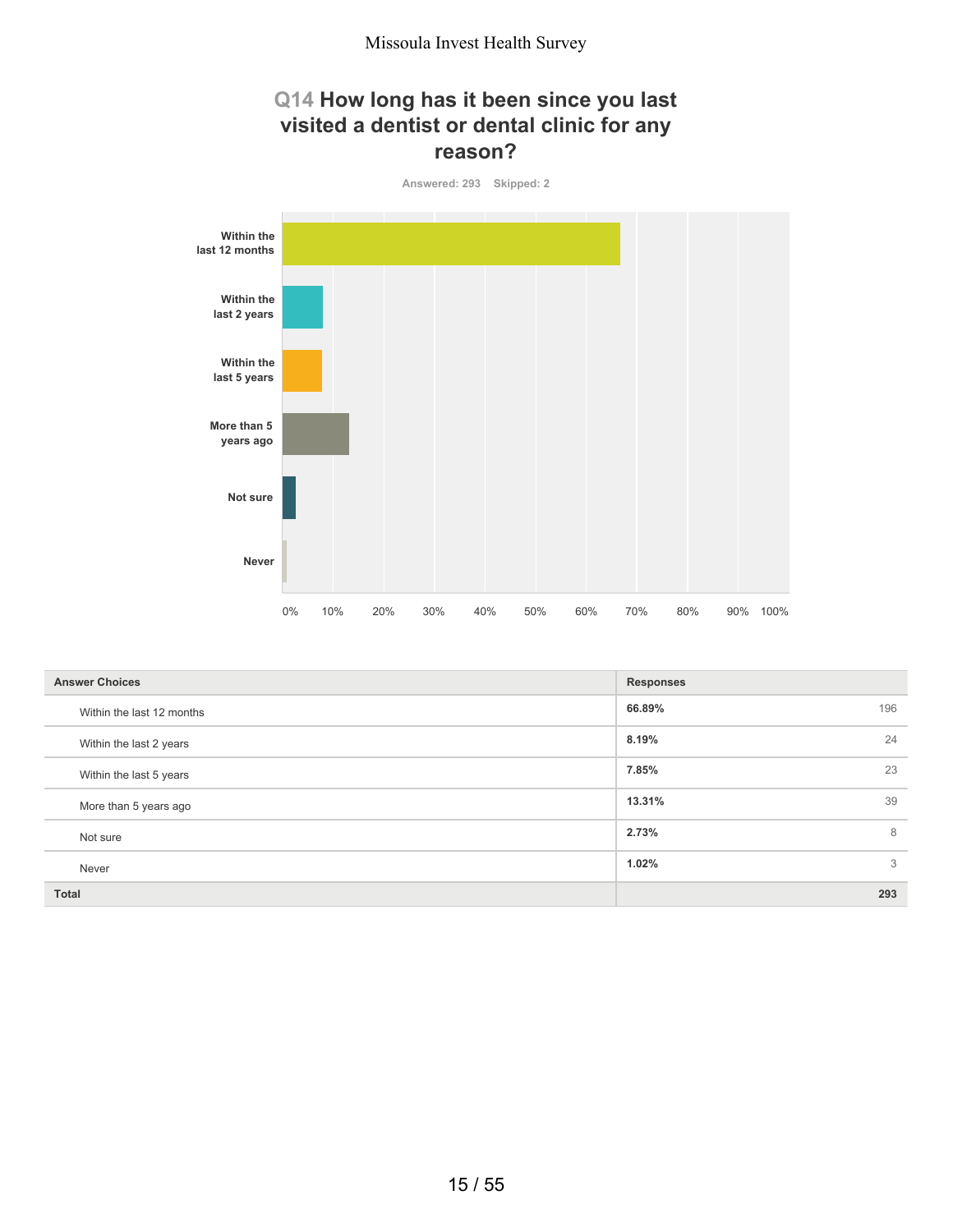## **Q14 How long has it been since you last visited a dentist or dental clinic for any reason?**



| <b>Answer Choices</b>     | <b>Responses</b> |
|---------------------------|------------------|
| Within the last 12 months | 66.89%<br>196    |
| Within the last 2 years   | 24<br>8.19%      |
| Within the last 5 years   | 23<br>7.85%      |
| More than 5 years ago     | 39<br>13.31%     |
| Not sure                  | 2.73%<br>8       |
| Never                     | 3<br>1.02%       |
| <b>Total</b>              | 293              |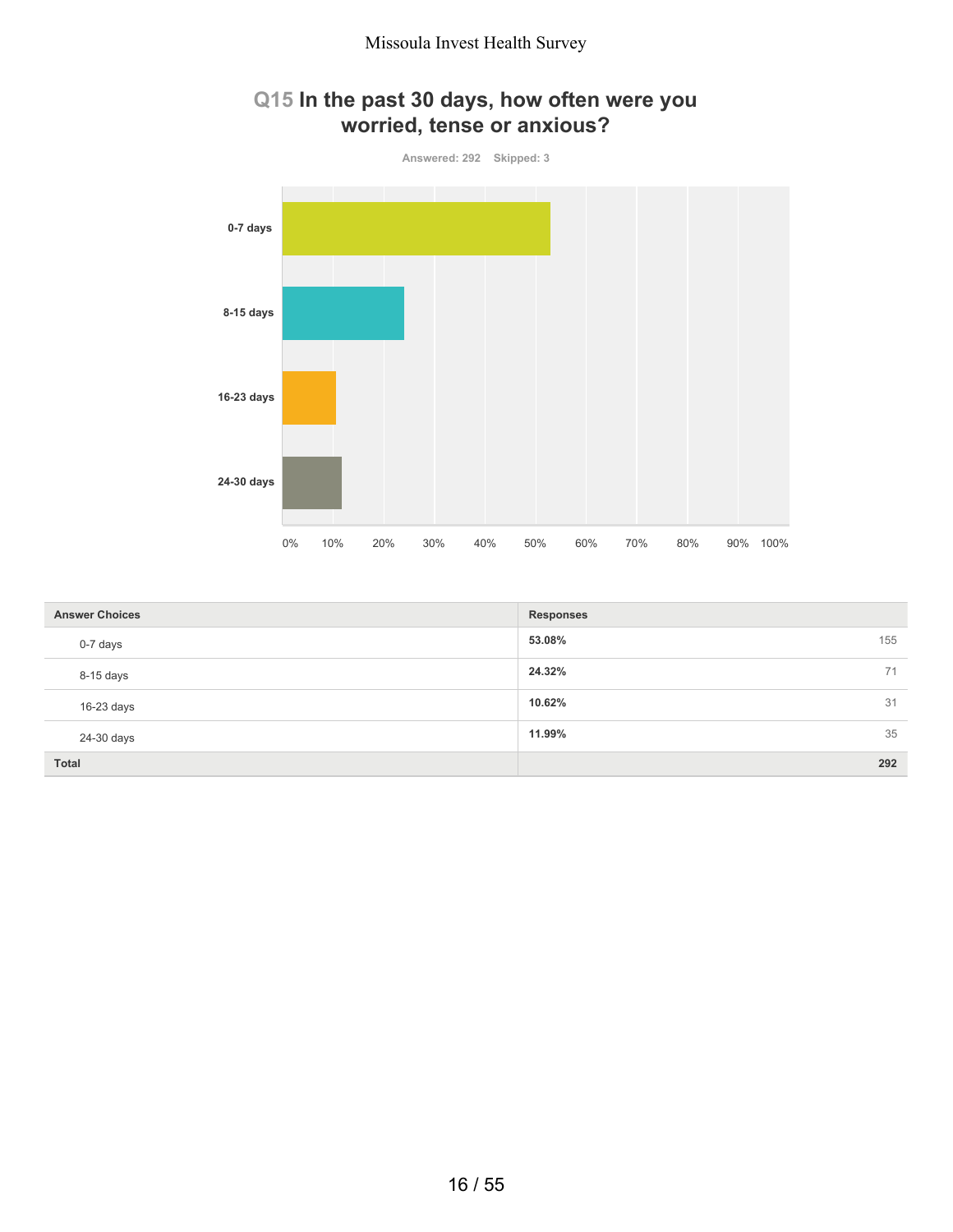

| Q15 In the past 30 days, how often were you |
|---------------------------------------------|
| worried, tense or anxious?                  |

| <b>Answer Choices</b> | <b>Responses</b> |     |
|-----------------------|------------------|-----|
| 0-7 days              | 53.08%           | 155 |
| 8-15 days             | 24.32%           | 71  |
| $16-23$ days          | 10.62%           | 31  |
| 24-30 days            | 11.99%           | 35  |
| <b>Total</b>          |                  | 292 |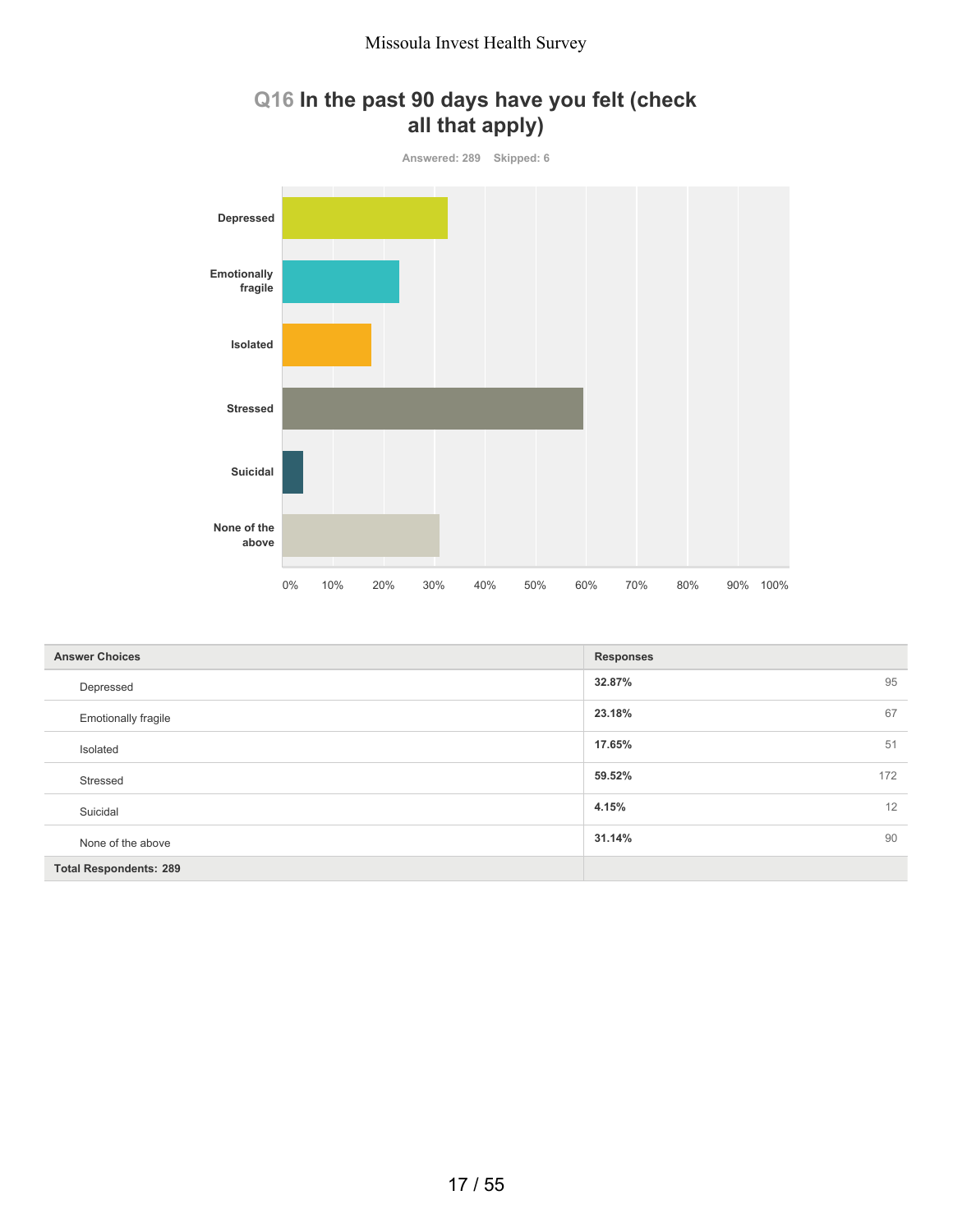



| <b>Answer Choices</b>         | <b>Responses</b> |
|-------------------------------|------------------|
| Depressed                     | 95<br>32.87%     |
| <b>Emotionally fragile</b>    | 67<br>23.18%     |
| Isolated                      | 51<br>17.65%     |
| Stressed                      | 172<br>59.52%    |
| Suicidal                      | 12<br>4.15%      |
| None of the above             | 90<br>31.14%     |
| <b>Total Respondents: 289</b> |                  |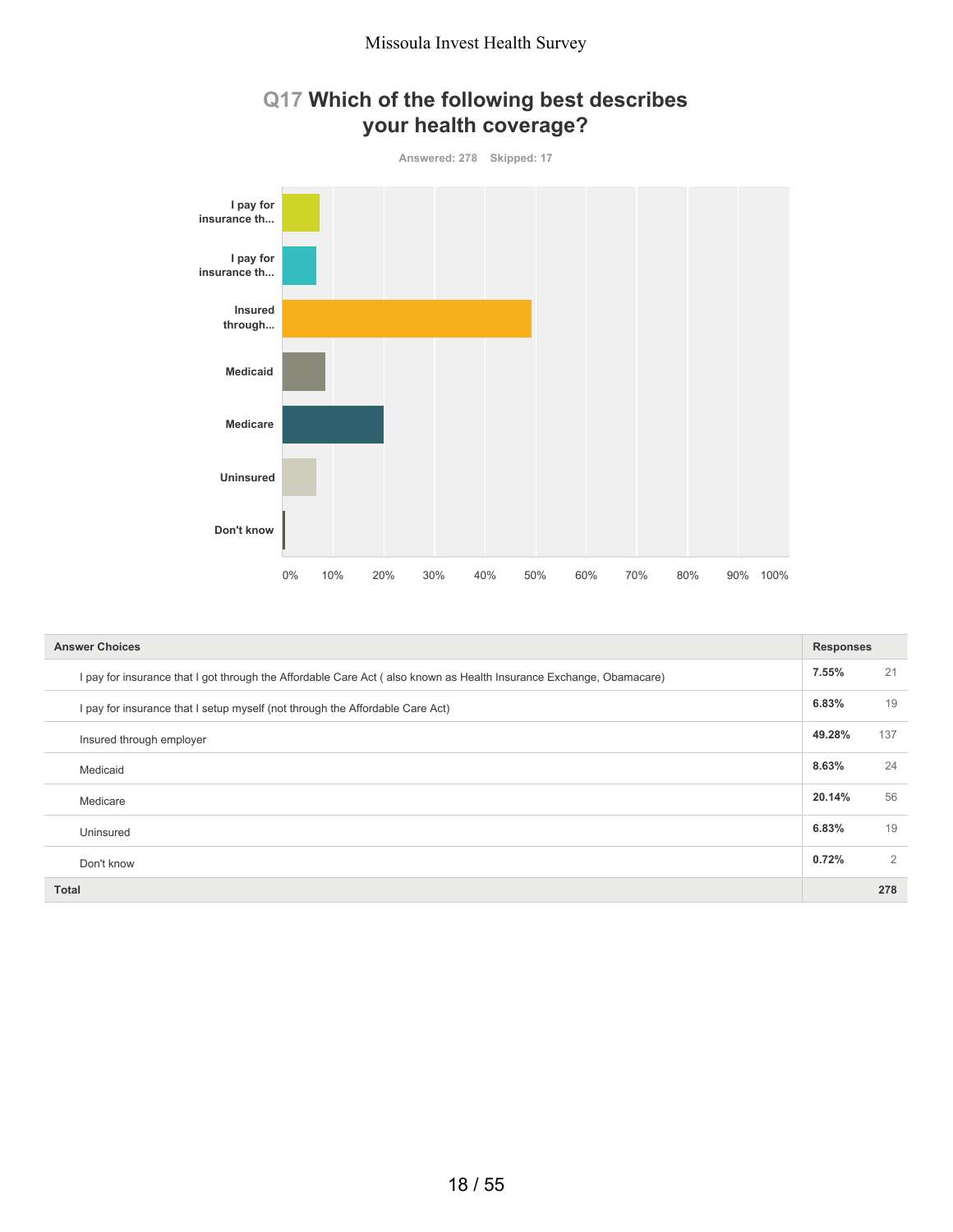



| <b>Answer Choices</b>                                                                                               | <b>Responses</b> |     |
|---------------------------------------------------------------------------------------------------------------------|------------------|-----|
| I pay for insurance that I got through the Affordable Care Act (also known as Health Insurance Exchange, Obamacare) | 7.55%            | 21  |
| I pay for insurance that I setup myself (not through the Affordable Care Act)                                       | 6.83%            | 19  |
| Insured through employer                                                                                            | 49.28%           | 137 |
| Medicaid                                                                                                            | 8.63%            | 24  |
| Medicare                                                                                                            | 20.14%           | 56  |
| Uninsured                                                                                                           | 6.83%            | 19  |
| Don't know                                                                                                          | 0.72%            | 2   |
| <b>Total</b>                                                                                                        |                  | 278 |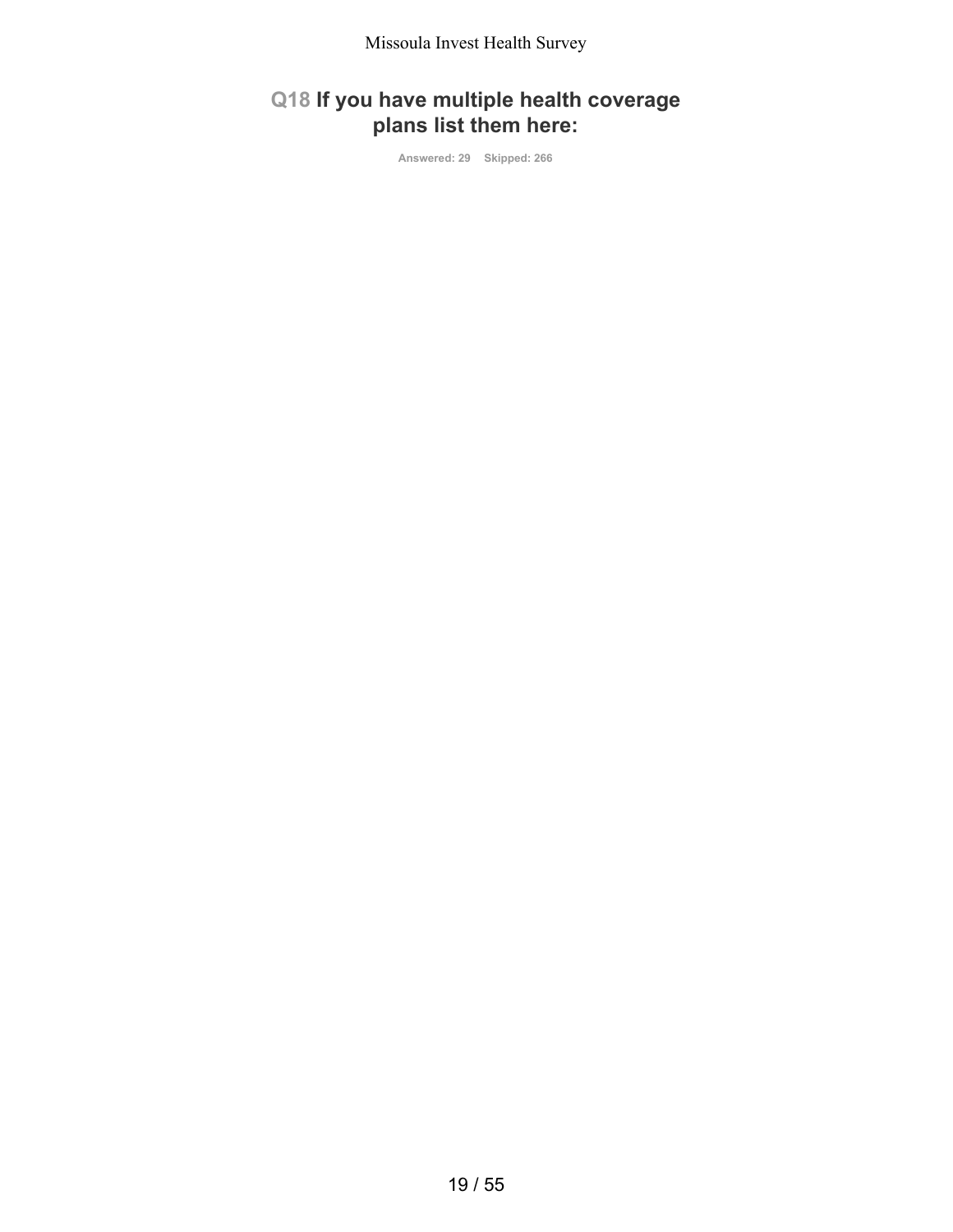## **Q18 If you have multiple health coverage plans list them here:**

**Answered: 29 Skipped: 266**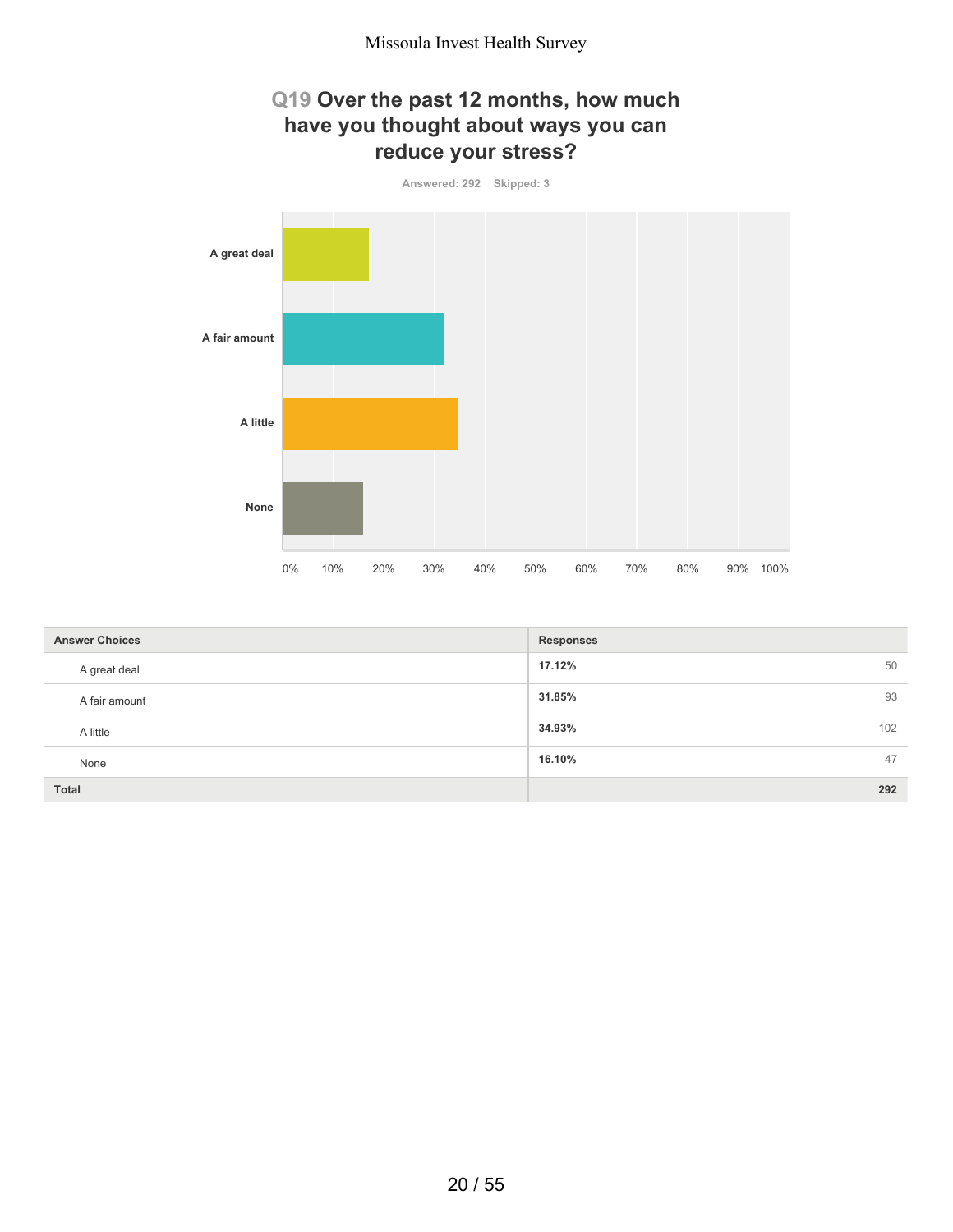## **Q19 Over the past 12 months, how much have you thought about ways you can reduce your stress?**



| <b>Answer Choices</b> | <b>Responses</b> |
|-----------------------|------------------|
| A great deal          | 17.12%<br>50     |
| A fair amount         | 31.85%<br>93     |
| A little              | 34.93%<br>102    |
| None                  | 47<br>16.10%     |
| <b>Total</b>          | 292              |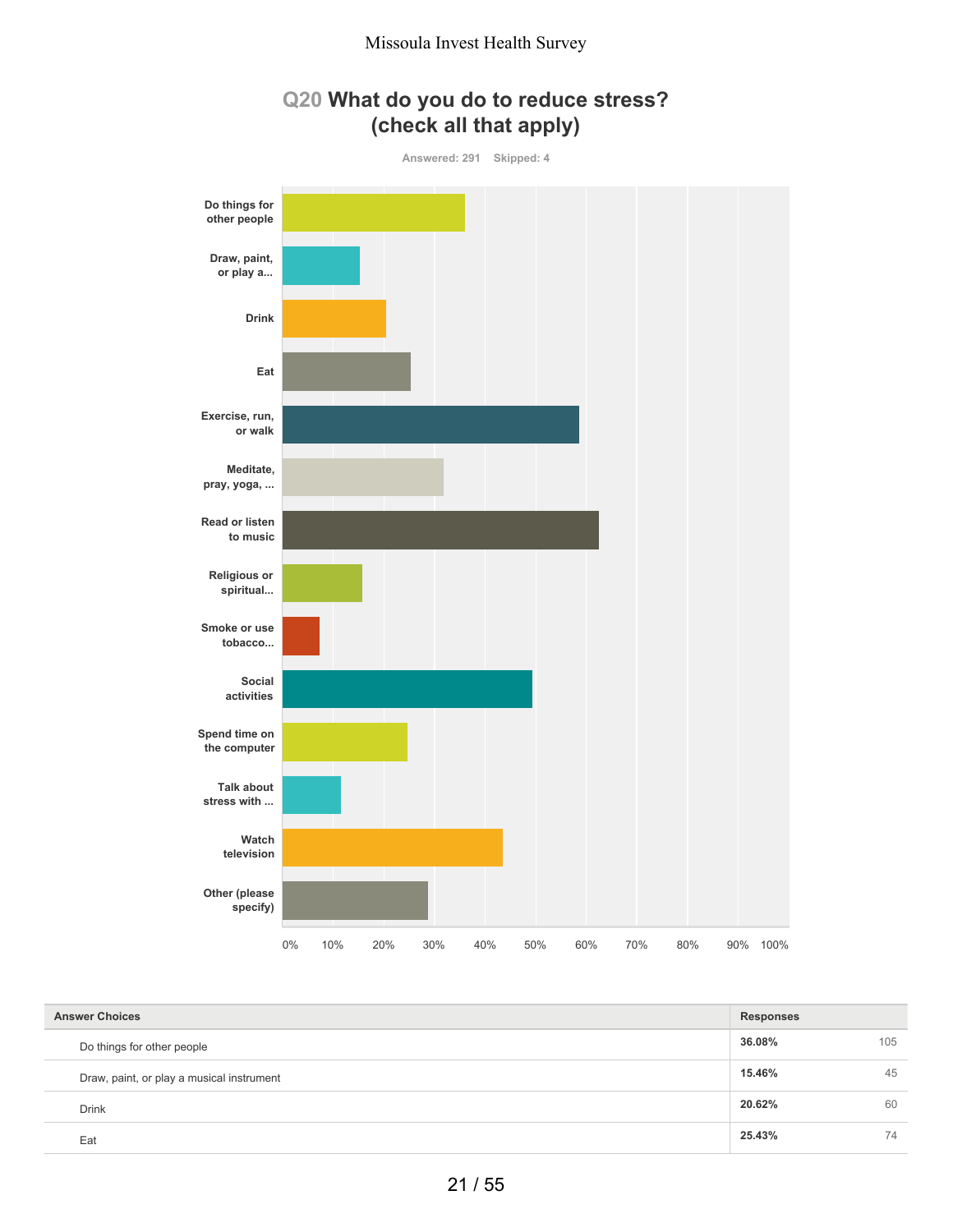



| <b>Answer Choices</b>                     | <b>Responses</b> |     |
|-------------------------------------------|------------------|-----|
| Do things for other people                | 36.08%           | 105 |
| Draw, paint, or play a musical instrument | 15.46%           | 45  |
| <b>Drink</b>                              | 20.62%           | 60  |
| Eat                                       | 25.43%           | 74  |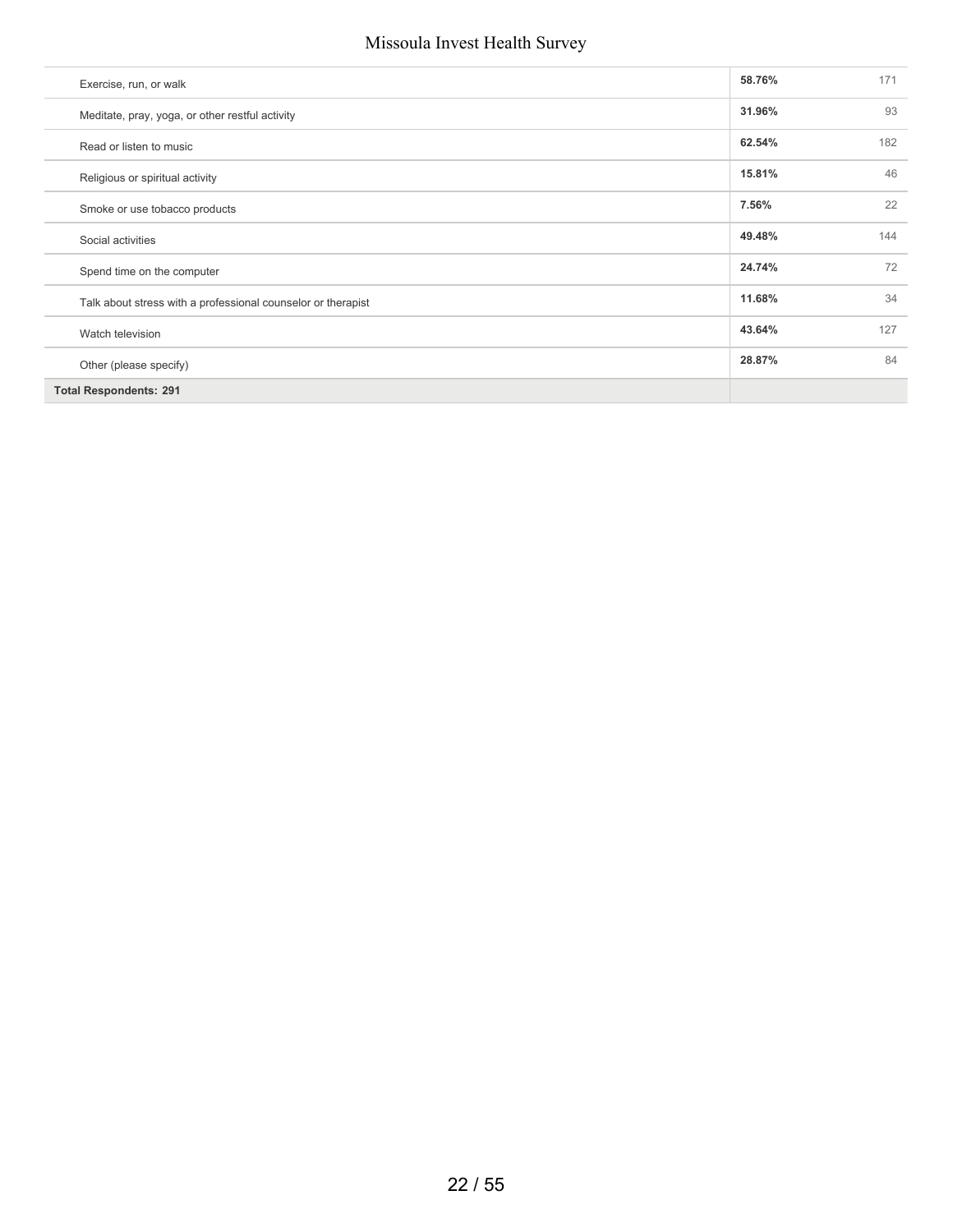| Exercise, run, or walk                                       | 58.76% | 171 |
|--------------------------------------------------------------|--------|-----|
| Meditate, pray, yoga, or other restful activity              | 31.96% | 93  |
| Read or listen to music                                      | 62.54% | 182 |
| Religious or spiritual activity                              | 15.81% | 46  |
| Smoke or use tobacco products                                | 7.56%  | 22  |
| Social activities                                            | 49.48% | 144 |
| Spend time on the computer                                   | 24.74% | 72  |
| Talk about stress with a professional counselor or therapist | 11.68% | 34  |
| Watch television                                             | 43.64% | 127 |
| Other (please specify)                                       | 28.87% | 84  |
| <b>Total Respondents: 291</b>                                |        |     |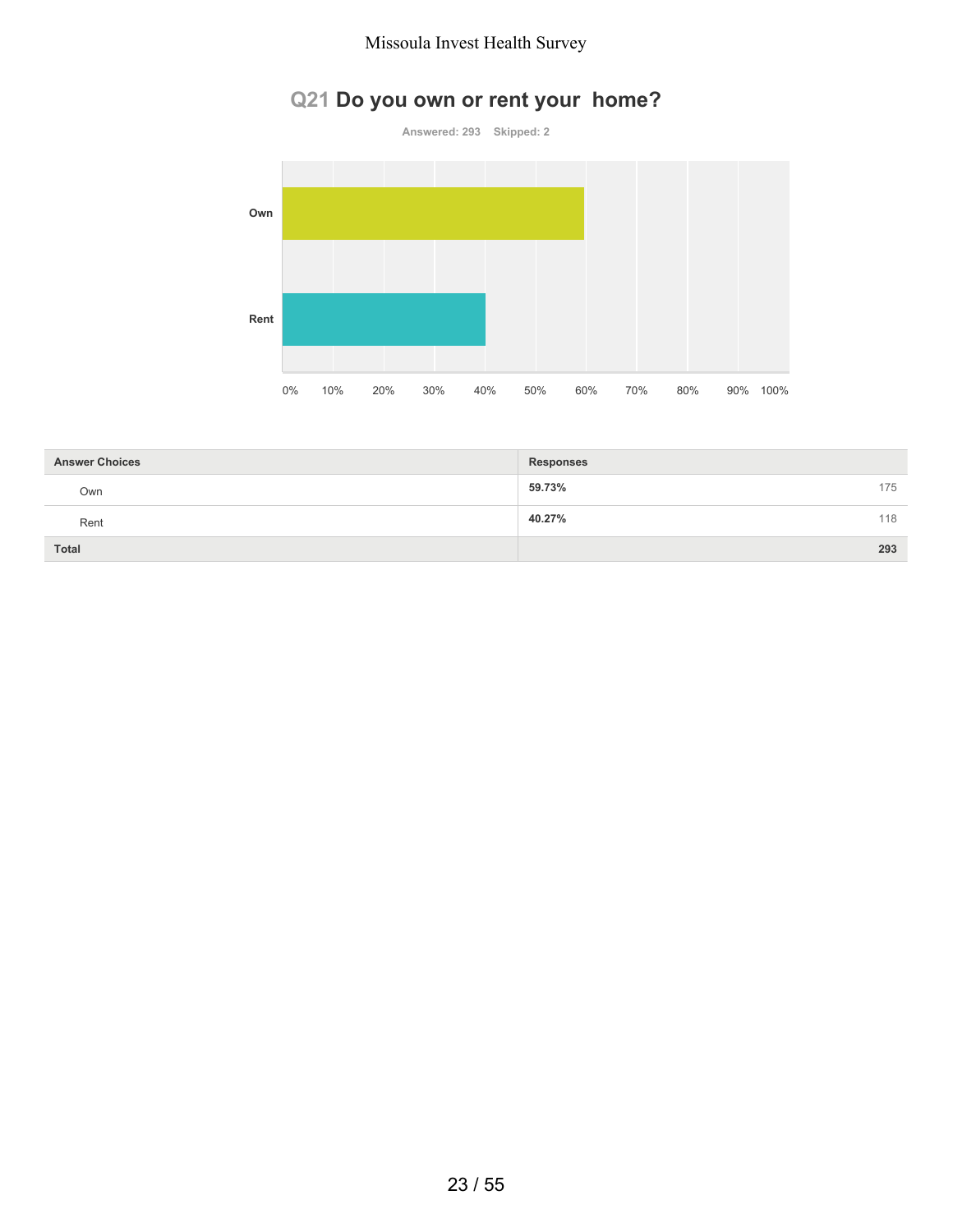# **Q21 Do you own or rent your home?**



| <b>Answer Choices</b> | <b>Responses</b> |     |
|-----------------------|------------------|-----|
| Own                   | 59.73%           | 175 |
| Rent                  | 40.27%           | 118 |
| Total                 |                  | 293 |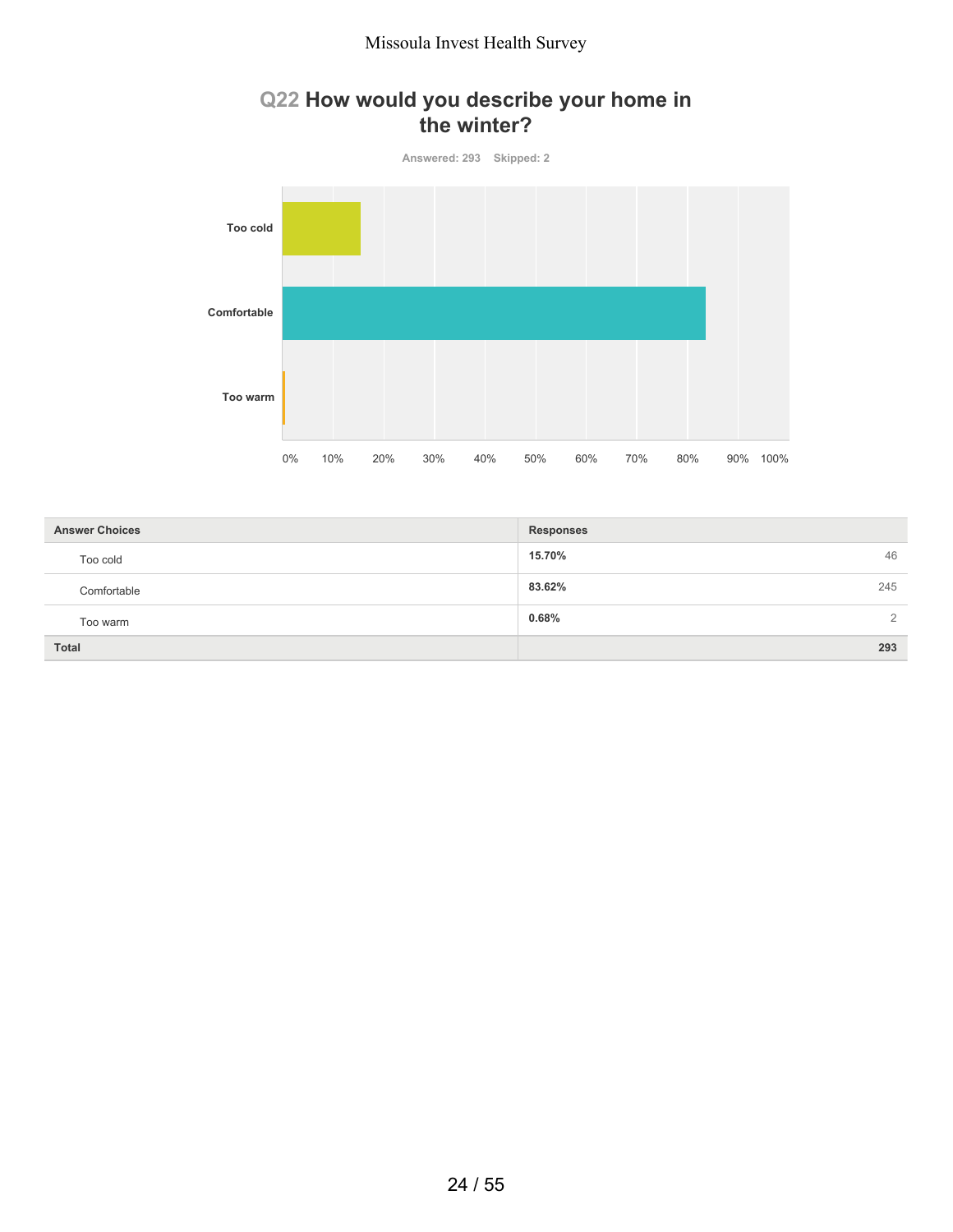## **Q22 How would you describe your home in the winter?**



| <b>Answer Choices</b> | <b>Responses</b>        |
|-----------------------|-------------------------|
| Too cold              | 46<br>15.70%            |
| Comfortable           | 83.62%<br>245           |
| Too warm              | 0.68%<br>$\overline{2}$ |
| <b>Total</b>          | 293                     |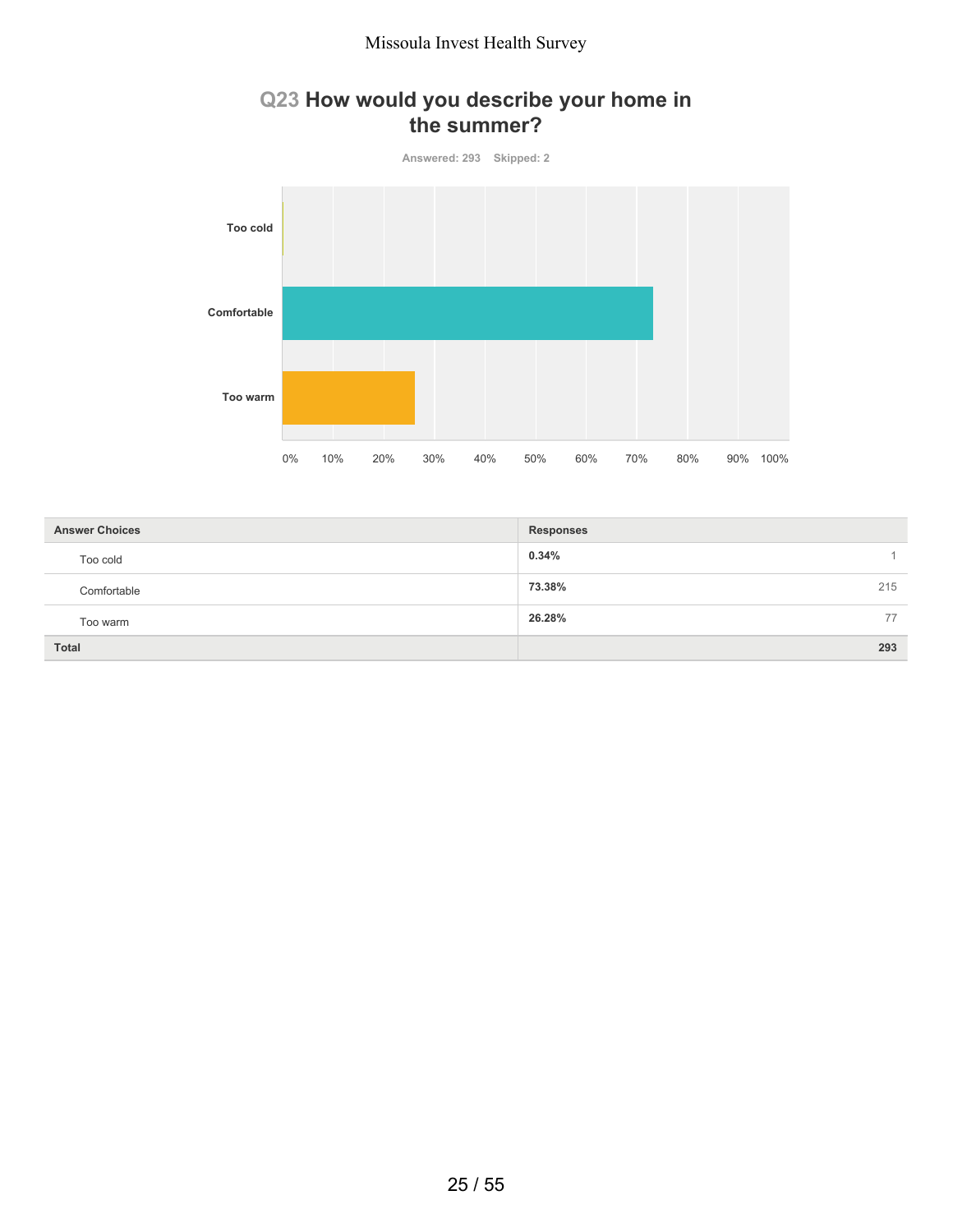## **Q23 How would you describe your home in the summer?**



| <b>Answer Choices</b> | <b>Responses</b> |
|-----------------------|------------------|
| Too cold              | 0.34%            |
| Comfortable           | 73.38%<br>215    |
| Too warm              | 26.28%<br>77     |
| <b>Total</b>          | 293              |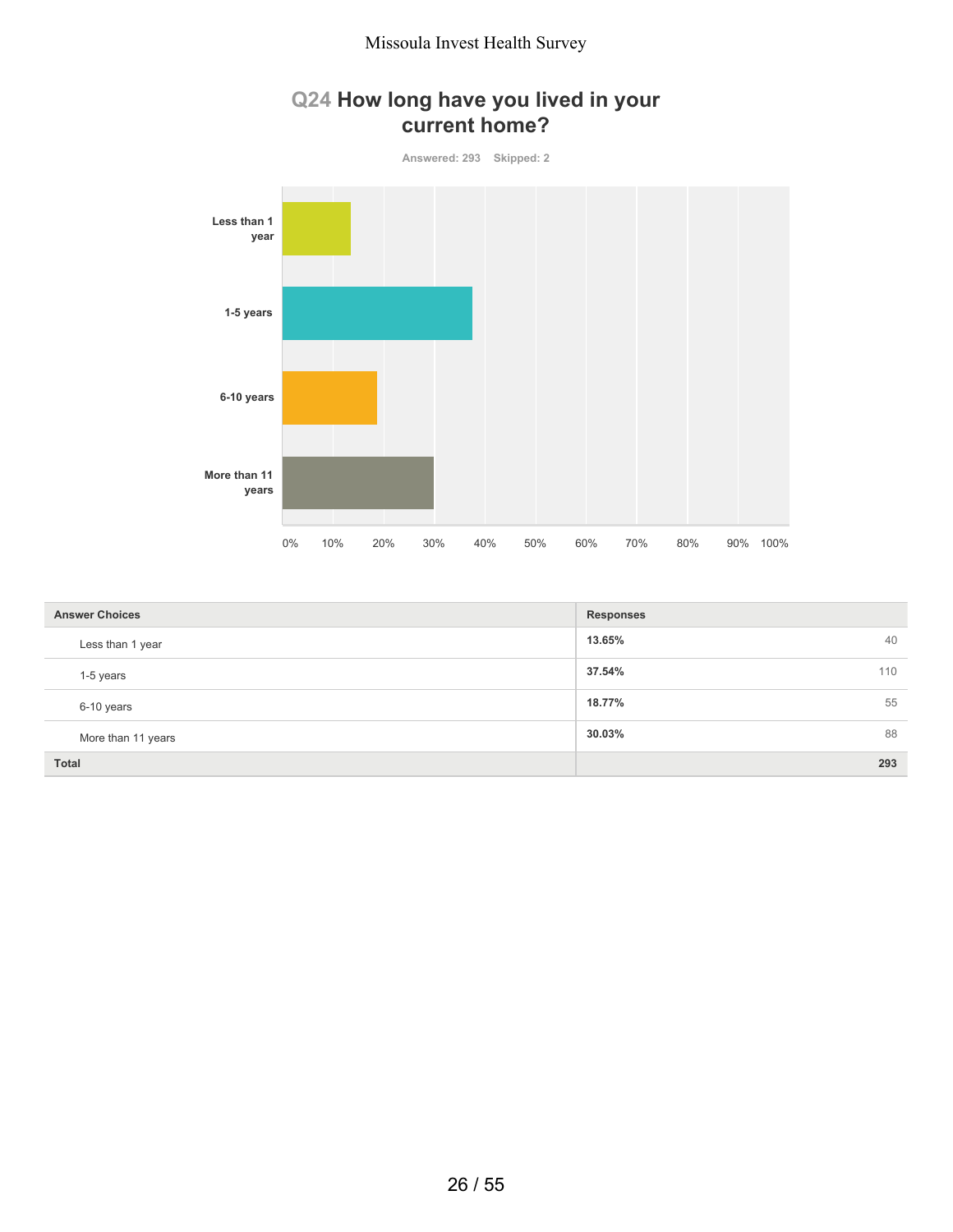## **Q24 How long have you lived in your current home?**



| <b>Answer Choices</b> | <b>Responses</b> |
|-----------------------|------------------|
| Less than 1 year      | 40<br>13.65%     |
| 1-5 years             | 37.54%<br>110    |
| 6-10 years            | 18.77%<br>55     |
| More than 11 years    | 30.03%<br>88     |
| <b>Total</b>          | 293              |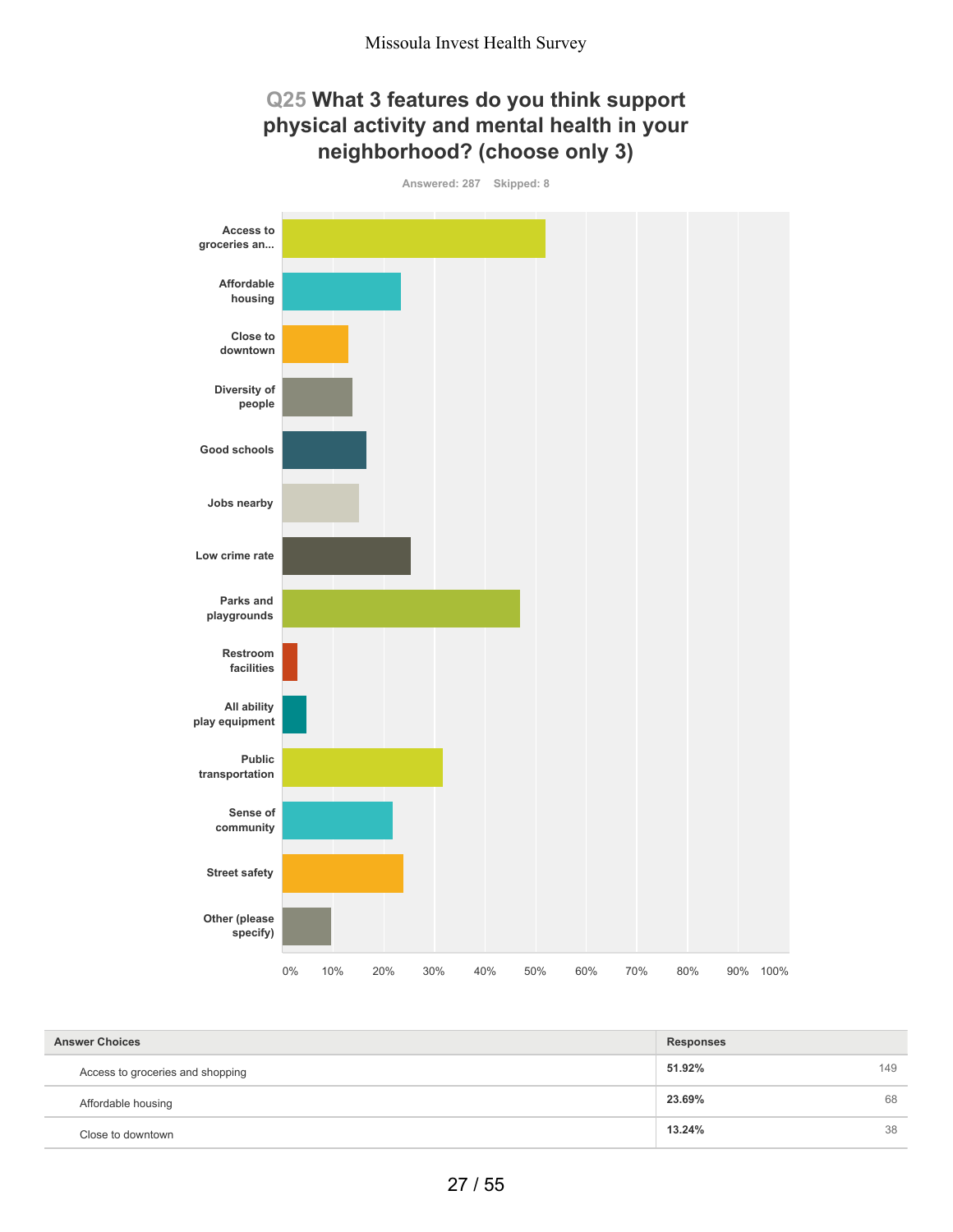## **Q25 What 3 features do you think support physical activity and mental health in your neighborhood? (choose only 3)**



| <b>Answer Choices</b>            | <b>Responses</b> |     |
|----------------------------------|------------------|-----|
| Access to groceries and shopping | 51.92%           | 149 |
| Affordable housing               | 23.69%           | 68  |
| Close to downtown                | 13.24%           | 38  |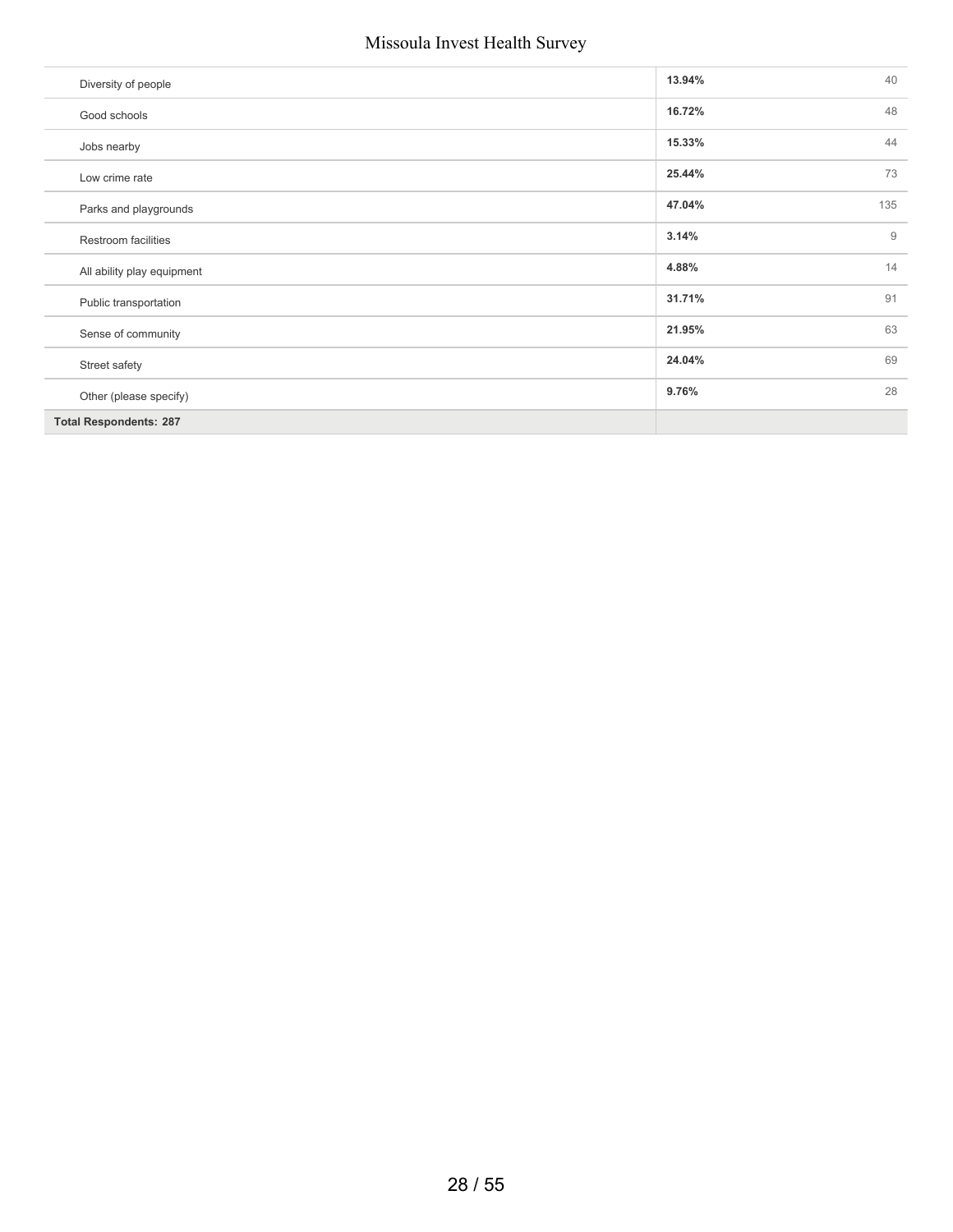| Diversity of people           | 13.94% | 40  |
|-------------------------------|--------|-----|
| Good schools                  | 16.72% | 48  |
| Jobs nearby                   | 15.33% | 44  |
| Low crime rate                | 25.44% | 73  |
| Parks and playgrounds         | 47.04% | 135 |
| Restroom facilities           | 3.14%  | 9   |
| All ability play equipment    | 4.88%  | 14  |
| Public transportation         | 31.71% | 91  |
| Sense of community            | 21.95% | 63  |
| Street safety                 | 24.04% | 69  |
| Other (please specify)        | 9.76%  | 28  |
| <b>Total Respondents: 287</b> |        |     |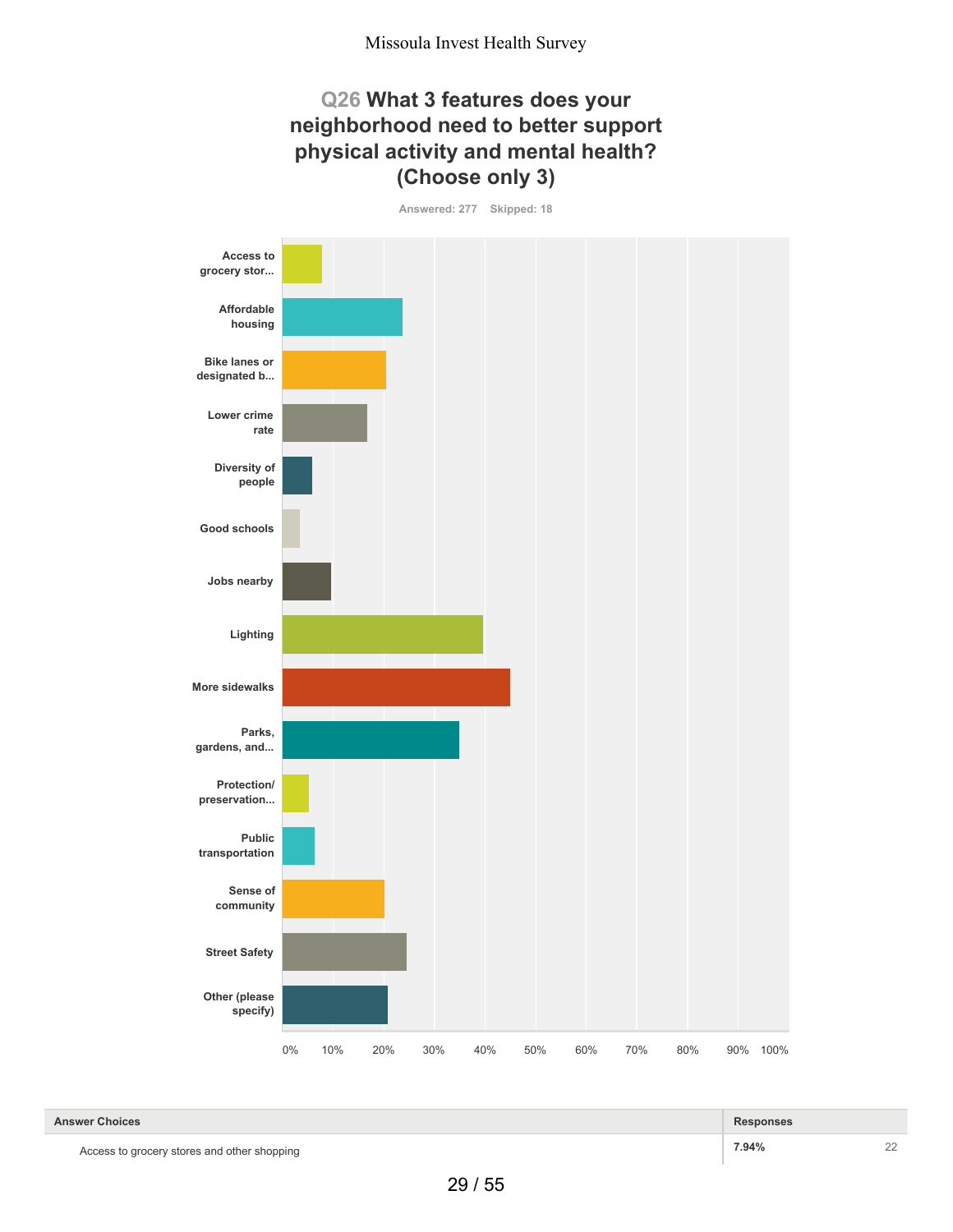#### **Q26 What 3 features does your neighborhood need to better support physical activity and mental health? (Choose only 3)**

**Answered: 277 Skipped: 18**



Access to grocery stores and other shopping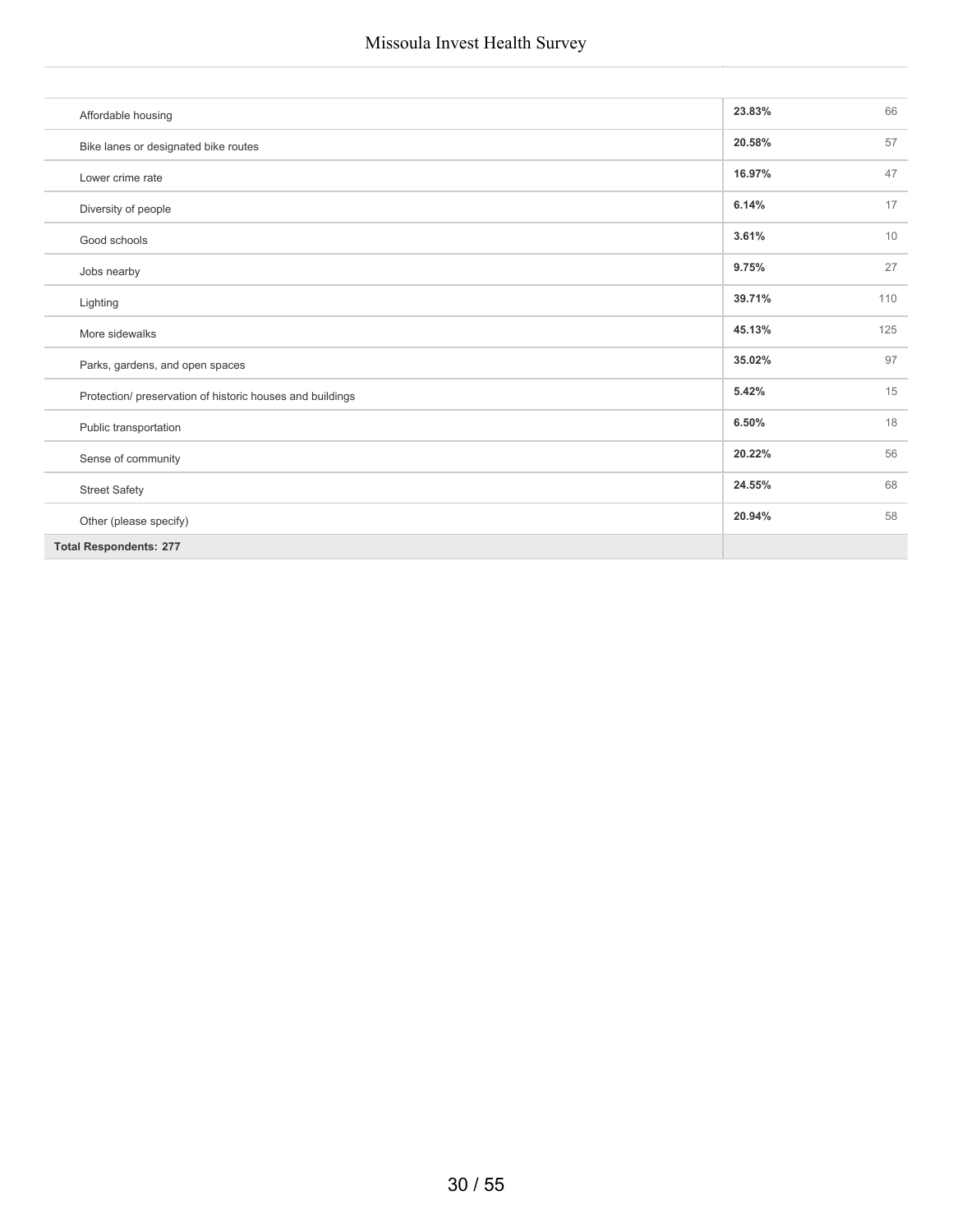| Affordable housing                                        | 23.83% | 66  |
|-----------------------------------------------------------|--------|-----|
| Bike lanes or designated bike routes                      | 20.58% | 57  |
| Lower crime rate                                          | 16.97% | 47  |
| Diversity of people                                       | 6.14%  | 17  |
| Good schools                                              | 3.61%  | 10  |
| Jobs nearby                                               | 9.75%  | 27  |
| Lighting                                                  | 39.71% | 110 |
| More sidewalks                                            | 45.13% | 125 |
| Parks, gardens, and open spaces                           | 35.02% | 97  |
| Protection/ preservation of historic houses and buildings | 5.42%  | 15  |
| Public transportation                                     | 6.50%  | 18  |
| Sense of community                                        | 20.22% | 56  |
| <b>Street Safety</b>                                      | 24.55% | 68  |
| Other (please specify)                                    | 20.94% | 58  |
| <b>Total Respondents: 277</b>                             |        |     |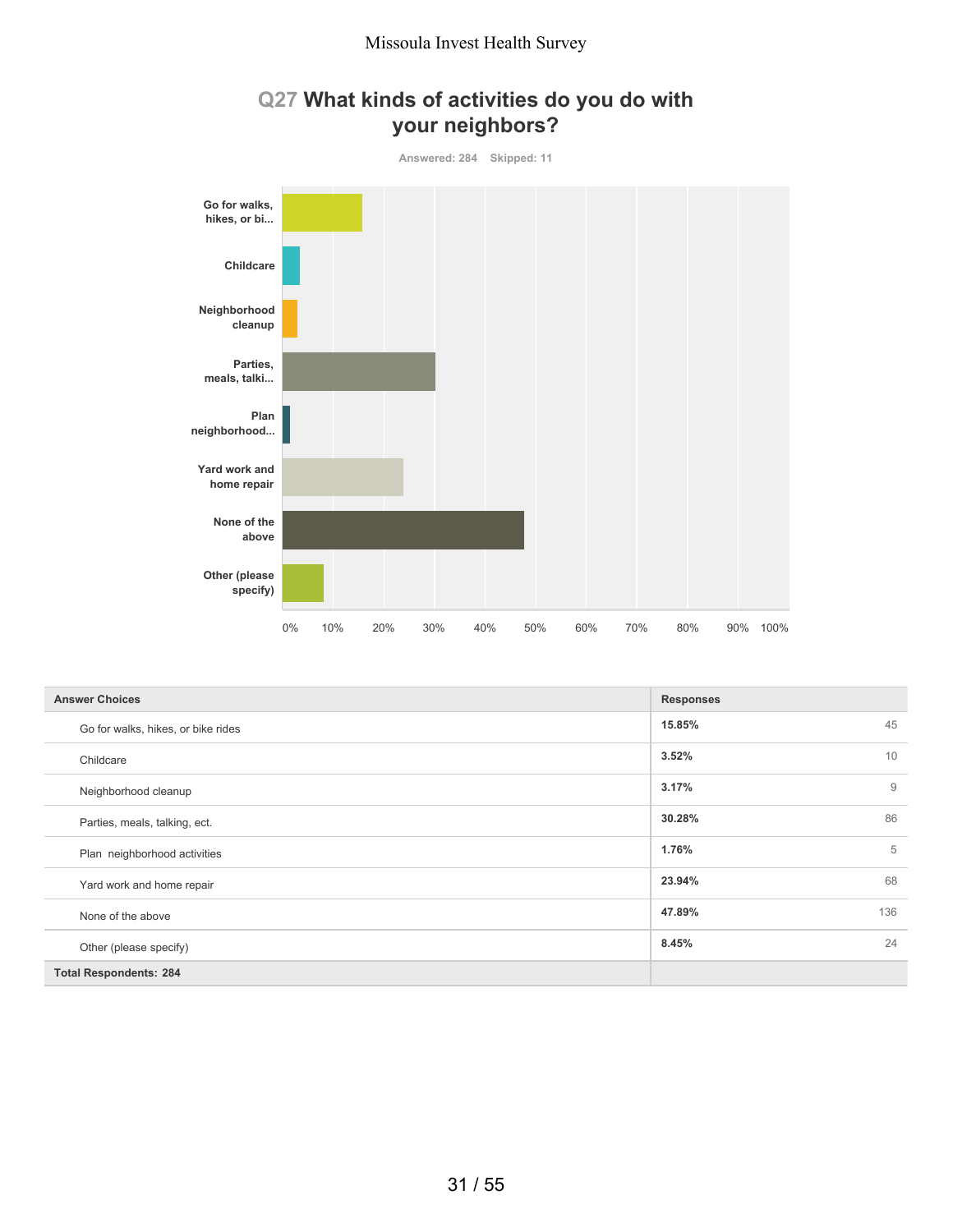

## **Q27 What kinds of activities do you do with your neighbors?**

| <b>Answer Choices</b>              | <b>Responses</b> |
|------------------------------------|------------------|
| Go for walks, hikes, or bike rides | 45<br>15.85%     |
| Childcare                          | 10<br>3.52%      |
| Neighborhood cleanup               | 3.17%<br>9       |
| Parties, meals, talking, ect.      | 86<br>30.28%     |
| Plan neighborhood activities       | 5<br>1.76%       |
| Yard work and home repair          | 68<br>23.94%     |
| None of the above                  | 136<br>47.89%    |
| Other (please specify)             | 24<br>8.45%      |
| <b>Total Respondents: 284</b>      |                  |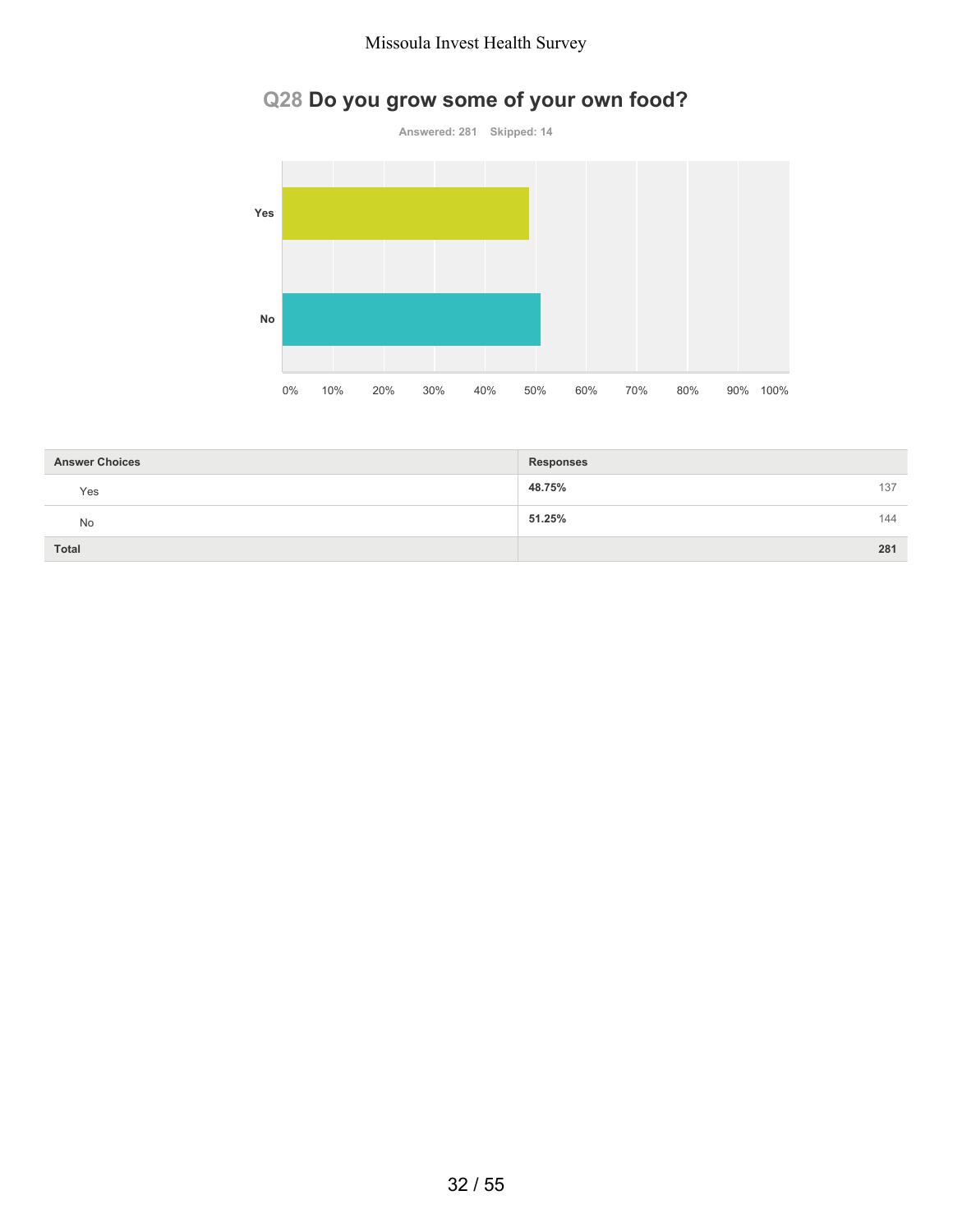# **Q28 Do you grow some of your own food?**



| <b>Answer Choices</b> | <b>Responses</b> |     |
|-----------------------|------------------|-----|
| Yes                   | 48.75%           | 137 |
| <b>No</b>             | 51.25%           | 144 |
| <b>Total</b>          |                  | 281 |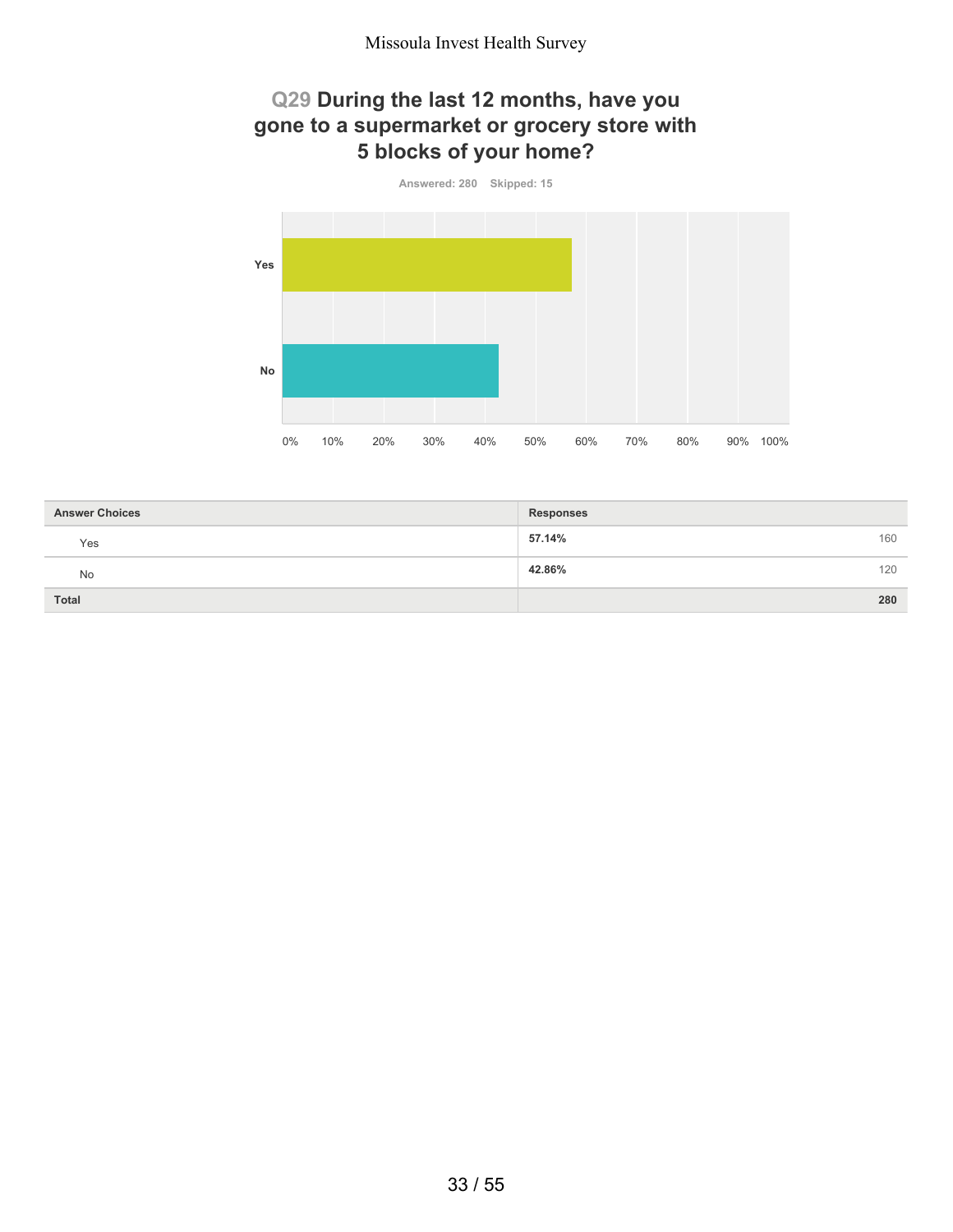## **Q29 During the last 12 months, have you gone to a supermarket or grocery store with 5 blocks of your home?**



| <b>Answer Choices</b> | <b>Responses</b> |
|-----------------------|------------------|
| Yes                   | 57.14%<br>160    |
| No                    | 42.86%<br>120    |
| <b>Total</b>          | 280              |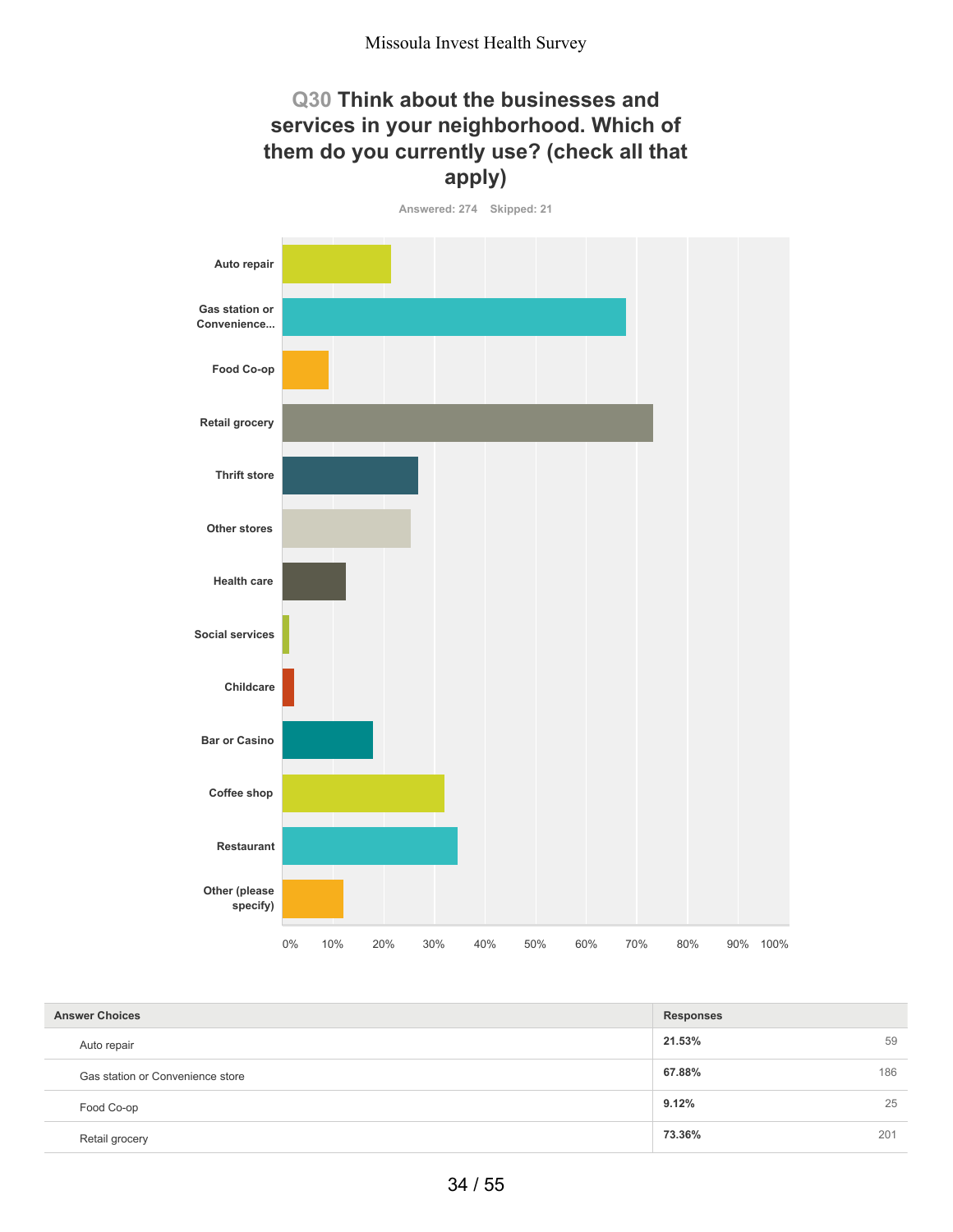## **Q30 Think about the businesses and services in your neighborhood. Which of them do you currently use? (check all that apply)**



| <b>Answer Choices</b>            | <b>Responses</b> |     |
|----------------------------------|------------------|-----|
| Auto repair                      | 21.53%           | 59  |
| Gas station or Convenience store | 67.88%           | 186 |
| Food Co-op                       | 9.12%            | 25  |
| Retail grocery                   | 73.36%           | 201 |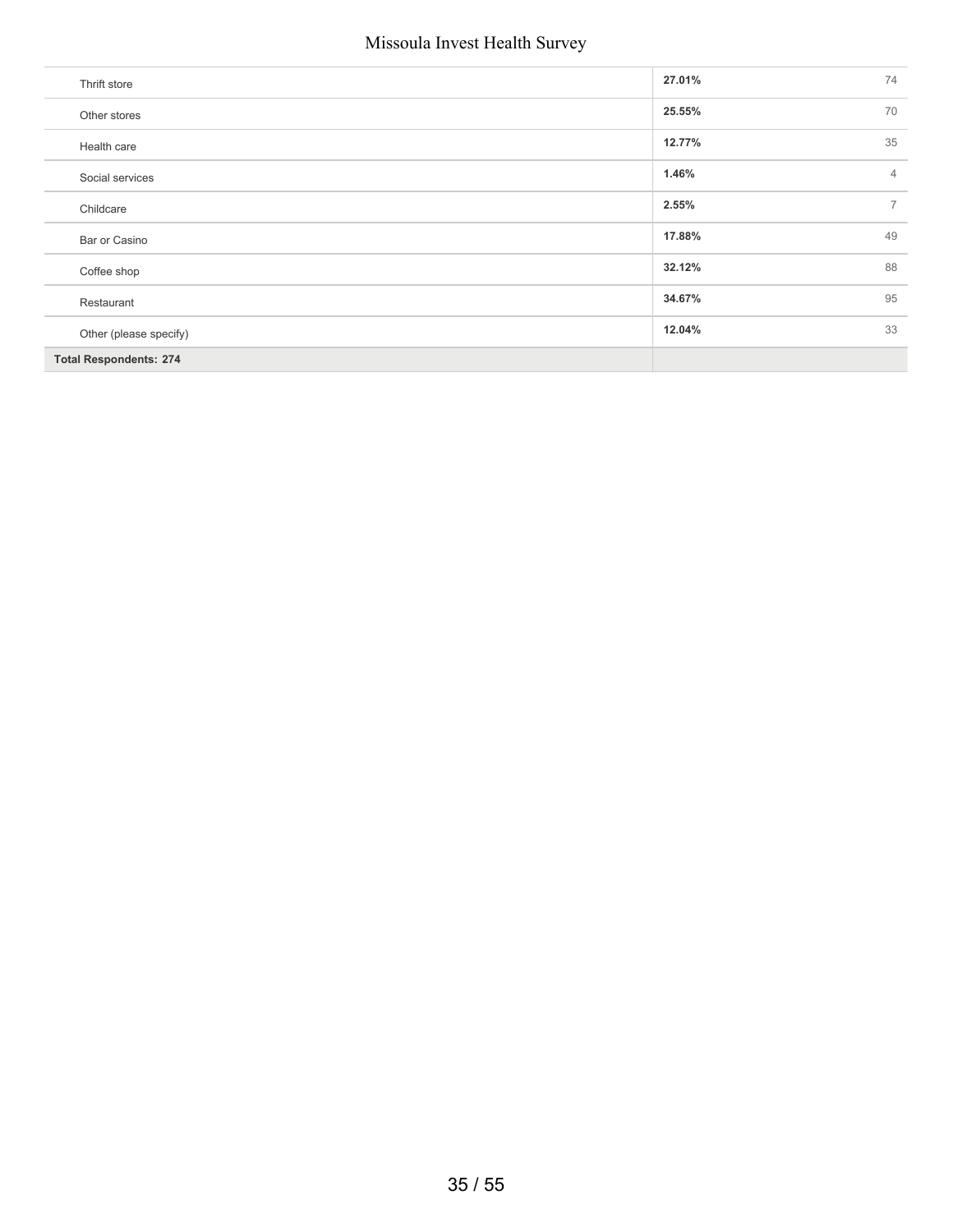| Thrift store                  | 27.01% | 74             |
|-------------------------------|--------|----------------|
| Other stores                  | 25.55% | 70             |
| Health care                   | 12.77% | 35             |
| Social services               | 1.46%  | $\overline{4}$ |
| Childcare                     | 2.55%  | $\overline{7}$ |
| Bar or Casino                 | 17.88% | 49             |
| Coffee shop                   | 32.12% | 88             |
| Restaurant                    | 34.67% | 95             |
| Other (please specify)        | 12.04% | 33             |
| <b>Total Respondents: 274</b> |        |                |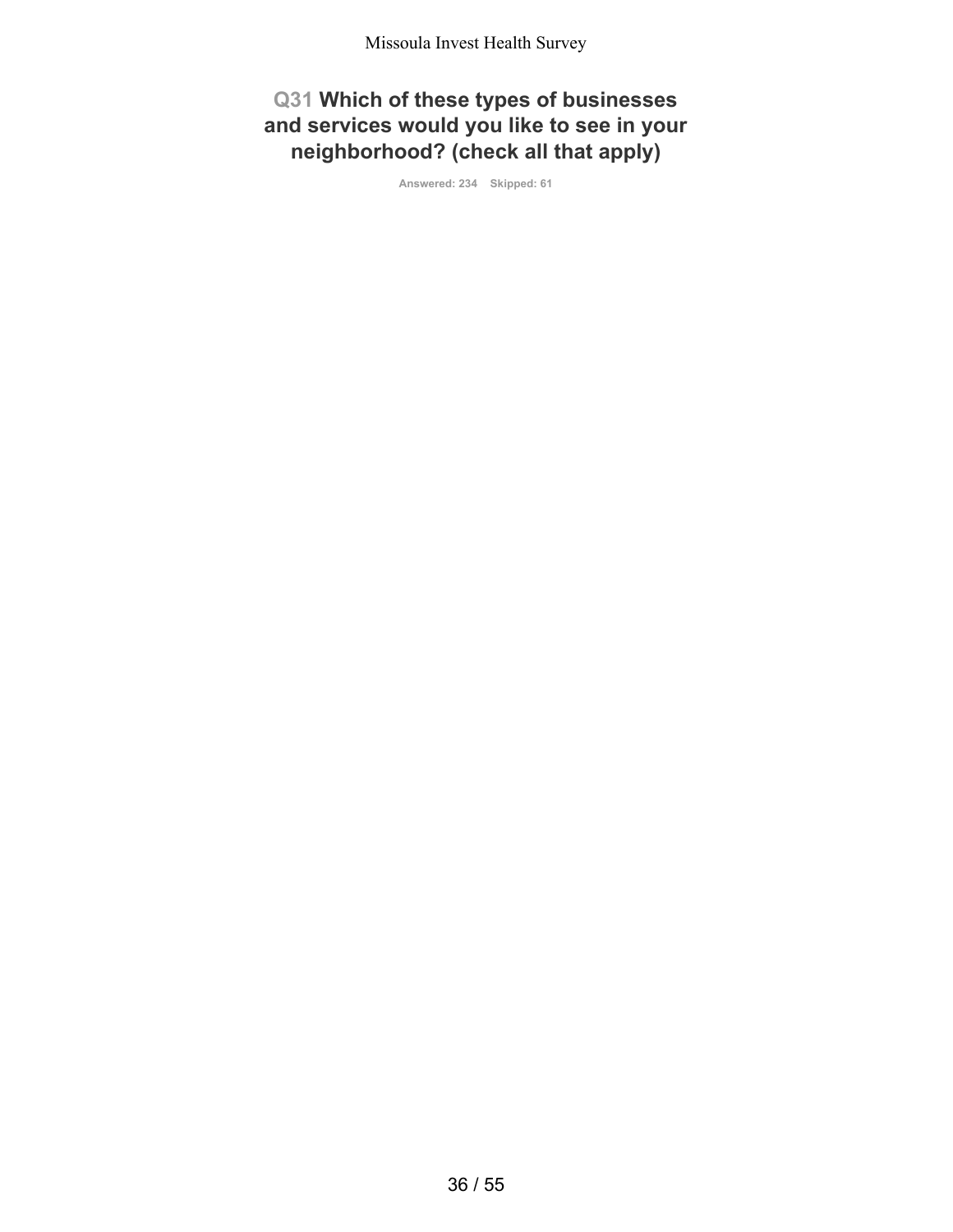**Q31 Which of these types of businesses and services would you like to see in your neighborhood? (check all that apply)**

**Answered: 234 Skipped: 61**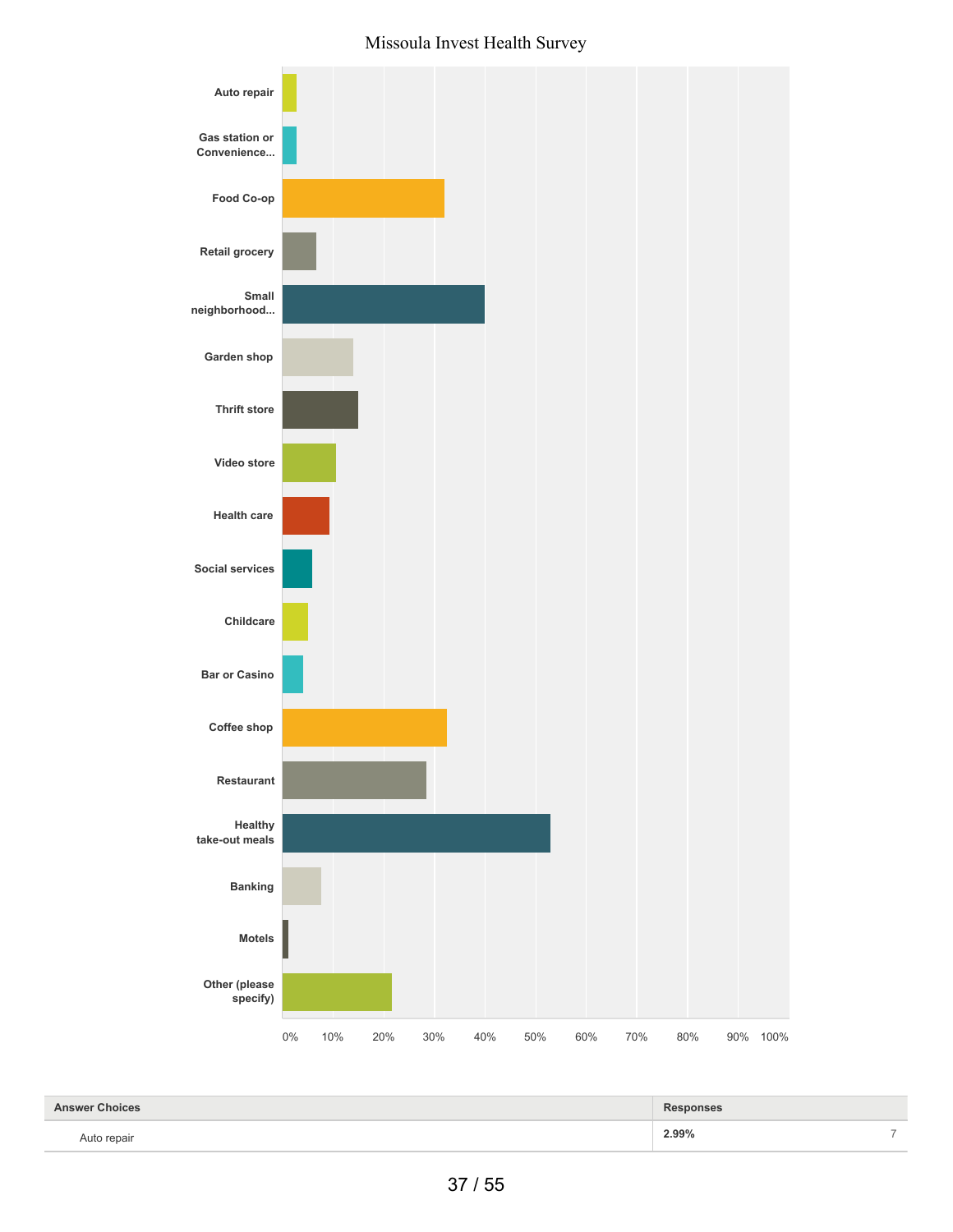

| <b>Answer Choices</b> | <b>Responses</b> |  |
|-----------------------|------------------|--|
| Auto repair           | 2.99%            |  |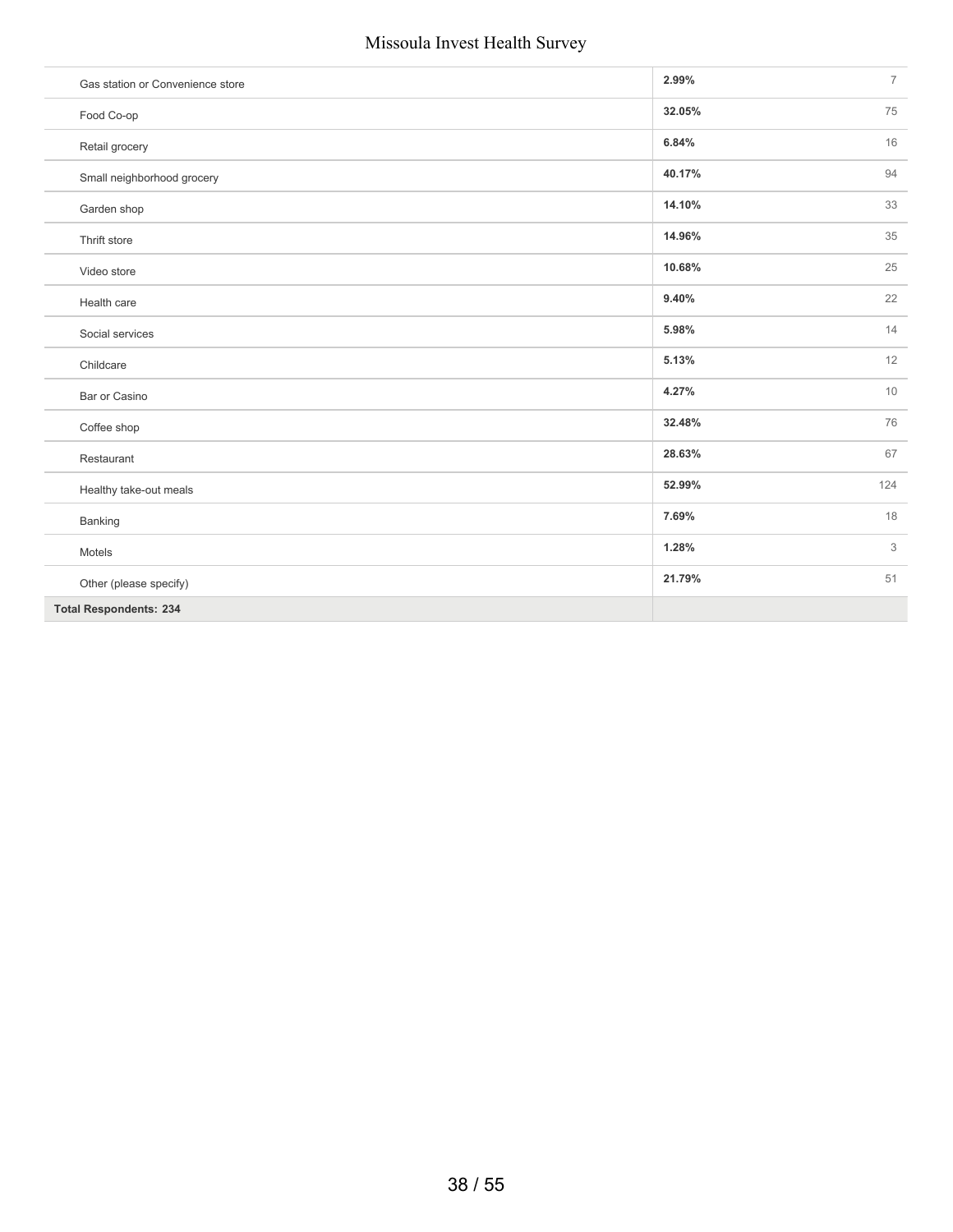| Gas station or Convenience store | 2.99%  | $\overline{7}$ |
|----------------------------------|--------|----------------|
| Food Co-op                       | 32.05% | 75             |
| Retail grocery                   | 6.84%  | 16             |
| Small neighborhood grocery       | 40.17% | 94             |
| Garden shop                      | 14.10% | 33             |
| Thrift store                     | 14.96% | 35             |
| Video store                      | 10.68% | 25             |
| Health care                      | 9.40%  | 22             |
| Social services                  | 5.98%  | 14             |
| Childcare                        | 5.13%  | 12             |
| Bar or Casino                    | 4.27%  | 10             |
| Coffee shop                      | 32.48% | 76             |
| Restaurant                       | 28.63% | 67             |
| Healthy take-out meals           | 52.99% | 124            |
| Banking                          | 7.69%  | 18             |
| Motels                           | 1.28%  | $\mathfrak{Z}$ |
| Other (please specify)           | 21.79% | 51             |
| <b>Total Respondents: 234</b>    |        |                |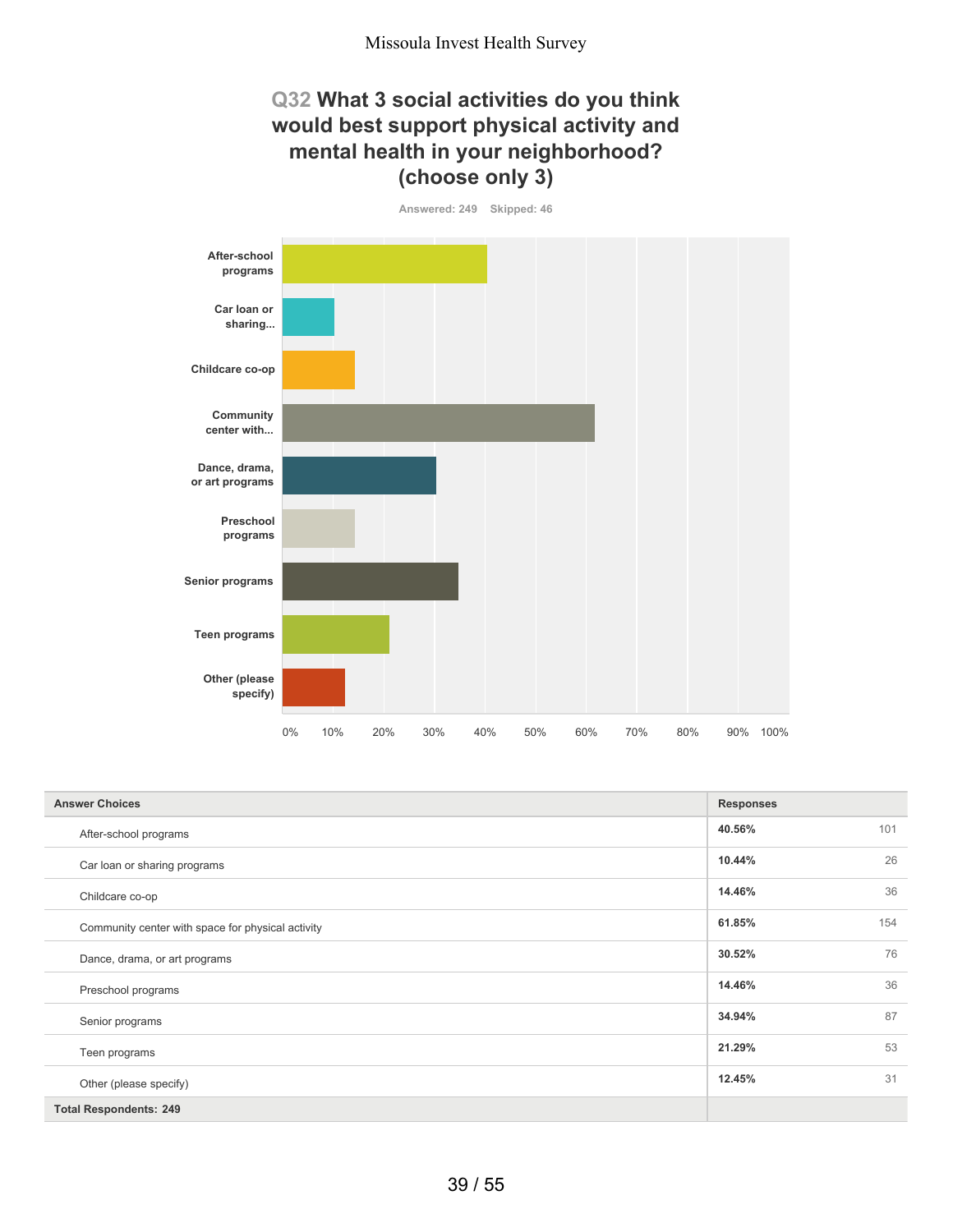## **Q32 What 3 social activities do you think would best support physical activity and mental health in your neighborhood? (choose only 3)**



| <b>Answer Choices</b>                             | <b>Responses</b> |
|---------------------------------------------------|------------------|
| After-school programs                             | 40.56%<br>101    |
| Car loan or sharing programs                      | 26<br>10.44%     |
| Childcare co-op                                   | 36<br>14.46%     |
| Community center with space for physical activity | 61.85%<br>154    |
| Dance, drama, or art programs                     | 76<br>30.52%     |
| Preschool programs                                | 36<br>14.46%     |
| Senior programs                                   | 87<br>34.94%     |
| Teen programs                                     | 53<br>21.29%     |
| Other (please specify)                            | 12.45%<br>31     |
| <b>Total Respondents: 249</b>                     |                  |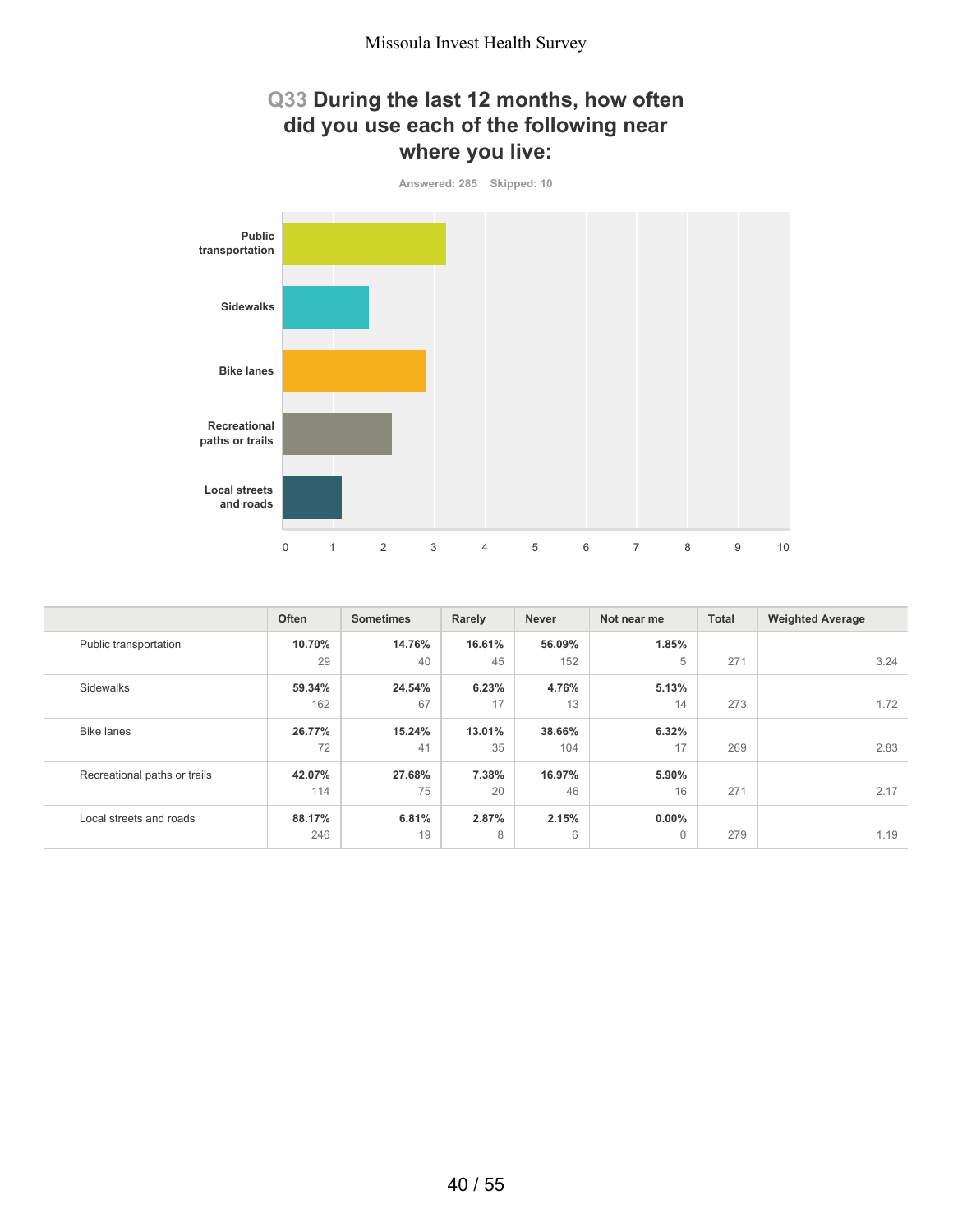## **Q33 During the last 12 months, how often did you use each of the following near where you live:**



|                              | Often  | <b>Sometimes</b> | Rarely | <b>Never</b> | Not near me | <b>Total</b> | <b>Weighted Average</b> |
|------------------------------|--------|------------------|--------|--------------|-------------|--------------|-------------------------|
| Public transportation        | 10.70% | 14.76%           | 16.61% | 56.09%       | 1.85%       |              |                         |
|                              | 29     | 40               | 45     | 152          | 5           | 271          | 3.24                    |
| Sidewalks                    | 59.34% | 24.54%           | 6.23%  | 4.76%        | 5.13%       |              |                         |
|                              | 162    | 67               | 17     | 13           | 14          | 273          | 1.72                    |
| <b>Bike lanes</b>            | 26.77% | 15.24%           | 13.01% | 38.66%       | 6.32%       |              |                         |
|                              | 72     | 41               | 35     | 104          | 17          | 269          | 2.83                    |
| Recreational paths or trails | 42.07% | 27.68%           | 7.38%  | 16.97%       | 5.90%       |              |                         |
|                              | 114    | 75               | 20     | 46           | 16          | 271          | 2.17                    |
| Local streets and roads      | 88.17% | 6.81%            | 2.87%  | 2.15%        | $0.00\%$    |              |                         |
|                              | 246    | 19               | 8      | 6            | $\Omega$    | 279          | 1.19                    |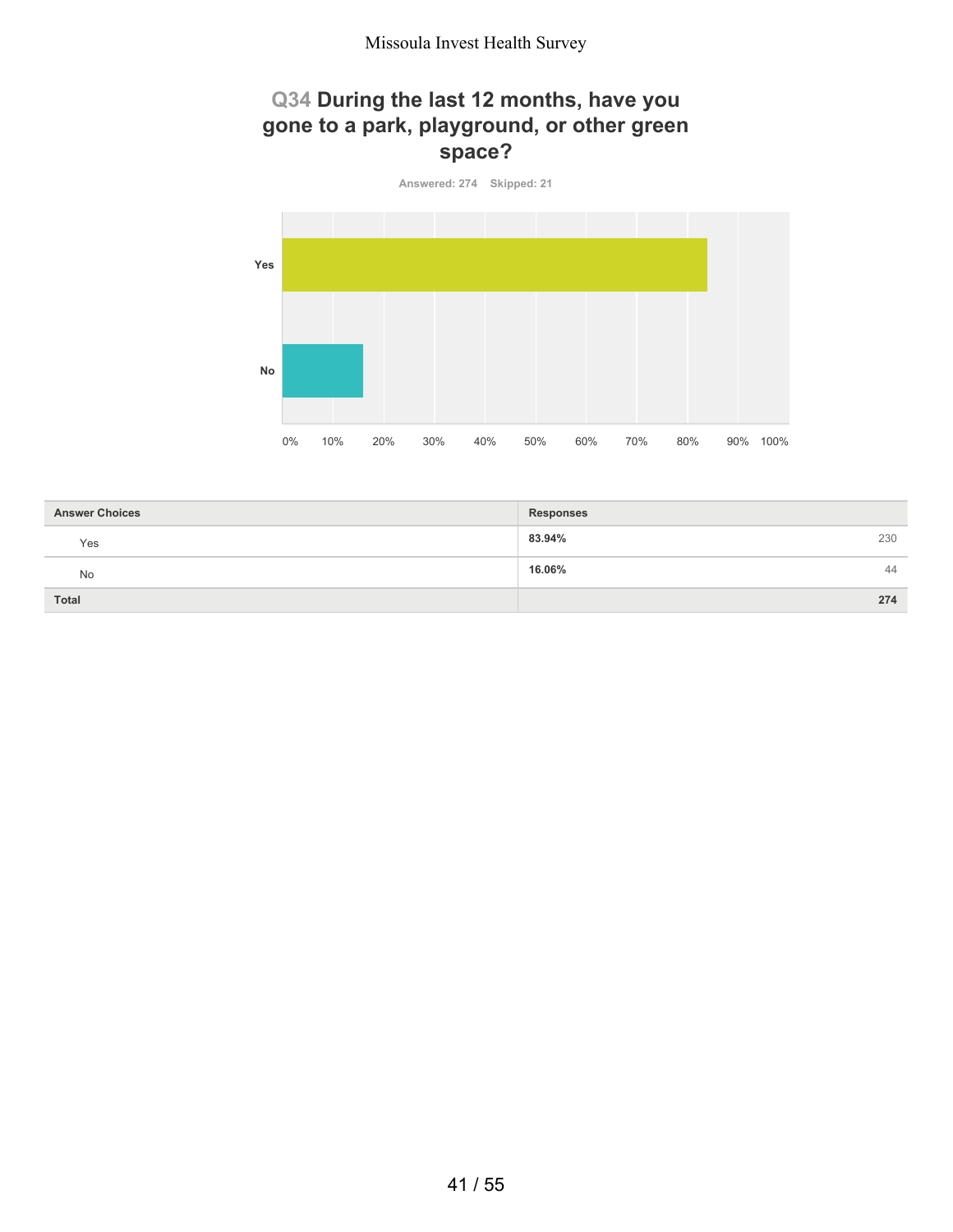## **Q34 During the last 12 months, have you gone to a park, playground, or other green space?**



| <b>Answer Choices</b> | <b>Responses</b> |
|-----------------------|------------------|
| Yes                   | 83.94%<br>230    |
| No                    | 16.06%<br>44     |
| <b>Total</b>          | 274              |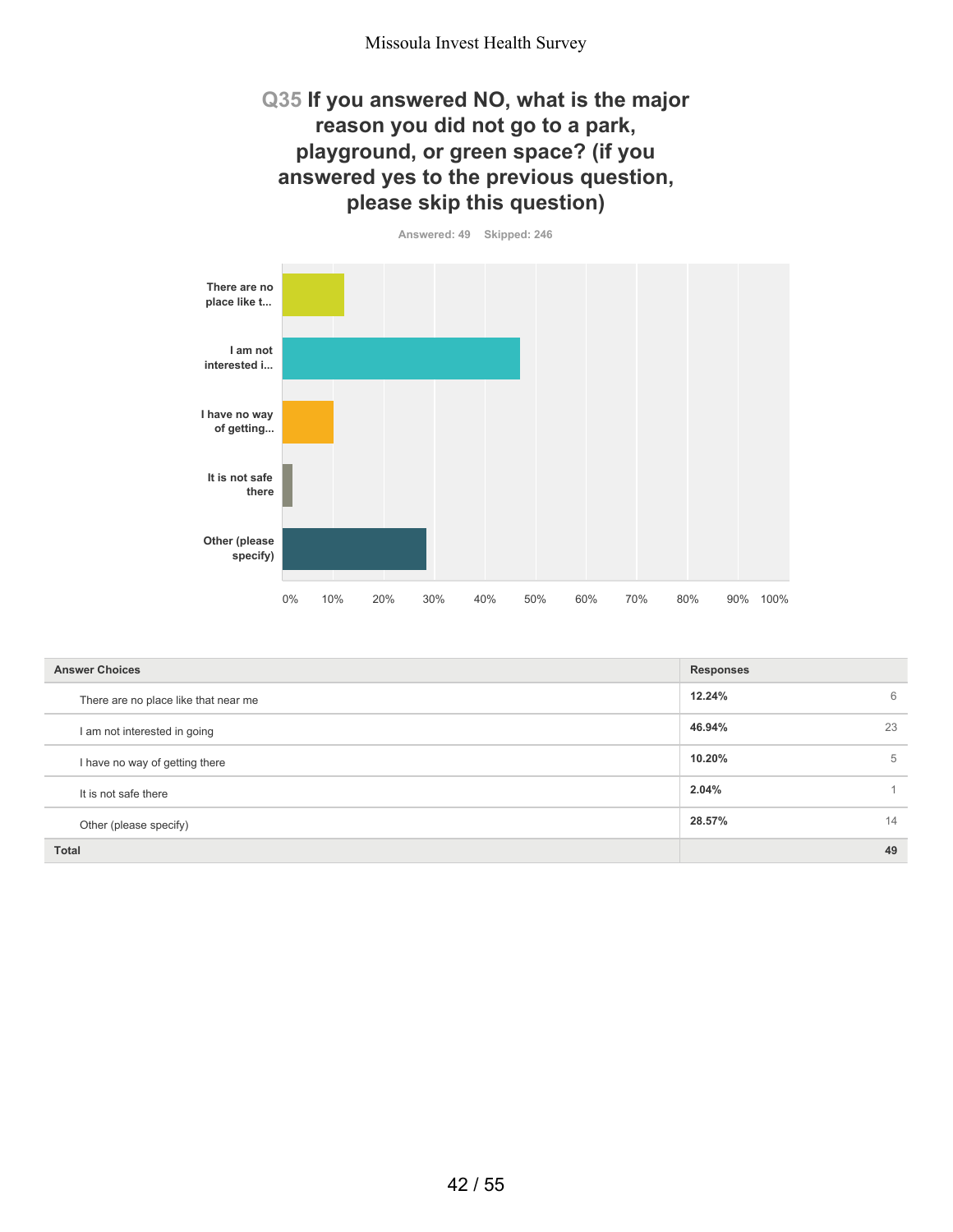#### **Q35 If you answered NO, what is the major reason you did not go to a park, playground, or green space? (if you answered yes to the previous question, please skip this question)**

**Answered: 49 Skipped: 246**

**There are no place like t... I am not interested i... I have no way of getting... It is not safe there Other (please specify)** 0% 10% 20% 30% 40% 50% 60% 70% 80% 90% 100%

| <b>Answer Choices</b>                | <b>Responses</b> |    |
|--------------------------------------|------------------|----|
| There are no place like that near me | 12.24%           | 6  |
| I am not interested in going         | 46.94%           | 23 |
| I have no way of getting there       | 10.20%           | 5  |
| It is not safe there                 | 2.04%            |    |
| Other (please specify)               | 28.57%           | 14 |
| <b>Total</b>                         |                  | 49 |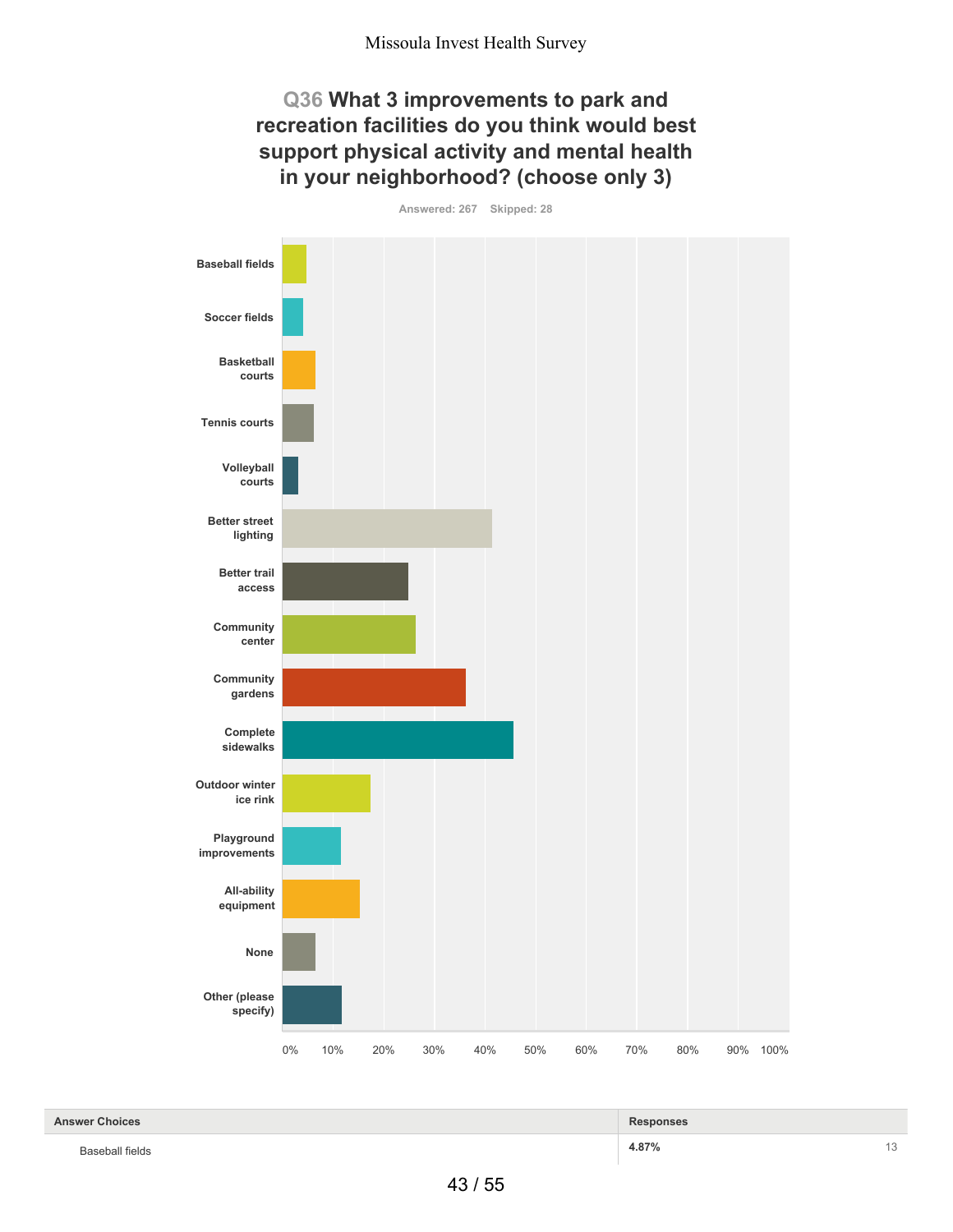#### **Q36 What 3 improvements to park and recreation facilities do you think would best support physical activity and mental health in your neighborhood? (choose only 3)**





| <b>Answer Choices</b> | <b>Responses</b> |               |
|-----------------------|------------------|---------------|
| Baseball fields<br>.  | 4.87%            | $\sim$<br>- 1 |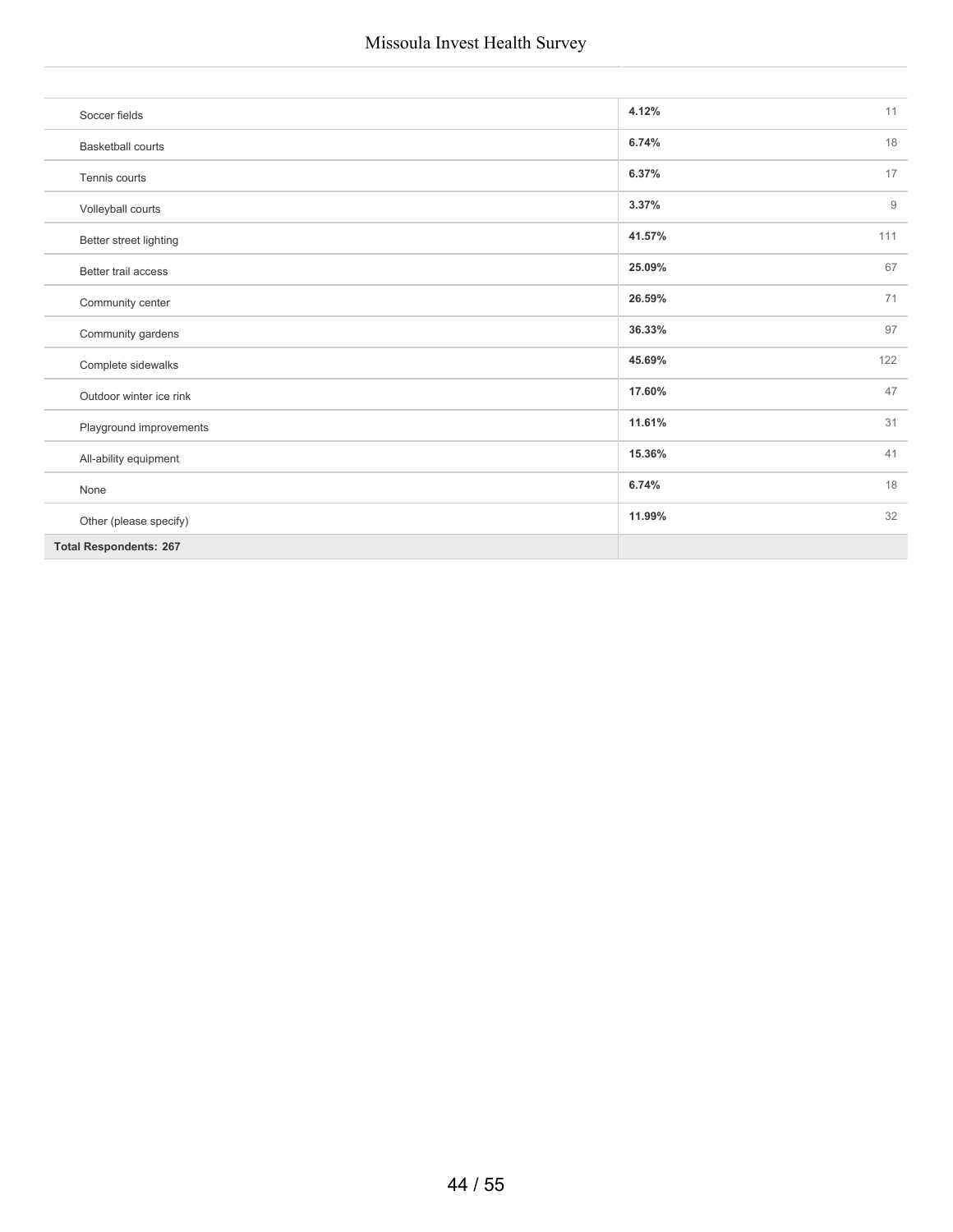| Soccer fields                 | 4.12%<br>11           |
|-------------------------------|-----------------------|
| <b>Basketball courts</b>      | 18<br>6.74%           |
| Tennis courts                 | 6.37%<br>17           |
| Volleyball courts             | 3.37%<br>$\mathsf{9}$ |
| Better street lighting        | 41.57%<br>111         |
| Better trail access           | 67<br>25.09%          |
| Community center              | 71<br>26.59%          |
| Community gardens             | 97<br>36.33%          |
| Complete sidewalks            | 122<br>45.69%         |
| Outdoor winter ice rink       | 47<br>17.60%          |
| Playground improvements       | 11.61%<br>31          |
| All-ability equipment         | 15.36%<br>41          |
| None                          | 18<br>6.74%           |
| Other (please specify)        | 11.99%<br>32          |
| <b>Total Respondents: 267</b> |                       |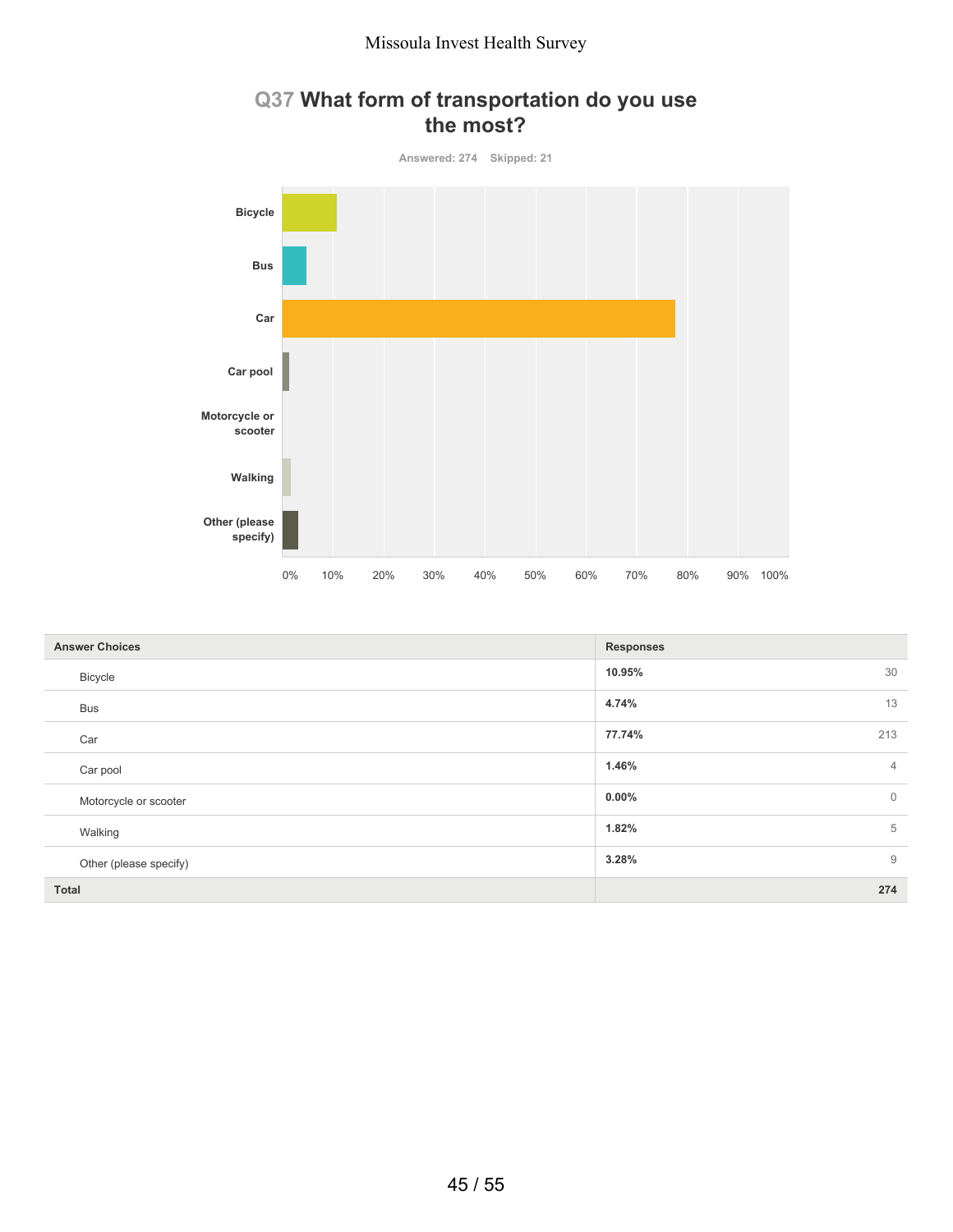

#### **Q37 What form of transportation do you use the most?**

| <b>Answer Choices</b>  | <b>Responses</b>           |
|------------------------|----------------------------|
| Bicycle                | 30<br>10.95%               |
| <b>Bus</b>             | 4.74%<br>13                |
| Car                    | 77.74%<br>213              |
| Car pool               | 1.46%<br>$\overline{4}$    |
| Motorcycle or scooter  | $\overline{0}$<br>$0.00\%$ |
| Walking                | 5<br>1.82%                 |
| Other (please specify) | $\overline{9}$<br>3.28%    |
| Total                  | 274                        |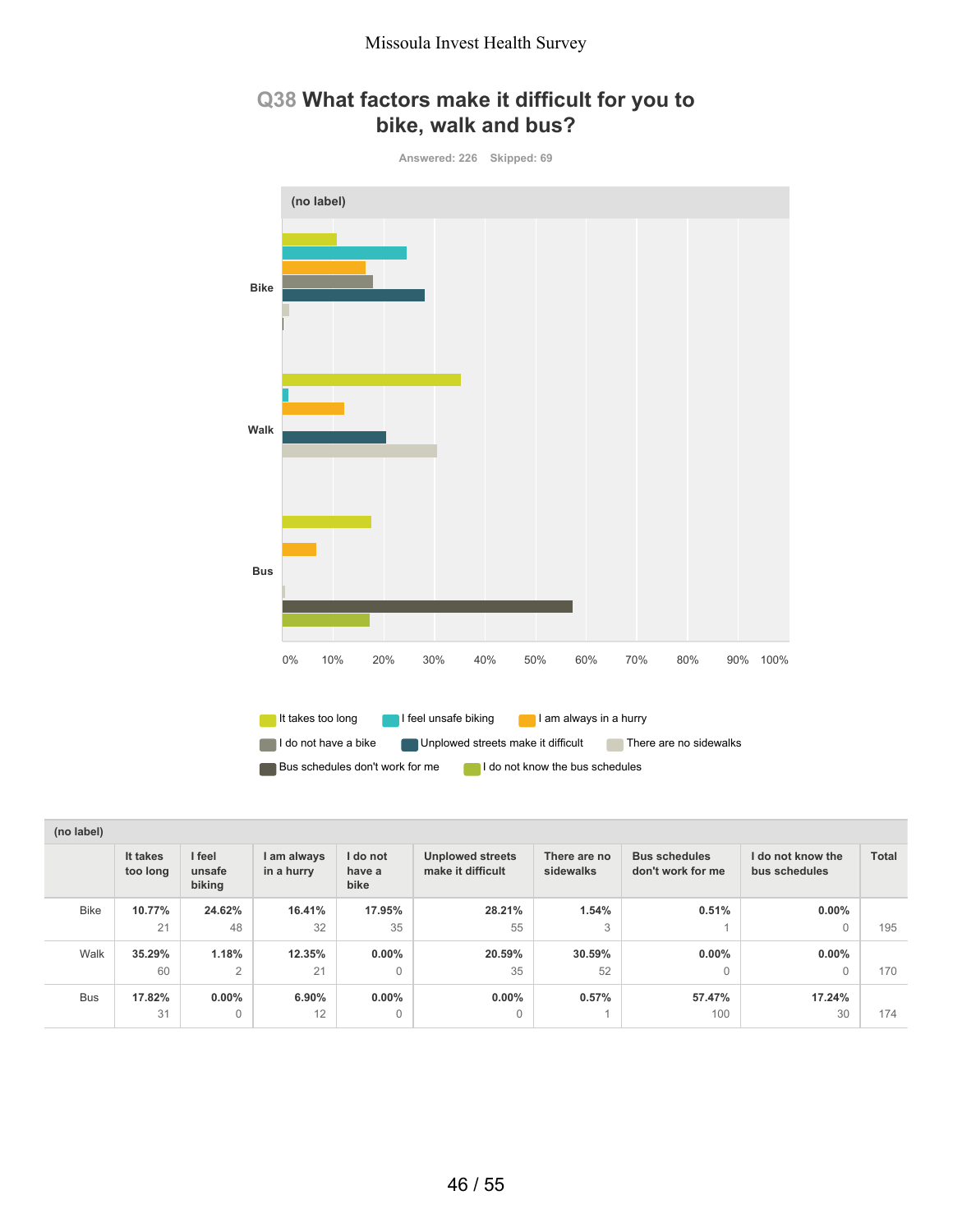## **Q38 What factors make it difficult for you to bike, walk and bus?**



| (no label)  |                      |                            |                           |                            |                                              |                           |                                           |                                    |              |
|-------------|----------------------|----------------------------|---------------------------|----------------------------|----------------------------------------------|---------------------------|-------------------------------------------|------------------------------------|--------------|
|             | It takes<br>too long | I feel<br>unsafe<br>biking | I am always<br>in a hurry | I do not<br>have a<br>bike | <b>Unplowed streets</b><br>make it difficult | There are no<br>sidewalks | <b>Bus schedules</b><br>don't work for me | I do not know the<br>bus schedules | <b>Total</b> |
| <b>Bike</b> | 10.77%               | 24.62%                     | 16.41%                    | 17.95%                     | 28.21%                                       | 1.54%                     | 0.51%                                     | $0.00\%$                           |              |
|             | 21                   | 48                         | 32                        | 35                         | 55                                           | 3                         |                                           | $\sqrt{ }$                         | 195          |
| Walk        | 35.29%               | 1.18%                      | 12.35%                    | $0.00\%$                   | 20.59%                                       | 30.59%                    | $0.00\%$                                  | $0.00\%$                           |              |
|             | 60                   | $\overline{2}$             | 21                        | $\mathbf{0}$               | 35                                           | 52                        | $\Omega$                                  | $\Omega$                           | 170          |
| <b>Bus</b>  | 17.82%               | $0.00\%$                   | $6.90\%$                  | $0.00\%$                   | $0.00\%$                                     | 0.57%                     | 57.47%                                    | 17.24%                             |              |
|             | 31                   | $\Omega$                   | 12                        | $\mathbf{0}$               | $\Omega$                                     |                           | 100                                       | 30                                 | 174          |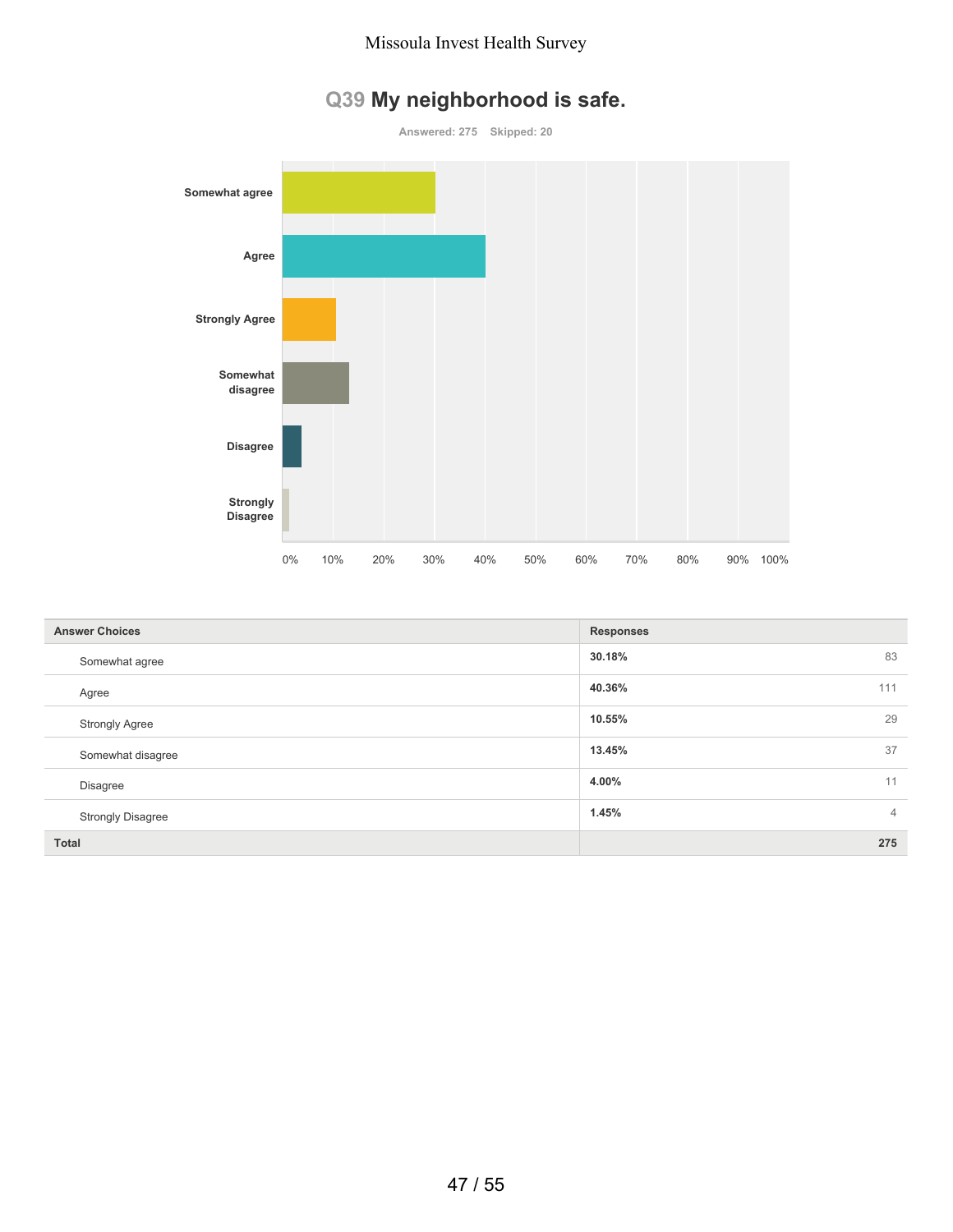

|  |  | Q39 My neighborhood is safe. |  |  |  |
|--|--|------------------------------|--|--|--|
|--|--|------------------------------|--|--|--|

| <b>Answer Choices</b>    | <b>Responses</b>        |
|--------------------------|-------------------------|
| Somewhat agree           | 30.18%<br>83            |
| Agree                    | 40.36%<br>111           |
| <b>Strongly Agree</b>    | 29<br>10.55%            |
| Somewhat disagree        | 37<br>13.45%            |
| <b>Disagree</b>          | 11<br>4.00%             |
| <b>Strongly Disagree</b> | 1.45%<br>$\overline{4}$ |
| <b>Total</b>             | 275                     |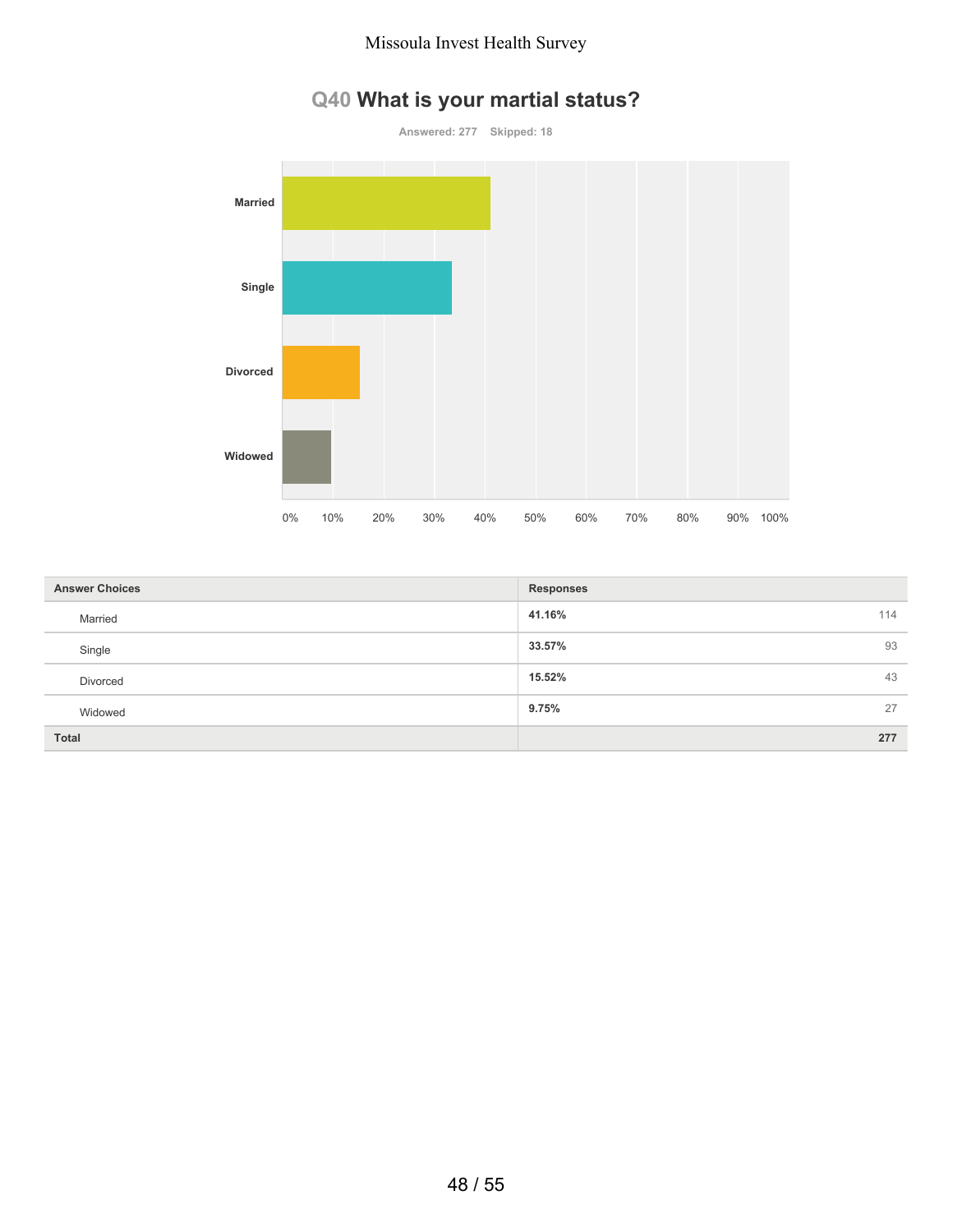# **Q40 What is your martial status?**



| <b>Answer Choices</b> | <b>Responses</b> |
|-----------------------|------------------|
| Married               | 114<br>41.16%    |
| Single                | 93<br>33.57%     |
| Divorced              | 43<br>15.52%     |
| Widowed               | 27<br>9.75%      |
| <b>Total</b>          | 277              |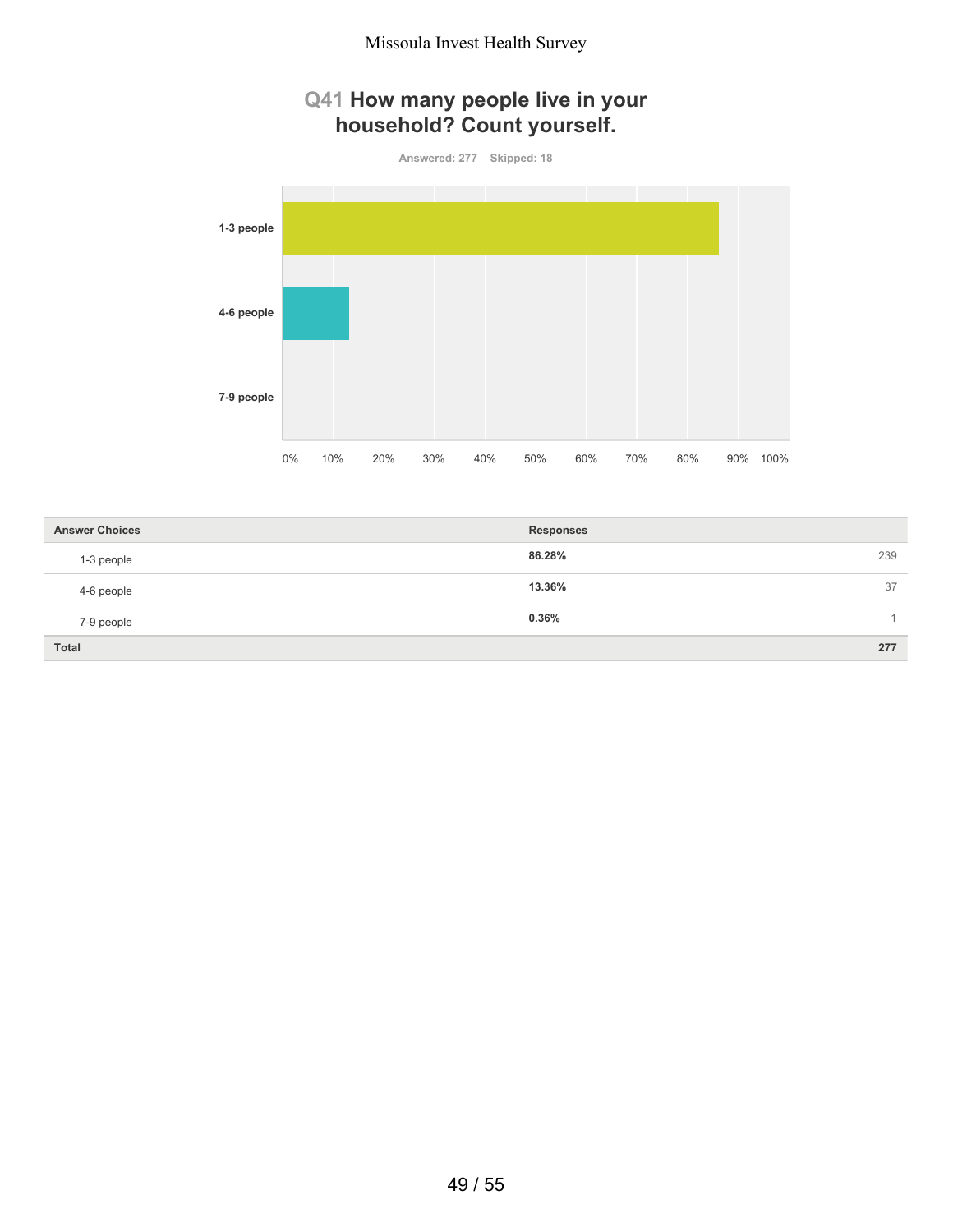## **Q41 How many people live in your household? Count yourself.**

**Answered: 277 Skipped: 18**



| <b>Answer Choices</b> | <b>Responses</b> |
|-----------------------|------------------|
| 1-3 people            | 86.28%<br>239    |
| 4-6 people            | 13.36%<br>37     |
| 7-9 people            | 0.36%            |
| <b>Total</b>          | 277              |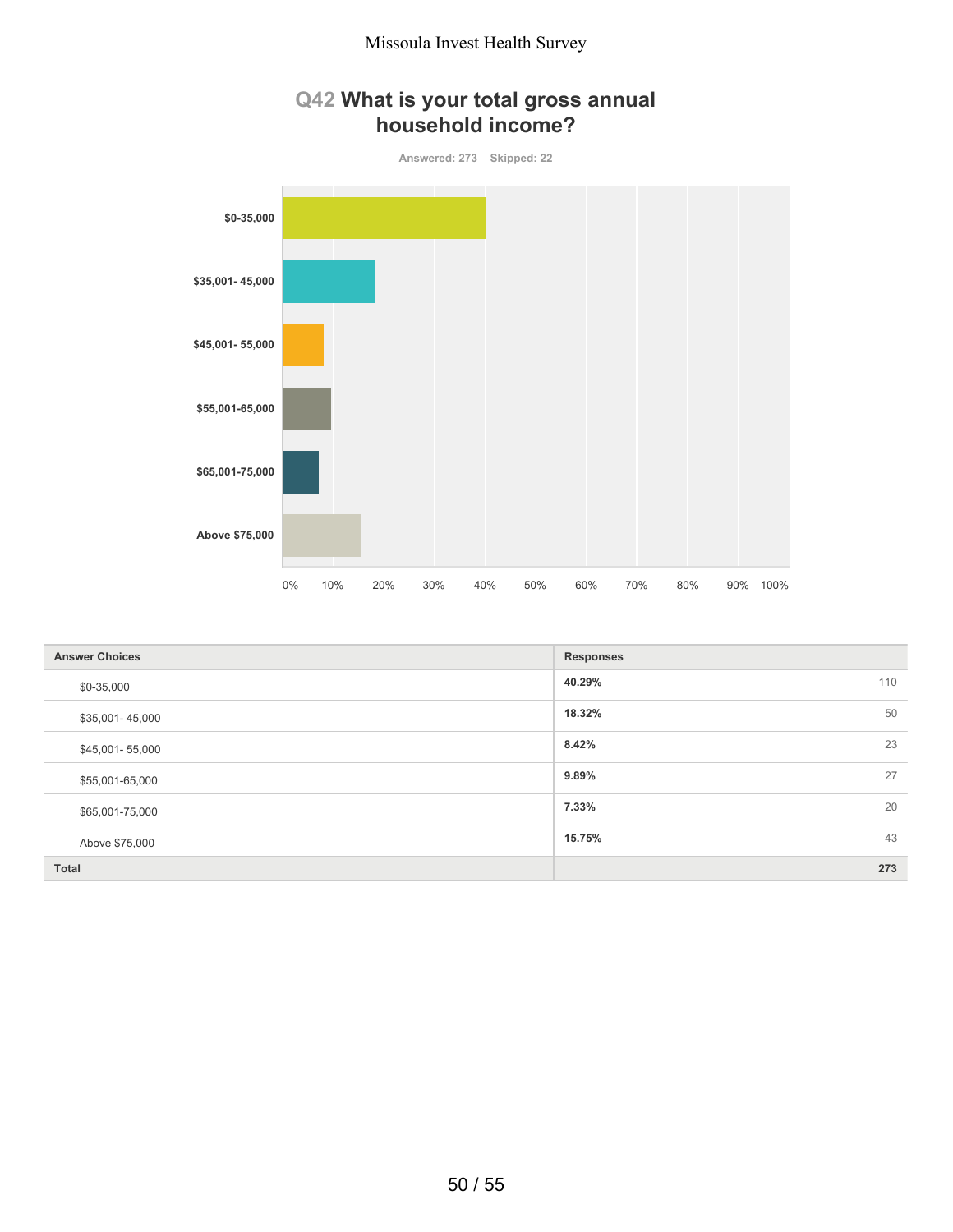



| <b>Answer Choices</b> | <b>Responses</b> |
|-----------------------|------------------|
| \$0-35,000            | 110<br>40.29%    |
| \$35,001-45,000       | 50<br>18.32%     |
| \$45,001-55,000       | 23<br>8.42%      |
| \$55,001-65,000       | 27<br>9.89%      |
| \$65,001-75,000       | 20<br>7.33%      |
| Above \$75,000        | 43<br>15.75%     |
| Total                 | 273              |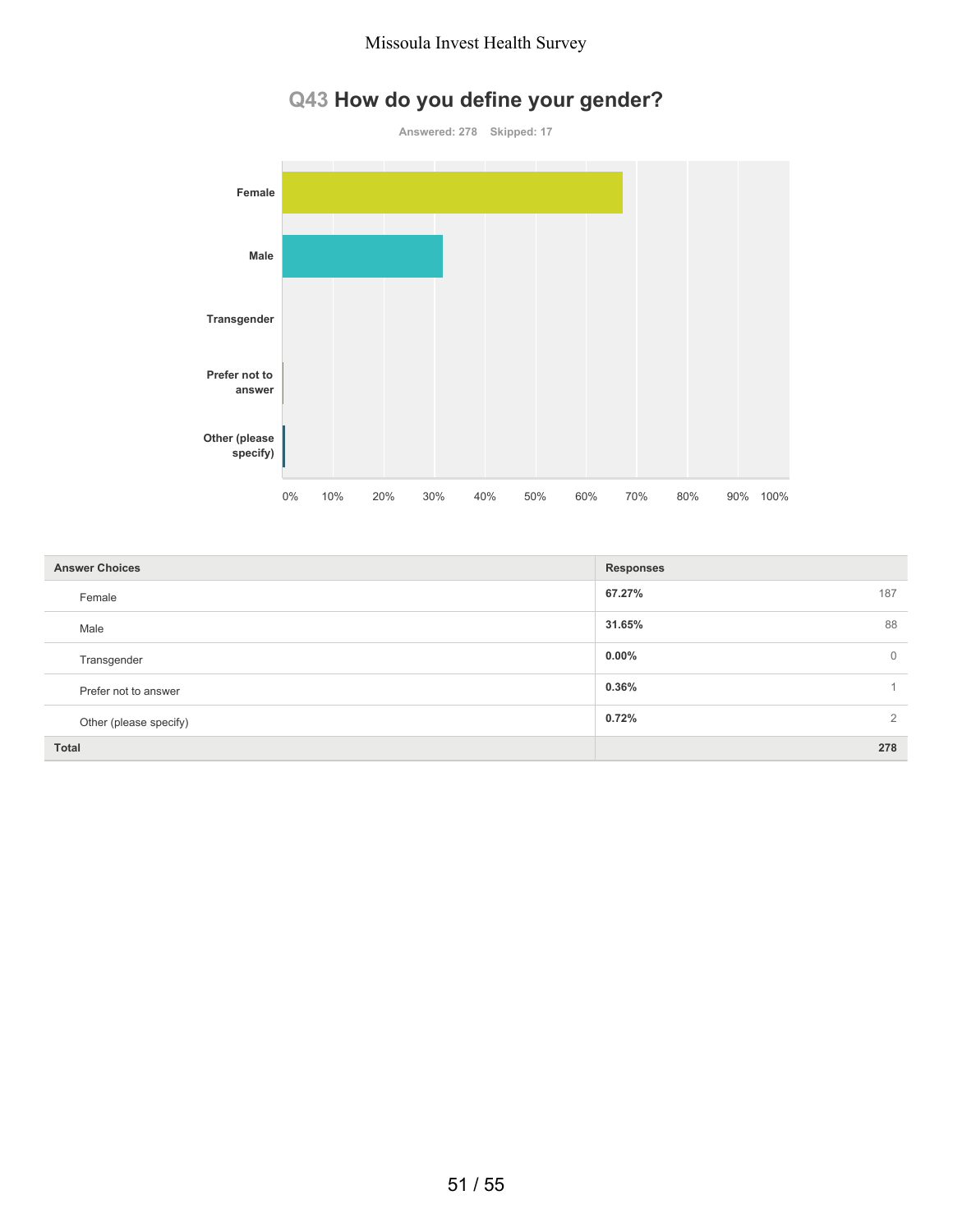# **Q43 How do you define your gender?**

**Answered: 278 Skipped: 17**



| <b>Answer Choices</b>  | <b>Responses</b>           |
|------------------------|----------------------------|
| Female                 | 187<br>67.27%              |
| Male                   | 88<br>31.65%               |
| Transgender            | $0.00\%$<br>$\overline{0}$ |
| Prefer not to answer   | 0.36%                      |
| Other (please specify) | $\overline{2}$<br>0.72%    |
| <b>Total</b>           | 278                        |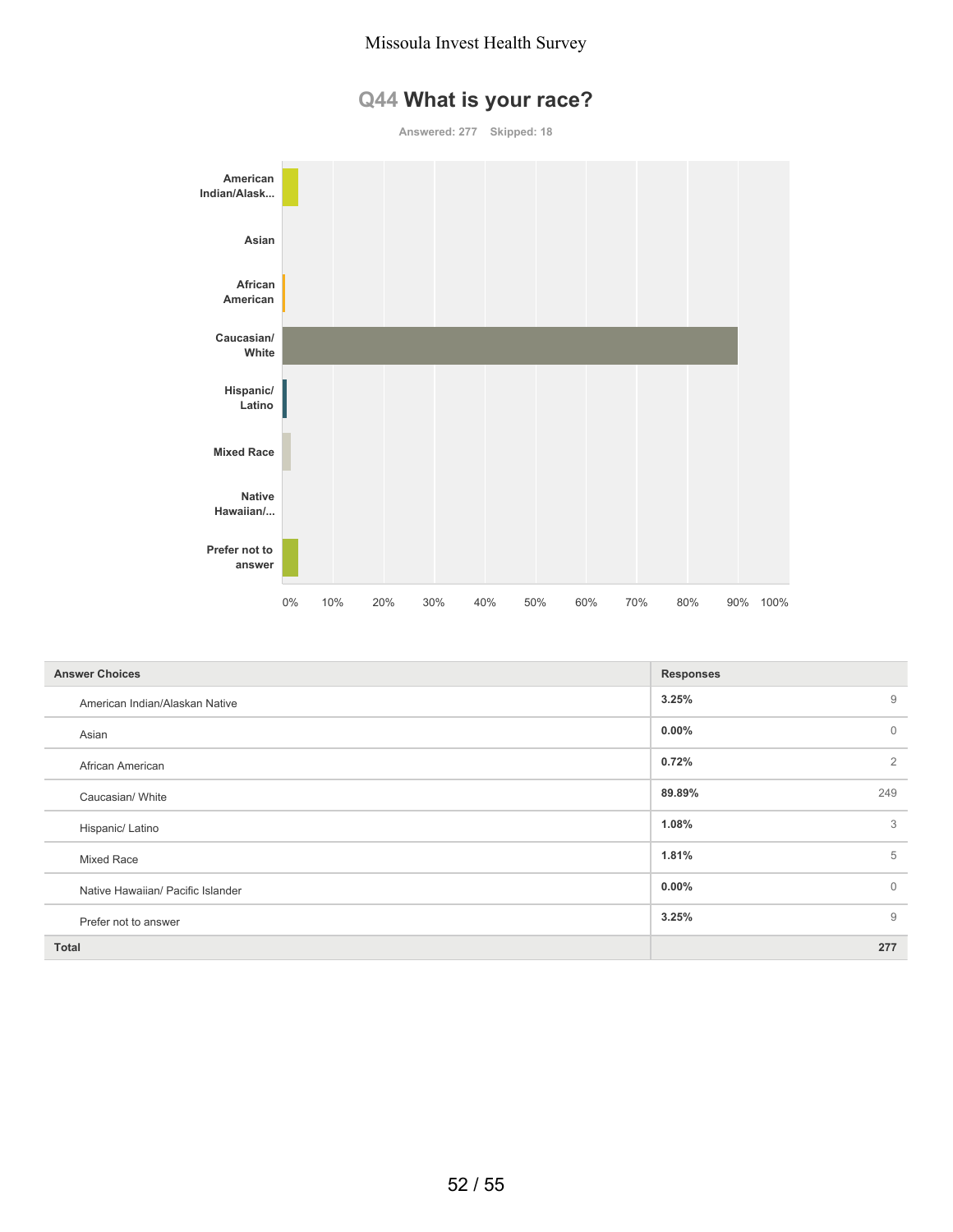# **Q44 What is your race?**



| <b>Answer Choices</b>             | <b>Responses</b>         |
|-----------------------------------|--------------------------|
| American Indian/Alaskan Native    | 9<br>3.25%               |
| Asian                             | $\mathbf{0}$<br>$0.00\%$ |
| African American                  | $\overline{2}$<br>0.72%  |
| Caucasian/ White                  | 249<br>89.89%            |
| Hispanic/ Latino                  | 3<br>1.08%               |
| Mixed Race                        | 5<br>1.81%               |
| Native Hawaiian/ Pacific Islander | $\mathbf{0}$<br>$0.00\%$ |
| Prefer not to answer              | 9<br>3.25%               |
| <b>Total</b>                      | 277                      |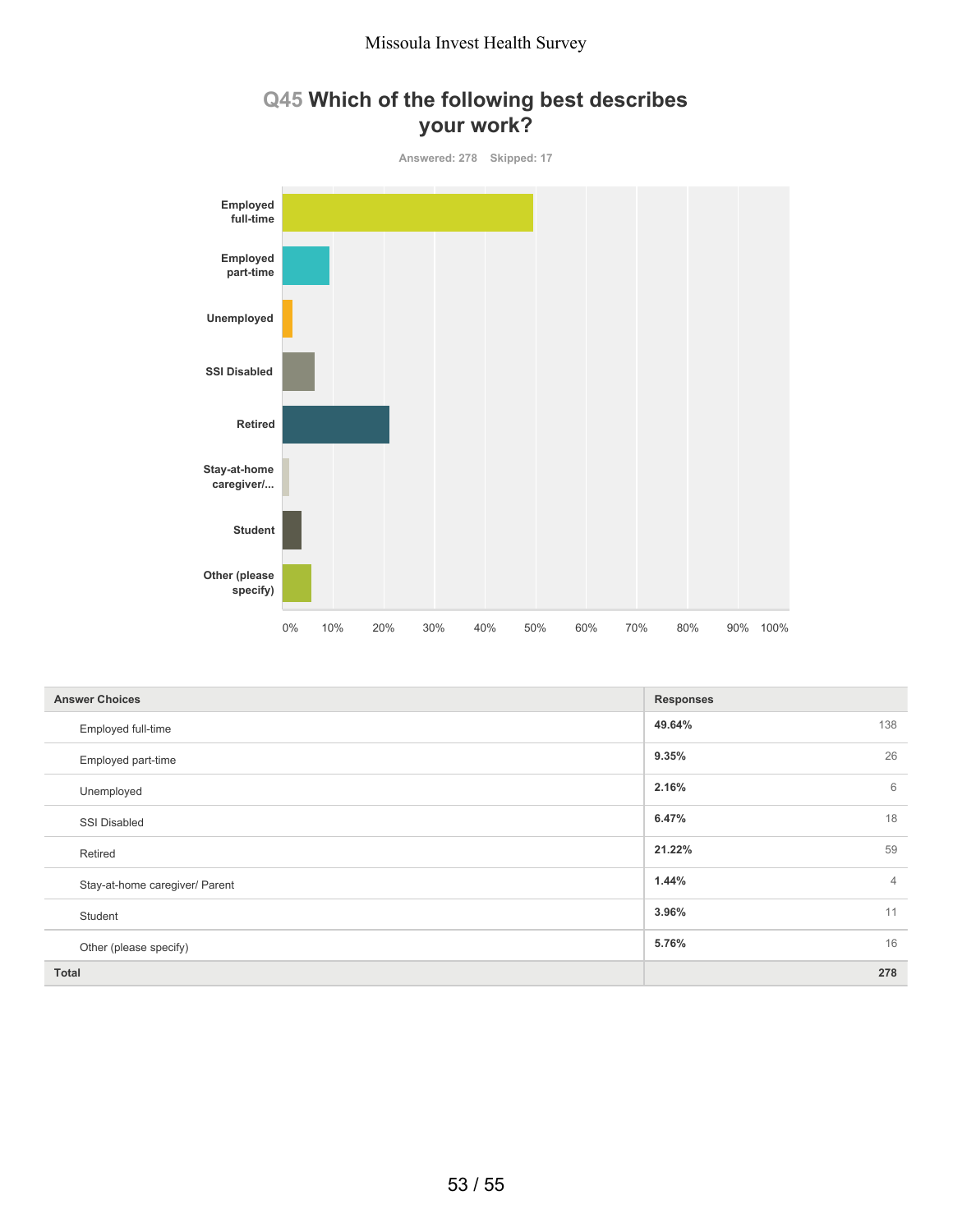## **Q45 Which of the following best describes your work?**



| <b>Answer Choices</b>          | <b>Responses</b> |                |
|--------------------------------|------------------|----------------|
| Employed full-time             | 49.64%<br>138    |                |
| Employed part-time             | 26<br>9.35%      |                |
| Unemployed                     | 2.16%            | 6              |
| <b>SSI Disabled</b>            | 18<br>6.47%      |                |
| Retired                        | 59<br>21.22%     |                |
| Stay-at-home caregiver/ Parent | 1.44%            | $\overline{4}$ |
| Student                        | 11<br>3.96%      |                |
| Other (please specify)         | 16<br>5.76%      |                |
| <b>Total</b>                   | 278              |                |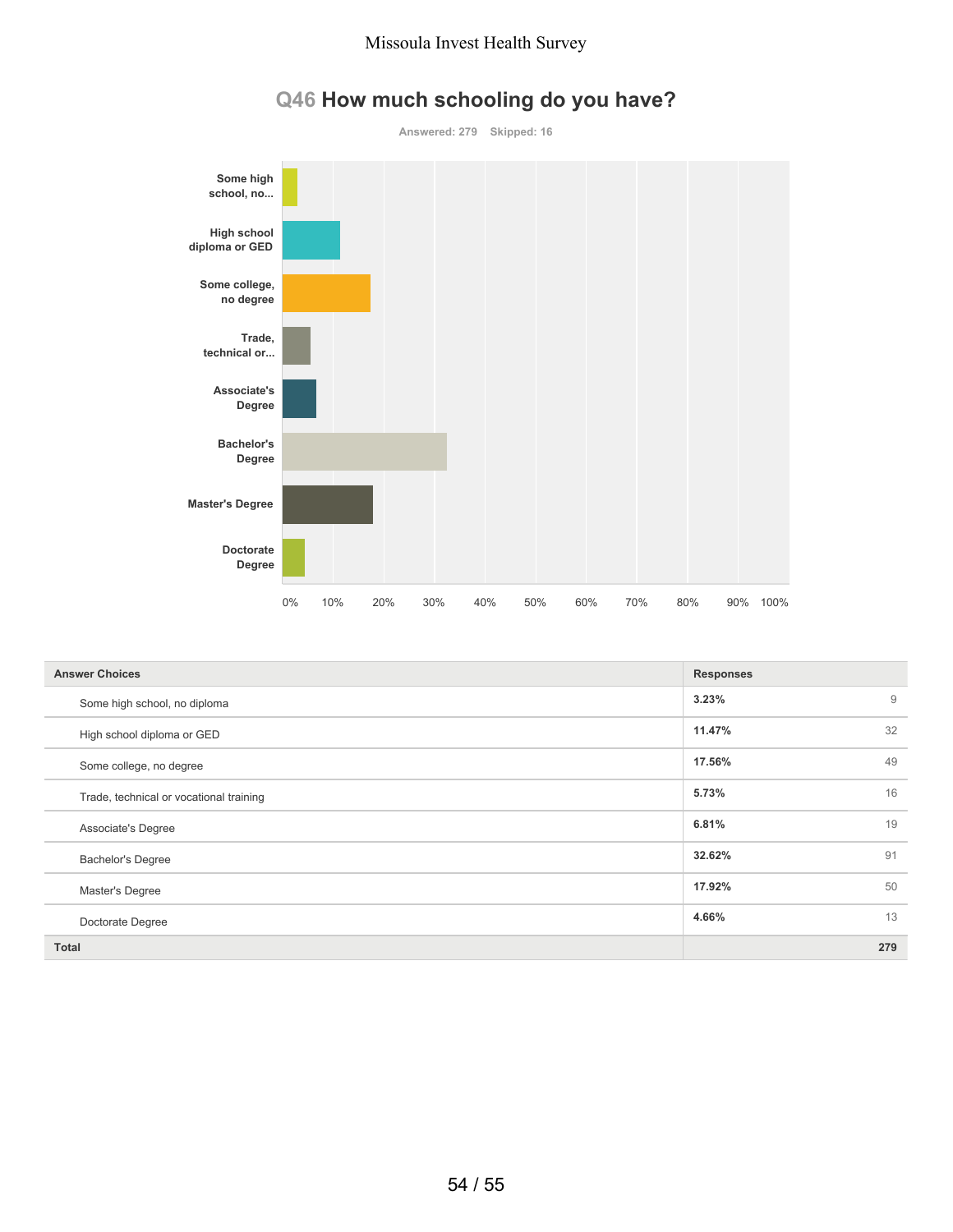

# **Q46 How much schooling do you have?**

| <b>Answer Choices</b>                   | <b>Responses</b> |                |
|-----------------------------------------|------------------|----------------|
| Some high school, no diploma            | 3.23%            | $\overline{9}$ |
| High school diploma or GED              | 11.47%           | 32             |
| Some college, no degree                 | 17.56%           | 49             |
| Trade, technical or vocational training | 5.73%            | 16             |
| Associate's Degree                      | 6.81%            | 19             |
| <b>Bachelor's Degree</b>                | 32.62%           | 91             |
| Master's Degree                         | 17.92%           | 50             |
| Doctorate Degree                        | 4.66%            | 13             |
| <b>Total</b>                            |                  | 279            |